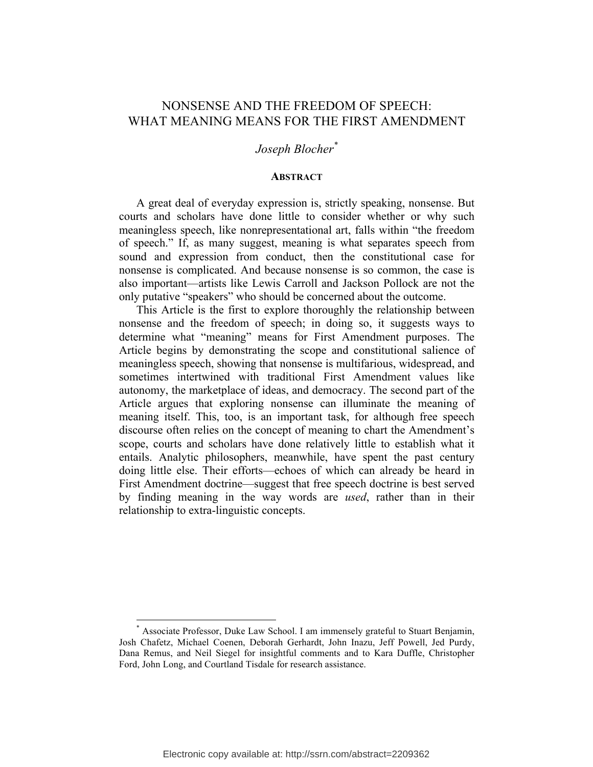# NONSENSE AND THE FREEDOM OF SPEECH: WHAT MEANING MEANS FOR THE FIRST AMENDMENT

## *Joseph Blocher\**

#### **ABSTRACT**

A great deal of everyday expression is, strictly speaking, nonsense. But courts and scholars have done little to consider whether or why such meaningless speech, like nonrepresentational art, falls within "the freedom of speech." If, as many suggest, meaning is what separates speech from sound and expression from conduct, then the constitutional case for nonsense is complicated. And because nonsense is so common, the case is also important—artists like Lewis Carroll and Jackson Pollock are not the only putative "speakers" who should be concerned about the outcome.

This Article is the first to explore thoroughly the relationship between nonsense and the freedom of speech; in doing so, it suggests ways to determine what "meaning" means for First Amendment purposes. The Article begins by demonstrating the scope and constitutional salience of meaningless speech, showing that nonsense is multifarious, widespread, and sometimes intertwined with traditional First Amendment values like autonomy, the marketplace of ideas, and democracy. The second part of the Article argues that exploring nonsense can illuminate the meaning of meaning itself. This, too, is an important task, for although free speech discourse often relies on the concept of meaning to chart the Amendment's scope, courts and scholars have done relatively little to establish what it entails. Analytic philosophers, meanwhile, have spent the past century doing little else. Their efforts—echoes of which can already be heard in First Amendment doctrine—suggest that free speech doctrine is best served by finding meaning in the way words are *used*, rather than in their relationship to extra-linguistic concepts.

Associate Professor, Duke Law School. I am immensely grateful to Stuart Benjamin, Josh Chafetz, Michael Coenen, Deborah Gerhardt, John Inazu, Jeff Powell, Jed Purdy, Dana Remus, and Neil Siegel for insightful comments and to Kara Duffle, Christopher Ford, John Long, and Courtland Tisdale for research assistance.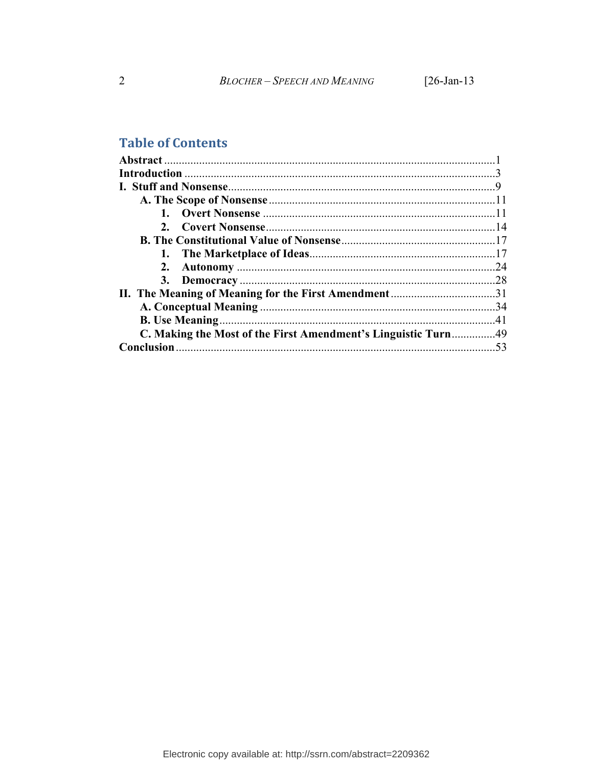# **Table of Contents**

| C. Making the Most of the First Amendment's Linguistic Turn49 |  |
|---------------------------------------------------------------|--|
|                                                               |  |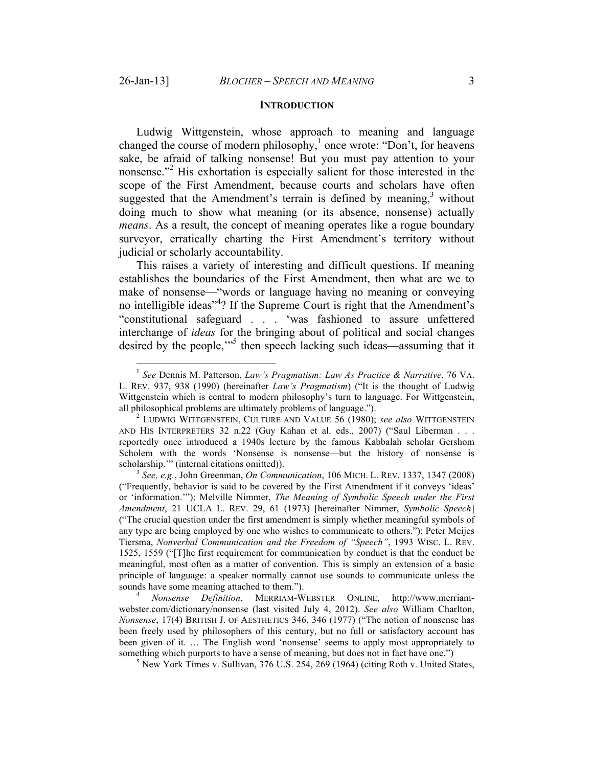#### **INTRODUCTION**

Ludwig Wittgenstein, whose approach to meaning and language changed the course of modern philosophy, $\frac{1}{2}$  once wrote: "Don't, for heavens sake, be afraid of talking nonsense! But you must pay attention to your nonsense."<sup>2</sup> His exhortation is especially salient for those interested in the scope of the First Amendment, because courts and scholars have often suggested that the Amendment's terrain is defined by meaning, $3$  without doing much to show what meaning (or its absence, nonsense) actually *means*. As a result, the concept of meaning operates like a rogue boundary surveyor, erratically charting the First Amendment's territory without judicial or scholarly accountability.

This raises a variety of interesting and difficult questions. If meaning establishes the boundaries of the First Amendment, then what are we to make of nonsense—"words or language having no meaning or conveying no intelligible ideas"<sup>4</sup>? If the Supreme Court is right that the Amendment's "constitutional safeguard . . . 'was fashioned to assure unfettered interchange of *ideas* for the bringing about of political and social changes desired by the people,'"5 then speech lacking such ideas—assuming that it

 <sup>1</sup> *See* Dennis M. Patterson, *Law's Pragmatism: Law As Practice & Narrative*, 76 VA. L. REV. 937, 938 (1990) (hereinafter *Law's Pragmatism*) ("It is the thought of Ludwig Wittgenstein which is central to modern philosophy's turn to language. For Wittgenstein, all philosophical problems are ultimately problems of language."). <sup>2</sup> LUDWIG WITTGENSTEIN, CULTURE AND VALUE 56 (1980); *see also* WITTGENSTEIN

AND HIS INTERPRETERS 32 n.22 (Guy Kahan et al. eds., 2007) ("Saul Liberman . . . reportedly once introduced a 1940s lecture by the famous Kabbalah scholar Gershom Scholem with the words 'Nonsense is nonsense—but the history of nonsense is scholarship.'" (internal citations omitted)). <sup>3</sup> *See, e.g.*, John Greenman, *On Communication*, 106 MICH. L. REV. 1337, 1347 (2008)

<sup>(&</sup>quot;Frequently, behavior is said to be covered by the First Amendment if it conveys 'ideas' or 'information.'"); Melville Nimmer, *The Meaning of Symbolic Speech under the First Amendment*, 21 UCLA L. REV. 29, 61 (1973) [hereinafter Nimmer, *Symbolic Speech*] ("The crucial question under the first amendment is simply whether meaningful symbols of any type are being employed by one who wishes to communicate to others."); Peter Meijes Tiersma, *Nonverbal Communication and the Freedom of "Speech"*, 1993 WISC. L. REV. 1525, 1559 ("[T]he first requirement for communication by conduct is that the conduct be meaningful, most often as a matter of convention. This is simply an extension of a basic principle of language: a speaker normally cannot use sounds to communicate unless the sounds have some meaning attached to them."). <sup>4</sup> *Nonsense Definition*, MERRIAM-WEBSTER ONLINE, http://www.merriam-

webster.com/dictionary/nonsense (last visited July 4, 2012). *See also* William Charlton, *Nonsense*, 17(4) BRITISH J. OF AESTHETICS 346, 346 (1977) ("The notion of nonsense has been freely used by philosophers of this century, but no full or satisfactory account has been given of it. … The English word 'nonsense' seems to apply most appropriately to something which purports to have a sense of meaning, but does not in fact have one.")<br><sup>5</sup> New York Times v. Sullivan, 376 U.S. 254, 269 (1964) (citing Roth v. United States,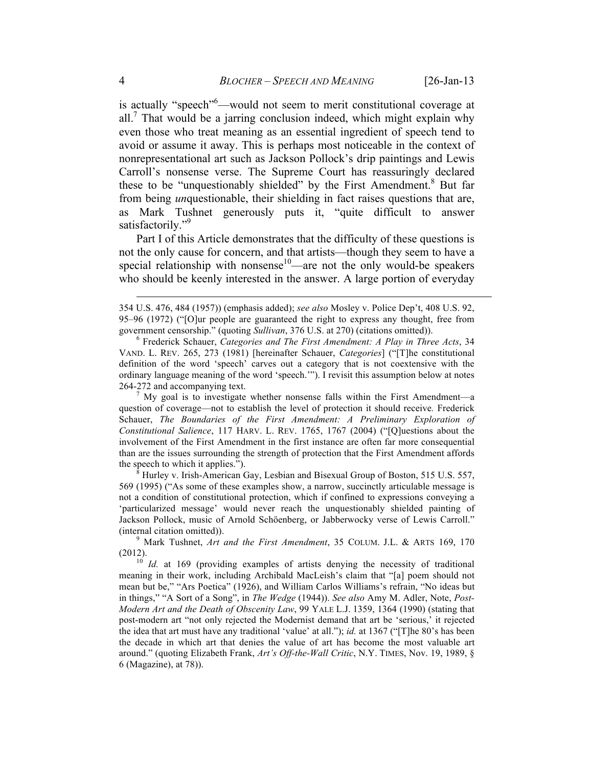is actually "speech"<sup>6</sup>—would not seem to merit constitutional coverage at all. <sup>7</sup> That would be a jarring conclusion indeed, which might explain why even those who treat meaning as an essential ingredient of speech tend to avoid or assume it away. This is perhaps most noticeable in the context of nonrepresentational art such as Jackson Pollock's drip paintings and Lewis Carroll's nonsense verse. The Supreme Court has reassuringly declared these to be "unquestionably shielded" by the First Amendment.<sup>8</sup> But far from being *un*questionable, their shielding in fact raises questions that are, as Mark Tushnet generously puts it, "quite difficult to answer satisfactorily."<sup>9</sup>

Part I of this Article demonstrates that the difficulty of these questions is not the only cause for concern, and that artists—though they seem to have a special relationship with nonsense $10$ —are not the only would-be speakers who should be keenly interested in the answer. A large portion of everyday

question of coverage—not to establish the level of protection it should receive*.* Frederick Schauer, *The Boundaries of the First Amendment: A Preliminary Exploration of Constitutional Salience*, 117 HARV. L. REV. 1765, 1767 (2004) ("[Q]uestions about the involvement of the First Amendment in the first instance are often far more consequential than are the issues surrounding the strength of protection that the First Amendment affords the speech to which it applies.").<br><sup>8</sup> Hurley v. Irish-American Gay, Lesbian and Bisexual Group of Boston, 515 U.S. 557,

569 (1995) ("As some of these examples show, a narrow, succinctly articulable message is not a condition of constitutional protection, which if confined to expressions conveying a 'particularized message' would never reach the unquestionably shielded painting of Jackson Pollock, music of Arnold Schöenberg, or Jabberwocky verse of Lewis Carroll." (internal citation omitted)). <sup>9</sup> Mark Tushnet, *Art and the First Amendment*, 35 COLUM. J.L. & ARTS 169, 170

 $(2012)$ .<br><sup>10</sup> *Id.* at 169 (providing examples of artists denying the necessity of traditional

meaning in their work, including Archibald MacLeish's claim that "[a] poem should not mean but be," "Ars Poetica" (1926), and William Carlos Williams's refrain, "No ideas but in things," "A Sort of a Song", in *The Wedge* (1944)). *See also* Amy M. Adler, Note, *Post-Modern Art and the Death of Obscenity Law*, 99 YALE L.J. 1359, 1364 (1990) (stating that post-modern art "not only rejected the Modernist demand that art be 'serious,' it rejected the idea that art must have any traditional 'value' at all."); *id.* at 1367 ("[T]he 80's has been the decade in which art that denies the value of art has become the most valuable art around." (quoting Elizabeth Frank, *Art's Off-the-Wall Critic*, N.Y. TIMES, Nov. 19, 1989, § 6 (Magazine), at 78)).

 $\overline{a}$ 

<sup>354</sup> U.S. 476, 484 (1957)) (emphasis added); *see also* Mosley v. Police Dep't, 408 U.S. 92, 95–96 (1972) ("[O]ur people are guaranteed the right to express any thought, free from government censorship." (quoting *Sullivan*, 376 U.S. at 270) (citations omitted)).

<sup>&</sup>lt;sup>6</sup> Frederick Schauer, *Categories and The First Amendment: A Play in Three Acts*, 34 VAND. L. REV. 265, 273 (1981) [hereinafter Schauer, *Categories*] ("[T]he constitutional definition of the word 'speech' carves out a category that is not coextensive with the ordinary language meaning of the word 'speech.'"). I revisit this assumption below at notes 264-272 and accompanying text.<br><sup>7</sup> My goal is to investigate whether nonsense falls within the First Amendment—a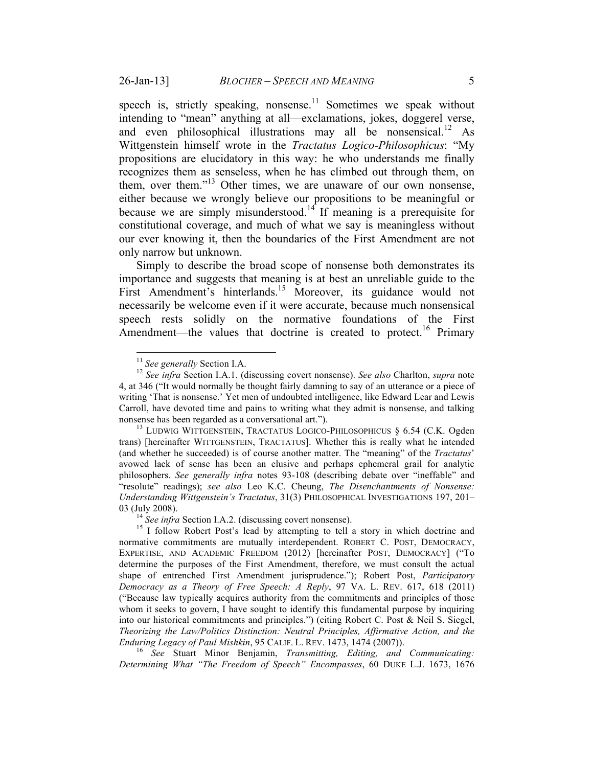speech is, strictly speaking, nonsense.<sup>11</sup> Sometimes we speak without intending to "mean" anything at all—exclamations, jokes, doggerel verse, and even philosophical illustrations may all be nonsensical. <sup>12</sup> As Wittgenstein himself wrote in the *Tractatus Logico-Philosophicus*: "My propositions are elucidatory in this way: he who understands me finally recognizes them as senseless, when he has climbed out through them, on them, over them."<sup>13</sup> Other times, we are unaware of our own nonsense, either because we wrongly believe our propositions to be meaningful or because we are simply misunderstood.<sup>14</sup> If meaning is a prerequisite for constitutional coverage, and much of what we say is meaningless without our ever knowing it, then the boundaries of the First Amendment are not only narrow but unknown.

Simply to describe the broad scope of nonsense both demonstrates its importance and suggests that meaning is at best an unreliable guide to the First Amendment's hinterlands.<sup>15</sup> Moreover, its guidance would not necessarily be welcome even if it were accurate, because much nonsensical speech rests solidly on the normative foundations of the First Amendment—the values that doctrine is created to protect.<sup>16</sup> Primary

<sup>&</sup>lt;sup>11</sup> *See generally Section I.A. (discussing covert nonsense). <i>See also Charlton, supra note* <sup>12</sup> *See infra Section I.A.1. (discussing covert nonsense). <i>See also Charlton, supra note* 4, at 346 ("It would normally be thought fairly damning to say of an utterance or a piece of writing 'That is nonsense.' Yet men of undoubted intelligence, like Edward Lear and Lewis Carroll, have devoted time and pains to writing what they admit is nonsense, and talking nonsense has been regarded as a conversational art.").<br><sup>13</sup> LUDWIG WITTGENSTEIN, TRACTATUS LOGICO-PHILOSOPHICUS § 6.54 (C.K. Ogden

trans) [hereinafter WITTGENSTEIN, TRACTATUS]. Whether this is really what he intended (and whether he succeeded) is of course another matter. The "meaning" of the *Tractatus*' avowed lack of sense has been an elusive and perhaps ephemeral grail for analytic philosophers. *See generally infra* notes 93-108 (describing debate over "ineffable" and "resolute" readings); *see also* Leo K.C. Cheung, *The Disenchantments of Nonsense: Understanding Wittgenstein's Tractatus*, 31(3) PHILOSOPHICAL INVESTIGATIONS 197, 201–

<sup>03 (</sup>July 2008).<br><sup>14</sup> *See infra* Section I.A.2. (discussing covert nonsense).<br><sup>15</sup> I follow Robert Post's lead by attempting to tell a story in which doctrine and normative commitments are mutually interdependent. ROBERT C. POST, DEMOCRACY, EXPERTISE, AND ACADEMIC FREEDOM (2012) [hereinafter POST, DEMOCRACY] ("To determine the purposes of the First Amendment, therefore, we must consult the actual shape of entrenched First Amendment jurisprudence."); Robert Post, *Participatory Democracy as a Theory of Free Speech: A Reply*, 97 VA. L. REV. 617, 618 (2011) ("Because law typically acquires authority from the commitments and principles of those whom it seeks to govern, I have sought to identify this fundamental purpose by inquiring into our historical commitments and principles.") (citing Robert C. Post & Neil S. Siegel, *Theorizing the Law/Politics Distinction: Neutral Principles, Affirmative Action, and the Enduring Legacy of Paul Mishkin*, 95 CALIF. L. REV. 1473, 1474 (2007)). <sup>16</sup> *See* Stuart Minor Benjamin, *Transmitting, Editing, and Communicating:* 

*Determining What "The Freedom of Speech" Encompasses*, 60 DUKE L.J. 1673, 1676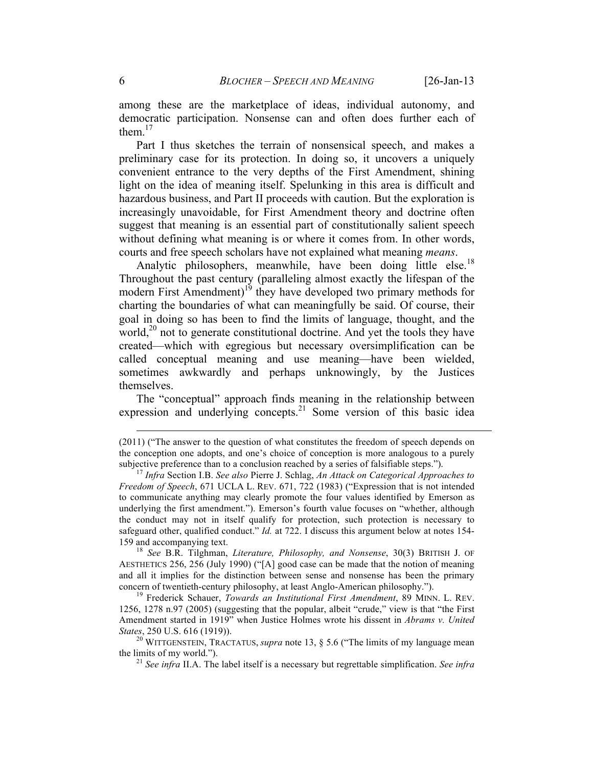among these are the marketplace of ideas, individual autonomy, and democratic participation. Nonsense can and often does further each of them. 17

Part I thus sketches the terrain of nonsensical speech, and makes a preliminary case for its protection. In doing so, it uncovers a uniquely convenient entrance to the very depths of the First Amendment, shining light on the idea of meaning itself. Spelunking in this area is difficult and hazardous business, and Part II proceeds with caution. But the exploration is increasingly unavoidable, for First Amendment theory and doctrine often suggest that meaning is an essential part of constitutionally salient speech without defining what meaning is or where it comes from. In other words, courts and free speech scholars have not explained what meaning *means*.

Analytic philosophers, meanwhile, have been doing little else.<sup>18</sup> Throughout the past century (paralleling almost exactly the lifespan of the modern First Amendment)<sup>19</sup> they have developed two primary methods for charting the boundaries of what can meaningfully be said. Of course, their goal in doing so has been to find the limits of language, thought, and the world,<sup>20</sup> not to generate constitutional doctrine. And yet the tools they have created—which with egregious but necessary oversimplification can be called conceptual meaning and use meaning—have been wielded, sometimes awkwardly and perhaps unknowingly, by the Justices themselves.

The "conceptual" approach finds meaning in the relationship between expression and underlying concepts. $21$  Some version of this basic idea

<sup>18</sup> *See* B.R. Tilghman, *Literature, Philosophy, and Nonsense*, 30(3) BRITISH J. OF AESTHETICS 256, 256 (July 1990) ("[A] good case can be made that the notion of meaning and all it implies for the distinction between sense and nonsense has been the primary concern of twentieth-century philosophy, at least Anglo-American philosophy."). <sup>19</sup> Frederick Schauer, *Towards an Institutional First Amendment*, 89 MINN. L. REV.

1256, 1278 n.97 (2005) (suggesting that the popular, albeit "crude," view is that "the First Amendment started in 1919" when Justice Holmes wrote his dissent in *Abrams v. United States*, 250 U.S. 616 (1919)).

<sup>20</sup> WITTGENSTEIN, TRACTATUS, *supra* note 13, § 5.6 ("The limits of my language mean the limits of my world."). 21 *See infra* II.A. The label itself is a necessary but regrettable simplification. *See infra*

 $\overline{a}$ 

<sup>(2011) (&</sup>quot;The answer to the question of what constitutes the freedom of speech depends on the conception one adopts, and one's choice of conception is more analogous to a purely subjective preference than to a conclusion reached by a series of falsifiable steps."). <sup>17</sup> *Infra* Section I.B. *See also* Pierre J. Schlag, *An Attack on Categorical Approaches to* 

*Freedom of Speech*, 671 UCLA L. REV. 671, 722 (1983) ("Expression that is not intended to communicate anything may clearly promote the four values identified by Emerson as underlying the first amendment."). Emerson's fourth value focuses on "whether, although the conduct may not in itself qualify for protection, such protection is necessary to safeguard other, qualified conduct." *Id.* at 722. I discuss this argument below at notes 154- 159 and accompanying text.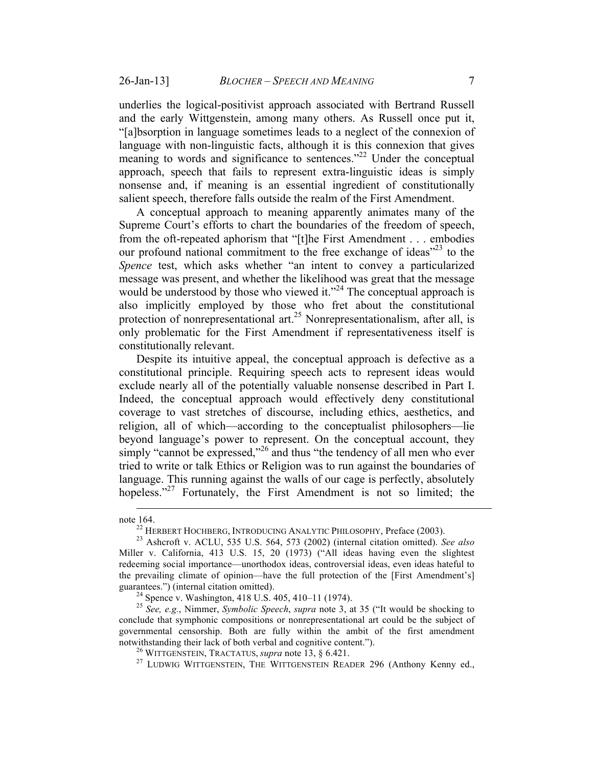underlies the logical-positivist approach associated with Bertrand Russell and the early Wittgenstein, among many others. As Russell once put it, "[a]bsorption in language sometimes leads to a neglect of the connexion of language with non-linguistic facts, although it is this connexion that gives meaning to words and significance to sentences."<sup>22</sup> Under the conceptual approach, speech that fails to represent extra-linguistic ideas is simply nonsense and, if meaning is an essential ingredient of constitutionally salient speech, therefore falls outside the realm of the First Amendment.

A conceptual approach to meaning apparently animates many of the Supreme Court's efforts to chart the boundaries of the freedom of speech, from the oft-repeated aphorism that "[t]he First Amendment . . . embodies our profound national commitment to the free exchange of ideas $^{22}$  to the *Spence* test, which asks whether "an intent to convey a particularized message was present, and whether the likelihood was great that the message would be understood by those who viewed it."<sup>24</sup> The conceptual approach is also implicitly employed by those who fret about the constitutional protection of nonrepresentational art. <sup>25</sup> Nonrepresentationalism, after all, is only problematic for the First Amendment if representativeness itself is constitutionally relevant.

Despite its intuitive appeal, the conceptual approach is defective as a constitutional principle. Requiring speech acts to represent ideas would exclude nearly all of the potentially valuable nonsense described in Part I. Indeed, the conceptual approach would effectively deny constitutional coverage to vast stretches of discourse, including ethics, aesthetics, and religion, all of which—according to the conceptualist philosophers—lie beyond language's power to represent. On the conceptual account, they simply "cannot be expressed,"<sup>26</sup> and thus "the tendency of all men who ever tried to write or talk Ethics or Religion was to run against the boundaries of language. This running against the walls of our cage is perfectly, absolutely hopeless."<sup>27</sup> Fortunately, the First Amendment is not so limited; the

note 164. <sup>22</sup> HERBERT HOCHBERG, INTRODUCING ANALYTIC PHILOSOPHY, Preface (2003). <sup>23</sup> Ashcroft v. ACLU, 535 U.S. 564, 573 (2002) (internal citation omitted). *See also*  Miller v. California, 413 U.S. 15, 20 (1973) ("All ideas having even the slightest redeeming social importance—unorthodox ideas, controversial ideas, even ideas hateful to the prevailing climate of opinion—have the full protection of the [First Amendment's] guarantees.") (internal citation omitted).<br><sup>24</sup> Spence v. Washington, 418 U.S. 405, 410–11 (1974).<br><sup>25</sup> *See, e.g.*, Nimmer, *Symbolic Speech*, *supra* note 3, at 35 ("It would be shocking to

conclude that symphonic compositions or nonrepresentational art could be the subject of governmental censorship. Both are fully within the ambit of the first amendment notwithstanding their lack of both verbal and cognitive content.").<br><sup>26</sup> WITTGENSTEIN, TRACTATUS, *supra* note 13, § 6.421.<br><sup>27</sup> LUDWIG WITTGENSTEIN, THE WITTGENSTEIN READER 296 (Anthony Kenny ed.,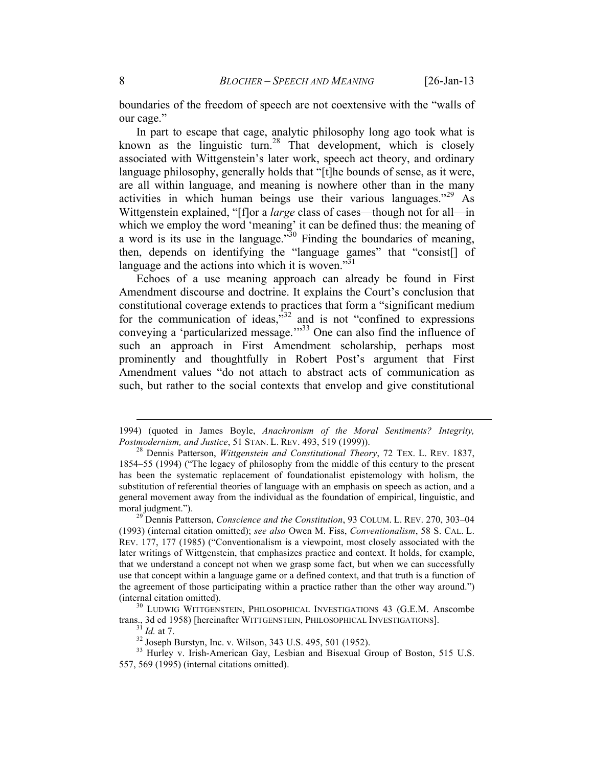boundaries of the freedom of speech are not coextensive with the "walls of our cage."

In part to escape that cage, analytic philosophy long ago took what is known as the linguistic turn.<sup>28</sup> That development, which is closely associated with Wittgenstein's later work, speech act theory, and ordinary language philosophy, generally holds that "[t]he bounds of sense, as it were, are all within language, and meaning is nowhere other than in the many activities in which human beings use their various languages."<sup>29</sup> As Wittgenstein explained, "[f]or a *large* class of cases—though not for all—in which we employ the word 'meaning' it can be defined thus: the meaning of a word is its use in the language.<sup> $30$ </sup> Finding the boundaries of meaning, then, depends on identifying the "language games" that "consist[] of language and the actions into which it is woven."<sup>31</sup>

Echoes of a use meaning approach can already be found in First Amendment discourse and doctrine. It explains the Court's conclusion that constitutional coverage extends to practices that form a "significant medium for the communication of ideas,<sup>332</sup> and is not "confined to expressions" conveying a 'particularized message.'<sup>33</sup> One can also find the influence of such an approach in First Amendment scholarship, perhaps most prominently and thoughtfully in Robert Post's argument that First Amendment values "do not attach to abstract acts of communication as such, but rather to the social contexts that envelop and give constitutional

 <sup>1994)</sup> (quoted in James Boyle, *Anachronism of the Moral Sentiments? Integrity, Postmodernism, and Justice,* 51 STAN. L. REV. 493, 519 (1999)).<br><sup>28</sup> Dennis Patterson, *Wittgenstein and Constitutional Theory*, 72 TEX. L. REV. 1837,

<sup>1854–55 (1994) (&</sup>quot;The legacy of philosophy from the middle of this century to the present has been the systematic replacement of foundationalist epistemology with holism, the substitution of referential theories of language with an emphasis on speech as action, and a general movement away from the individual as the foundation of empirical, linguistic, and moral judgment.").<br><sup>29</sup> Dennis Patterson, *Conscience and the Constitution*, 93 COLUM. L. REV. 270, 303–04

<sup>(1993) (</sup>internal citation omitted); *see also* Owen M. Fiss, *Conventionalism*, 58 S. CAL. L. REV. 177, 177 (1985) ("Conventionalism is a viewpoint, most closely associated with the later writings of Wittgenstein, that emphasizes practice and context. It holds, for example, that we understand a concept not when we grasp some fact, but when we can successfully use that concept within a language game or a defined context, and that truth is a function of the agreement of those participating within a practice rather than the other way around.") (internal citation omitted). <sup>30</sup> LUDWIG WITTGENSTEIN, PHILOSOPHICAL INVESTIGATIONS 43 (G.E.M. Anscombe

trans., 3d ed 1958) [hereinafter WITTGENSTEIN, PHILOSOPHICAL INVESTIGATIONS].<br><sup>31</sup> *Id.* at 7.<br><sup>32</sup> Joseph Burstyn, Inc. v. Wilson, 343 U.S. 495, 501 (1952).<br><sup>33</sup> Hurley v. Irish-American Gay, Lesbian and Bisexual Group o

<sup>557, 569 (1995)</sup> (internal citations omitted).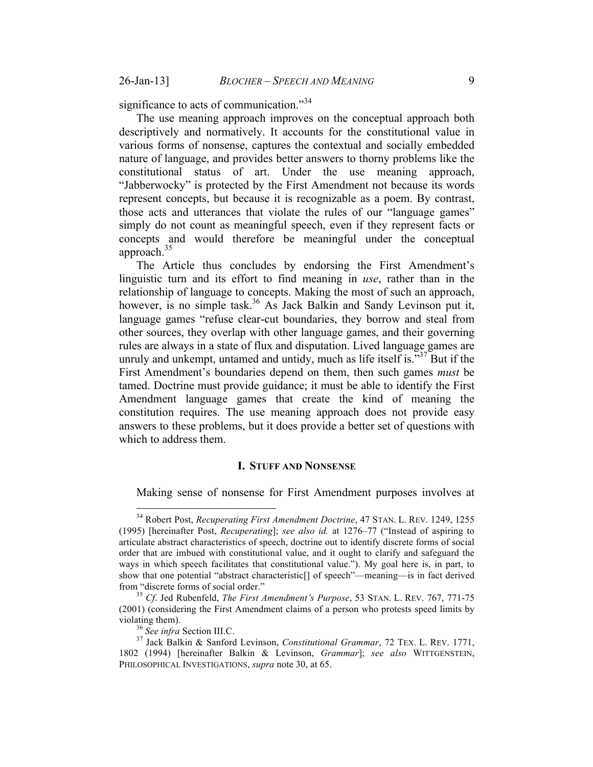significance to acts of communication."<sup>34</sup>

The use meaning approach improves on the conceptual approach both descriptively and normatively. It accounts for the constitutional value in various forms of nonsense, captures the contextual and socially embedded nature of language, and provides better answers to thorny problems like the constitutional status of art. Under the use meaning approach, "Jabberwocky" is protected by the First Amendment not because its words represent concepts, but because it is recognizable as a poem. By contrast, those acts and utterances that violate the rules of our "language games" simply do not count as meaningful speech, even if they represent facts or concepts and would therefore be meaningful under the conceptual approach. 35

The Article thus concludes by endorsing the First Amendment's linguistic turn and its effort to find meaning in *use*, rather than in the relationship of language to concepts. Making the most of such an approach, however, is no simple task.<sup>36</sup> As Jack Balkin and Sandy Levinson put it, language games "refuse clear-cut boundaries, they borrow and steal from other sources, they overlap with other language games, and their governing rules are always in a state of flux and disputation. Lived language games are unruly and unkempt, untamed and untidy, much as life itself is.<sup>337</sup> But if the First Amendment's boundaries depend on them, then such games *must* be tamed. Doctrine must provide guidance; it must be able to identify the First Amendment language games that create the kind of meaning the constitution requires. The use meaning approach does not provide easy answers to these problems, but it does provide a better set of questions with which to address them.

#### **I. STUFF AND NONSENSE**

Making sense of nonsense for First Amendment purposes involves at

 <sup>34</sup> Robert Post, *Recuperating First Amendment Doctrine*, 47 STAN. L. REV. 1249, 1255 (1995) [hereinafter Post, *Recuperating*]; *see also id.* at 1276–77 ("Instead of aspiring to articulate abstract characteristics of speech, doctrine out to identify discrete forms of social order that are imbued with constitutional value, and it ought to clarify and safeguard the ways in which speech facilitates that constitutional value."). My goal here is, in part, to show that one potential "abstract characteristic[] of speech"—meaning—is in fact derived from "discrete forms of social order." <sup>35</sup> *Cf*. Jed Rubenfeld, *The First Amendment's Purpose*, 53 STAN. L. REV. 767, 771-75

<sup>(2001) (</sup>considering the First Amendment claims of a person who protests speed limits by violating them).<br><sup>36</sup> *See infra* Section III.C.<br><sup>37</sup> Jack Balkin & Sanford Levinson, *Constitutional Grammar*, 72 TEX. L. REV. 1771,

<sup>1802 (1994) [</sup>hereinafter Balkin & Levinson, *Grammar*]; *see also* WITTGENSTEIN, PHILOSOPHICAL INVESTIGATIONS, *supra* note 30, at 65.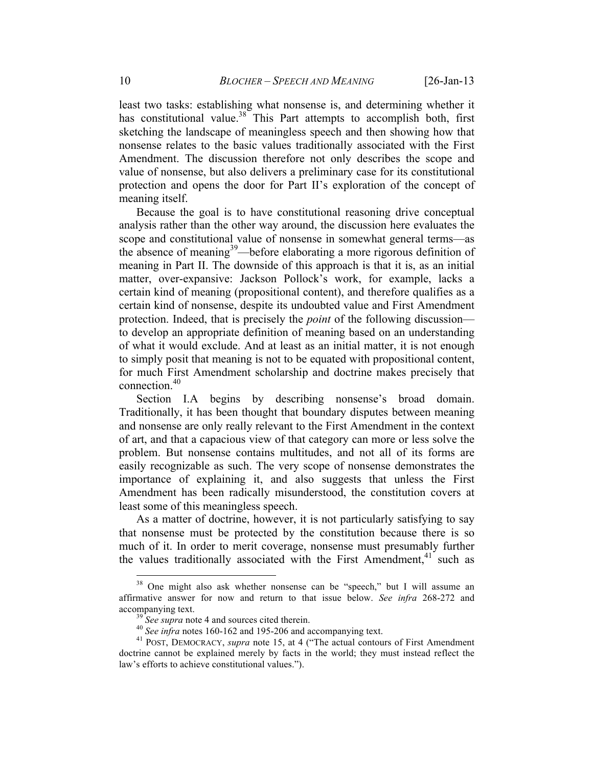least two tasks: establishing what nonsense is, and determining whether it has constitutional value.<sup>38</sup> This Part attempts to accomplish both, first sketching the landscape of meaningless speech and then showing how that nonsense relates to the basic values traditionally associated with the First Amendment. The discussion therefore not only describes the scope and value of nonsense, but also delivers a preliminary case for its constitutional protection and opens the door for Part II's exploration of the concept of meaning itself.

Because the goal is to have constitutional reasoning drive conceptual analysis rather than the other way around, the discussion here evaluates the scope and constitutional value of nonsense in somewhat general terms—as the absence of meaning<sup>39</sup>—before elaborating a more rigorous definition of meaning in Part II. The downside of this approach is that it is, as an initial matter, over-expansive: Jackson Pollock's work, for example, lacks a certain kind of meaning (propositional content), and therefore qualifies as a certain kind of nonsense, despite its undoubted value and First Amendment protection. Indeed, that is precisely the *point* of the following discussion to develop an appropriate definition of meaning based on an understanding of what it would exclude. And at least as an initial matter, it is not enough to simply posit that meaning is not to be equated with propositional content, for much First Amendment scholarship and doctrine makes precisely that connection.<sup>40</sup>

Section I.A begins by describing nonsense's broad domain. Traditionally, it has been thought that boundary disputes between meaning and nonsense are only really relevant to the First Amendment in the context of art, and that a capacious view of that category can more or less solve the problem. But nonsense contains multitudes, and not all of its forms are easily recognizable as such. The very scope of nonsense demonstrates the importance of explaining it, and also suggests that unless the First Amendment has been radically misunderstood, the constitution covers at least some of this meaningless speech.

As a matter of doctrine, however, it is not particularly satisfying to say that nonsense must be protected by the constitution because there is so much of it. In order to merit coverage, nonsense must presumably further the values traditionally associated with the First Amendment,<sup>41</sup> such as

<sup>&</sup>lt;sup>38</sup> One might also ask whether nonsense can be "speech," but I will assume an affirmative answer for now and return to that issue below. *See infra* 268-272 and accompanying text.<br><sup>39</sup> See supra note 4 and sources cited therein.<br><sup>40</sup> See infra notes 160-162 and 195-206 and accompanying text.<br><sup>41</sup> POST, DEMOCRACY, *supra* note 15, at 4 ("The actual contours of First Amendment

doctrine cannot be explained merely by facts in the world; they must instead reflect the law's efforts to achieve constitutional values.").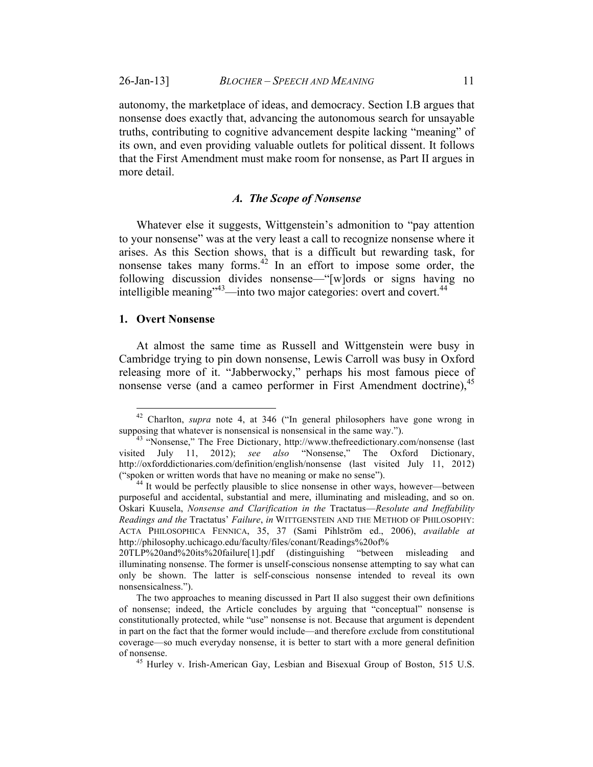autonomy, the marketplace of ideas, and democracy. Section I.B argues that nonsense does exactly that, advancing the autonomous search for unsayable truths, contributing to cognitive advancement despite lacking "meaning" of its own, and even providing valuable outlets for political dissent. It follows that the First Amendment must make room for nonsense, as Part II argues in more detail.

#### *A. The Scope of Nonsense*

Whatever else it suggests, Wittgenstein's admonition to "pay attention to your nonsense" was at the very least a call to recognize nonsense where it arises. As this Section shows, that is a difficult but rewarding task, for nonsense takes many forms. $42$  In an effort to impose some order, the following discussion divides nonsense—"[w]ords or signs having no intelligible meaning"<sup>43</sup>—into two major categories: overt and covert.<sup>44</sup>

#### **1. Overt Nonsense**

At almost the same time as Russell and Wittgenstein were busy in Cambridge trying to pin down nonsense, Lewis Carroll was busy in Oxford releasing more of it. "Jabberwocky," perhaps his most famous piece of nonsense verse (and a cameo performer in First Amendment doctrine), <sup>45</sup>

 <sup>42</sup> Charlton, *supra* note 4, at 346 ("In general philosophers have gone wrong in supposing that whatever is nonsensical is nonsensical in the same way.").<br><sup>43</sup> "Nonsense," The Free Dictionary, http://www.thefreedictionary.com/nonsense (last

visited July 11, 2012); *see also* "Nonsense," The Oxford Dictionary, http://oxforddictionaries.com/definition/english/nonsense (last visited July 11, 2012) ("spoken or written words that have no meaning or make no sense").<br> $^{44}$  It would be perfectly plausible to slice nonsense in other ways, however—between

purposeful and accidental, substantial and mere, illuminating and misleading, and so on. Oskari Kuusela, *Nonsense and Clarification in the* Tractatus—*Resolute and Ineffability Readings and the* Tractatus' *Failure*, *in* WITTGENSTEIN AND THE METHOD OF PHILOSOPHY: ACTA PHILOSOPHICA FENNICA, 35, 37 (Sami Pihlström ed., 2006), *available at*  http://philosophy.uchicago.edu/faculty/files/conant/Readings%20of%

<sup>20</sup>TLP%20and%20its%20failure[1].pdf (distinguishing "between misleading and illuminating nonsense. The former is unself-conscious nonsense attempting to say what can only be shown. The latter is self-conscious nonsense intended to reveal its own nonsensicalness.").

The two approaches to meaning discussed in Part II also suggest their own definitions of nonsense; indeed, the Article concludes by arguing that "conceptual" nonsense is constitutionally protected, while "use" nonsense is not. Because that argument is dependent in part on the fact that the former would include—and therefore *ex*clude from constitutional coverage—so much everyday nonsense, it is better to start with a more general definition of nonsense. <sup>45</sup> Hurley v. Irish-American Gay, Lesbian and Bisexual Group of Boston, 515 U.S.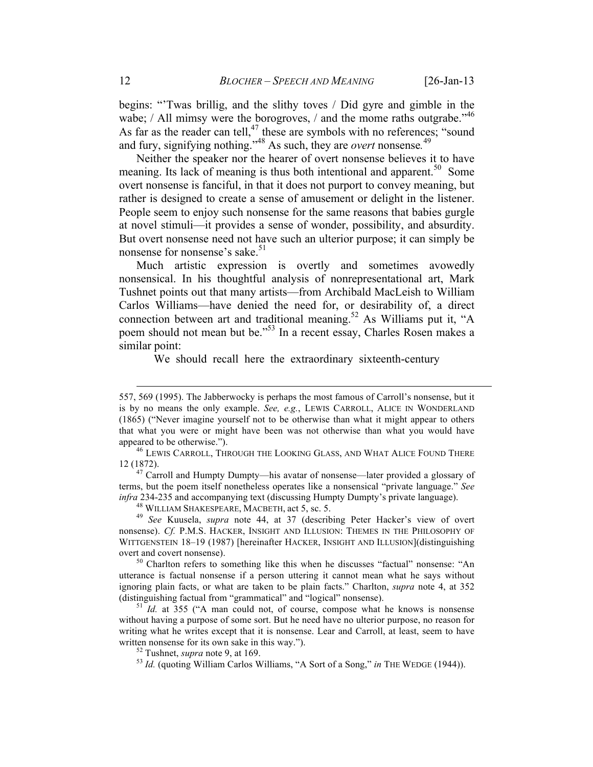begins: "'Twas brillig, and the slithy toves / Did gyre and gimble in the wabe; / All mimsy were the borogroves, / and the mome raths outgrabe.<sup> $46$ </sup> As far as the reader can tell, $47$  these are symbols with no references; "sound and fury, signifying nothing."<sup>48</sup> As such, they are *overt* nonsense.<sup>49</sup>

Neither the speaker nor the hearer of overt nonsense believes it to have meaning. Its lack of meaning is thus both intentional and apparent.<sup>50</sup> Some overt nonsense is fanciful, in that it does not purport to convey meaning, but rather is designed to create a sense of amusement or delight in the listener. People seem to enjoy such nonsense for the same reasons that babies gurgle at novel stimuli—it provides a sense of wonder, possibility, and absurdity. But overt nonsense need not have such an ulterior purpose; it can simply be nonsense for nonsense's sake.<sup>51</sup>

Much artistic expression is overtly and sometimes avowedly nonsensical. In his thoughtful analysis of nonrepresentational art, Mark Tushnet points out that many artists—from Archibald MacLeish to William Carlos Williams—have denied the need for, or desirability of, a direct connection between art and traditional meaning.<sup>52</sup> As Williams put it, "A poem should not mean but be."53 In a recent essay, Charles Rosen makes a similar point:

We should recall here the extraordinary sixteenth-century

 <sup>557, 569 (1995).</sup> The Jabberwocky is perhaps the most famous of Carroll's nonsense, but it is by no means the only example. *See, e.g.*, LEWIS CARROLL, ALICE IN WONDERLAND (1865) ("Never imagine yourself not to be otherwise than what it might appear to others that what you were or might have been was not otherwise than what you would have appeared to be otherwise.").<br><sup>46</sup> LEWIS CARROLL, THROUGH THE LOOKING GLASS, AND WHAT ALICE FOUND THERE

<sup>12</sup> (1872).

 $47$  Carroll and Humpty Dumpty—his avatar of nonsense—later provided a glossary of terms, but the poem itself nonetheless operates like a nonsensical "private language." *See infra* 234-235 and accompanying text (discussing Humpty Dumpty's private language).<br><sup>48</sup> WILLIAM SHAKESPEARE, MACBETH, act 5, sc. 5.<br><sup>49</sup> See Kuusela, *supra* note 44, at 37 (describing Peter Hacker's view of overt

nonsense). *Cf.* P.M.S. HACKER, INSIGHT AND ILLUSION: THEMES IN THE PHILOSOPHY OF WITTGENSTEIN 18–19 (1987) [hereinafter HACKER, INSIGHT AND ILLUSION](distinguishing overt and covert nonsense).<br><sup>50</sup> Charlton refers to something like this when he discusses "factual" nonsense: "An

utterance is factual nonsense if a person uttering it cannot mean what he says without ignoring plain facts, or what are taken to be plain facts." Charlton, *supra* note 4, at 352 (distinguishing factual from "grammatical" and "logical" nonsense). <sup>51</sup> *Id.* at 355 ("A man could not, of course, compose what he knows is nonsense

without having a purpose of some sort. But he need have no ulterior purpose, no reason for writing what he writes except that it is nonsense. Lear and Carroll, at least, seem to have written nonsense for its own sake in this way.").<br><sup>52</sup> Tushnet, *supra* note 9, at 169.<br><sup>53</sup> *Id.* (quoting William Carlos Williams, "A Sort of a Song," *in* THE WEDGE (1944)).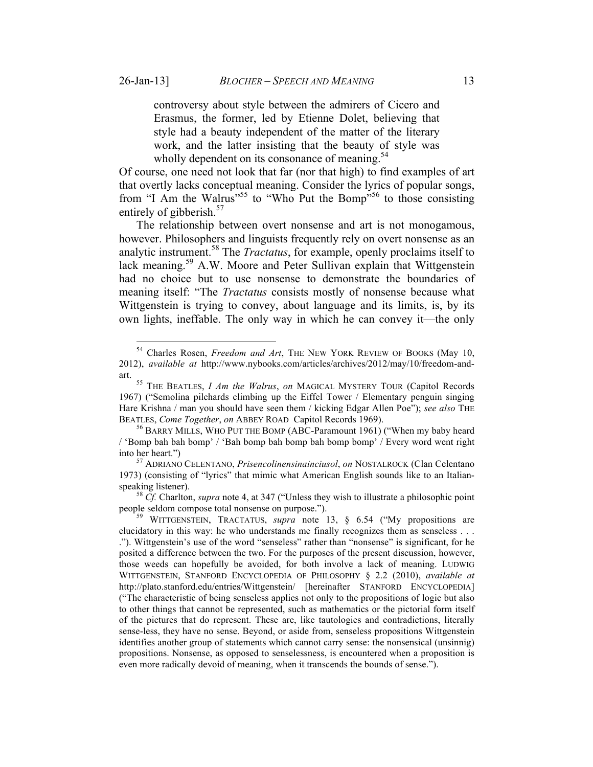controversy about style between the admirers of Cicero and Erasmus, the former, led by Etienne Dolet, believing that style had a beauty independent of the matter of the literary work, and the latter insisting that the beauty of style was wholly dependent on its consonance of meaning.<sup>54</sup>

Of course, one need not look that far (nor that high) to find examples of art that overtly lacks conceptual meaning. Consider the lyrics of popular songs, from "I Am the Walrus"<sup>55</sup> to "Who Put the Bomp"<sup>56</sup> to those consisting entirely of gibberish. $57$ 

The relationship between overt nonsense and art is not monogamous, however. Philosophers and linguists frequently rely on overt nonsense as an analytic instrument. <sup>58</sup> The *Tractatus*, for example, openly proclaims itself to lack meaning.<sup>59</sup> A.W. Moore and Peter Sullivan explain that Wittgenstein had no choice but to use nonsense to demonstrate the boundaries of meaning itself: "The *Tractatus* consists mostly of nonsense because what Wittgenstein is trying to convey, about language and its limits, is, by its own lights, ineffable. The only way in which he can convey it—the only

 <sup>54</sup> Charles Rosen, *Freedom and Art*, THE NEW YORK REVIEW OF BOOKS (May 10, 2012), *available at* http://www.nybooks.com/articles/archives/2012/may/10/freedom-and-

art. <sup>55</sup> THE BEATLES, *I Am the Walrus*, *on* MAGICAL MYSTERY TOUR (Capitol Records 1967) ("Semolina pilchards climbing up the Eiffel Tower / Elementary penguin singing Hare Krishna / man you should have seen them / kicking Edgar Allen Poe"); *see also* THE BEATLES, *Come Together*, *on* ABBEY ROAD Capitol Records 1969).<br><sup>56</sup> BARRY MILLS, WHO PUT THE BOMP (ABC-Paramount 1961) ("When my baby heard

<sup>/ &#</sup>x27;Bomp bah bah bomp' / 'Bah bomp bah bomp bah bomp bomp' / Every word went right into her heart.") <sup>57</sup> ADRIANO CELENTANO, *Prisencolinensinainciusol*, *on* NOSTALROCK (Clan Celentano

<sup>1973) (</sup>consisting of "lyrics" that mimic what American English sounds like to an Italian-

speaking listener).<br><sup>58</sup> *Cf.* Charlton, *supra* note 4, at 347 ("Unless they wish to illustrate a philosophic point people seldom compose total nonsense on purpose.").

<sup>&</sup>lt;sup>59</sup> WITTGENSTEIN, TRACTATUS, *supra* note 13, § 6.54 ("My propositions are elucidatory in this way: he who understands me finally recognizes them as senseless . . . ."). Wittgenstein's use of the word "senseless" rather than "nonsense" is significant, for he posited a difference between the two. For the purposes of the present discussion, however, those weeds can hopefully be avoided, for both involve a lack of meaning. LUDWIG WITTGENSTEIN, STANFORD ENCYCLOPEDIA OF PHILOSOPHY § 2.2 (2010), *available at* http://plato.stanford.edu/entries/Wittgenstein/ [hereinafter STANFORD ENCYCLOPEDIA] ("The characteristic of being senseless applies not only to the propositions of logic but also to other things that cannot be represented, such as mathematics or the pictorial form itself of the pictures that do represent. These are, like tautologies and contradictions, literally sense-less, they have no sense. Beyond, or aside from, senseless propositions Wittgenstein identifies another group of statements which cannot carry sense: the nonsensical (unsinnig) propositions. Nonsense, as opposed to senselessness, is encountered when a proposition is even more radically devoid of meaning, when it transcends the bounds of sense.").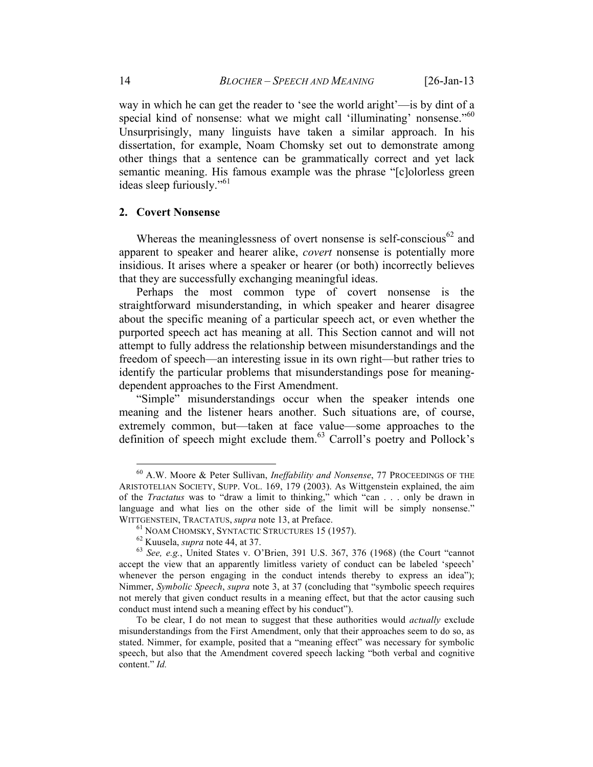way in which he can get the reader to 'see the world aright'—is by dint of a special kind of nonsense: what we might call 'illuminating' nonsense."<sup>60</sup> Unsurprisingly, many linguists have taken a similar approach. In his dissertation, for example, Noam Chomsky set out to demonstrate among other things that a sentence can be grammatically correct and yet lack semantic meaning. His famous example was the phrase "[c]olorless green ideas sleep furiously."<sup>61</sup>

#### **2. Covert Nonsense**

Whereas the meaninglessness of overt nonsense is self-conscious<sup>62</sup> and apparent to speaker and hearer alike, *covert* nonsense is potentially more insidious. It arises where a speaker or hearer (or both) incorrectly believes that they are successfully exchanging meaningful ideas.

Perhaps the most common type of covert nonsense is the straightforward misunderstanding, in which speaker and hearer disagree about the specific meaning of a particular speech act, or even whether the purported speech act has meaning at all. This Section cannot and will not attempt to fully address the relationship between misunderstandings and the freedom of speech—an interesting issue in its own right—but rather tries to identify the particular problems that misunderstandings pose for meaningdependent approaches to the First Amendment.

"Simple" misunderstandings occur when the speaker intends one meaning and the listener hears another. Such situations are, of course, extremely common, but—taken at face value—some approaches to the definition of speech might exclude them.<sup>63</sup> Carroll's poetry and Pollock's

 <sup>60</sup> A.W. Moore & Peter Sullivan, *Ineffability and Nonsense*, 77 PROCEEDINGS OF THE ARISTOTELIAN SOCIETY, SUPP. VOL. 169, 179 (2003). As Wittgenstein explained, the aim of the *Tractatus* was to "draw a limit to thinking," which "can . . . only be drawn in language and what lies on the other side of the limit will be simply nonsense." WITTGENSTEIN, TRACTATUS, *supra* note 13, at Preface.<br><sup>61</sup> NOAM CHOMSKY, SYNTACTIC STRUCTURES 15 (1957).<br><sup>62</sup> Kuusela, *supra* note 44, at 37.<br><sup>63</sup> See, e.g., United States v. O'Brien, 391 U.S. 367, 376 (1968) (the Court "

accept the view that an apparently limitless variety of conduct can be labeled 'speech' whenever the person engaging in the conduct intends thereby to express an idea"); Nimmer, *Symbolic Speech*, *supra* note 3, at 37 (concluding that "symbolic speech requires not merely that given conduct results in a meaning effect, but that the actor causing such conduct must intend such a meaning effect by his conduct").

To be clear, I do not mean to suggest that these authorities would *actually* exclude misunderstandings from the First Amendment, only that their approaches seem to do so, as stated. Nimmer, for example, posited that a "meaning effect" was necessary for symbolic speech, but also that the Amendment covered speech lacking "both verbal and cognitive content." *Id.*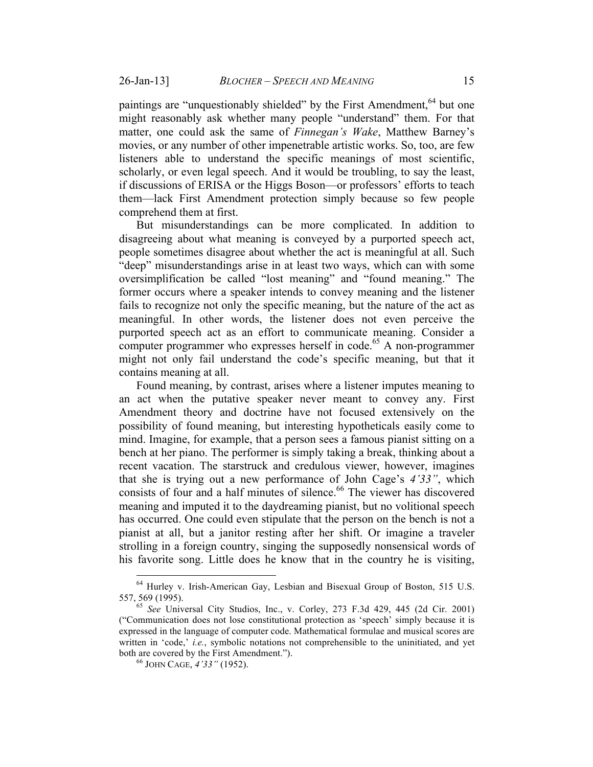paintings are "unquestionably shielded" by the First Amendment, <sup>64</sup> but one might reasonably ask whether many people "understand" them. For that matter, one could ask the same of *Finnegan's Wake*, Matthew Barney's movies, or any number of other impenetrable artistic works. So, too, are few listeners able to understand the specific meanings of most scientific, scholarly, or even legal speech. And it would be troubling, to say the least, if discussions of ERISA or the Higgs Boson—or professors' efforts to teach them—lack First Amendment protection simply because so few people comprehend them at first.

But misunderstandings can be more complicated. In addition to disagreeing about what meaning is conveyed by a purported speech act, people sometimes disagree about whether the act is meaningful at all. Such "deep" misunderstandings arise in at least two ways, which can with some oversimplification be called "lost meaning" and "found meaning." The former occurs where a speaker intends to convey meaning and the listener fails to recognize not only the specific meaning, but the nature of the act as meaningful. In other words, the listener does not even perceive the purported speech act as an effort to communicate meaning. Consider a computer programmer who expresses herself in code.<sup>65</sup> A non-programmer might not only fail understand the code's specific meaning, but that it contains meaning at all.

Found meaning, by contrast, arises where a listener imputes meaning to an act when the putative speaker never meant to convey any. First Amendment theory and doctrine have not focused extensively on the possibility of found meaning, but interesting hypotheticals easily come to mind. Imagine, for example, that a person sees a famous pianist sitting on a bench at her piano. The performer is simply taking a break, thinking about a recent vacation. The starstruck and credulous viewer, however, imagines that she is trying out a new performance of John Cage's *4'33"*, which consists of four and a half minutes of silence.<sup>66</sup> The viewer has discovered meaning and imputed it to the daydreaming pianist, but no volitional speech has occurred. One could even stipulate that the person on the bench is not a pianist at all, but a janitor resting after her shift. Or imagine a traveler strolling in a foreign country, singing the supposedly nonsensical words of his favorite song. Little does he know that in the country he is visiting,

<sup>&</sup>lt;sup>64</sup> Hurley v. Irish-American Gay, Lesbian and Bisexual Group of Boston, 515 U.S. 557, 569 (1995). <sup>65</sup> *See* Universal City Studios, Inc., v. Corley, 273 F.3d 429, 445 (2d Cir. 2001)

<sup>(&</sup>quot;Communication does not lose constitutional protection as 'speech' simply because it is expressed in the language of computer code. Mathematical formulae and musical scores are written in 'code,' *i.e.*, symbolic notations not comprehensible to the uninitiated, and yet both are covered by the First Amendment."). <sup>66</sup> JOHN CAGE, *4'33"* (1952).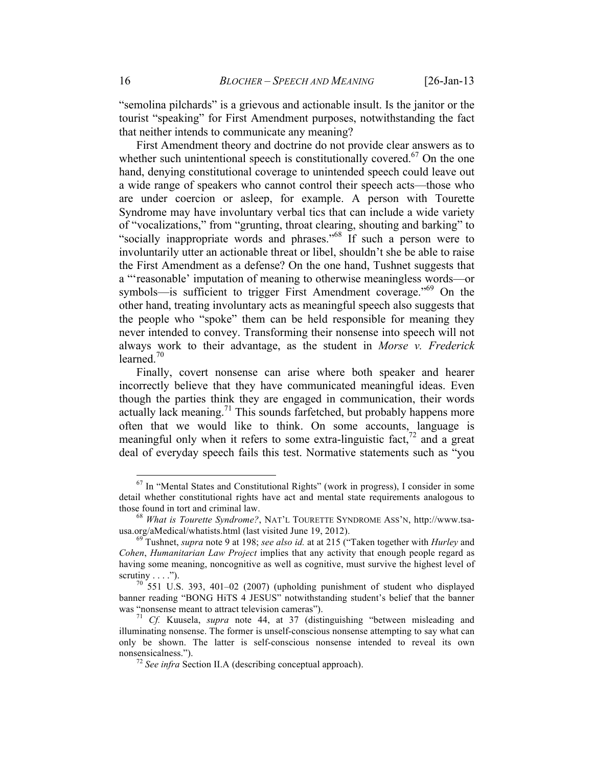"semolina pilchards" is a grievous and actionable insult. Is the janitor or the tourist "speaking" for First Amendment purposes, notwithstanding the fact that neither intends to communicate any meaning?

First Amendment theory and doctrine do not provide clear answers as to whether such unintentional speech is constitutionally covered.<sup>67</sup> On the one hand, denying constitutional coverage to unintended speech could leave out a wide range of speakers who cannot control their speech acts—those who are under coercion or asleep, for example. A person with Tourette Syndrome may have involuntary verbal tics that can include a wide variety of "vocalizations," from "grunting, throat clearing, shouting and barking" to "socially inappropriate words and phrases."68 If such a person were to involuntarily utter an actionable threat or libel, shouldn't she be able to raise the First Amendment as a defense? On the one hand, Tushnet suggests that a "'reasonable' imputation of meaning to otherwise meaningless words—or symbols—is sufficient to trigger First Amendment coverage.<sup>"69</sup> On the other hand, treating involuntary acts as meaningful speech also suggests that the people who "spoke" them can be held responsible for meaning they never intended to convey. Transforming their nonsense into speech will not always work to their advantage, as the student in *Morse v. Frederick* learned $10^{-70}$ 

Finally, covert nonsense can arise where both speaker and hearer incorrectly believe that they have communicated meaningful ideas. Even though the parties think they are engaged in communication, their words actually lack meaning.<sup>71</sup> This sounds farfetched, but probably happens more often that we would like to think. On some accounts, language is meaningful only when it refers to some extra-linguistic fact,  $\frac{72}{2}$  and a great deal of everyday speech fails this test. Normative statements such as "you

 $<sup>67</sup>$  In "Mental States and Constitutional Rights" (work in progress), I consider in some</sup> detail whether constitutional rights have act and mental state requirements analogous to those found in tort and criminal law.<br><sup>68</sup> *What is Tourette Syndrome?*, NAT'L TOURETTE SYNDROME ASS'N, http://www.tsa-

usa.org/aMedical/whatists.html (last visited June 19, 2012). <sup>69</sup> Tushnet, *supra* note 9 at 198; *see also id.* at at 215 ("Taken together with *Hurley* and

*Cohen*, *Humanitarian Law Project* implies that any activity that enough people regard as having some meaning, noncognitive as well as cognitive, must survive the highest level of scrutiny . . . .").<br> $\frac{70}{7}$  551 U.S. 393, 401–02 (2007) (upholding punishment of student who displayed

banner reading "BONG HiTS 4 JESUS" notwithstanding student's belief that the banner was "nonsense meant to attract television cameras").<br><sup>71</sup> *Cf.* Kuusela, *supra* note 44, at 37 (distinguishing "between misleading and

illuminating nonsense. The former is unself-conscious nonsense attempting to say what can only be shown. The latter is self-conscious nonsense intended to reveal its own nonsensicalness.").<br><sup>72</sup> *See infra* Section II.A (describing conceptual approach).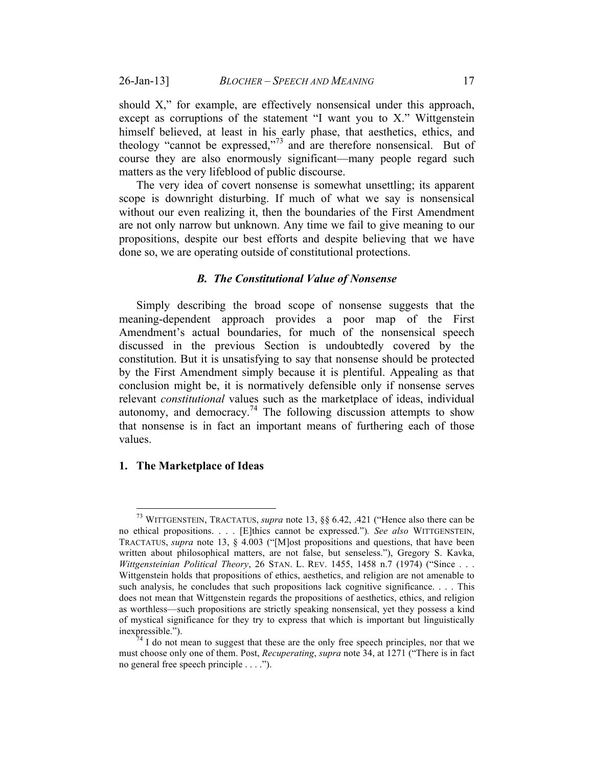should X," for example, are effectively nonsensical under this approach, except as corruptions of the statement "I want you to X." Wittgenstein himself believed, at least in his early phase, that aesthetics, ethics, and theology "cannot be expressed," $73$  and are therefore nonsensical. But of course they are also enormously significant—many people regard such matters as the very lifeblood of public discourse.

The very idea of covert nonsense is somewhat unsettling; its apparent scope is downright disturbing. If much of what we say is nonsensical without our even realizing it, then the boundaries of the First Amendment are not only narrow but unknown. Any time we fail to give meaning to our propositions, despite our best efforts and despite believing that we have done so, we are operating outside of constitutional protections.

#### *B. The Constitutional Value of Nonsense*

Simply describing the broad scope of nonsense suggests that the meaning-dependent approach provides a poor map of the First Amendment's actual boundaries, for much of the nonsensical speech discussed in the previous Section is undoubtedly covered by the constitution. But it is unsatisfying to say that nonsense should be protected by the First Amendment simply because it is plentiful. Appealing as that conclusion might be, it is normatively defensible only if nonsense serves relevant *constitutional* values such as the marketplace of ideas, individual autonomy, and democracy.<sup>74</sup> The following discussion attempts to show that nonsense is in fact an important means of furthering each of those values.

#### **1. The Marketplace of Ideas**

 <sup>73</sup> WITTGENSTEIN, TRACTATUS, *supra* note 13, §§ 6.42, .421 ("Hence also there can be no ethical propositions. . . . [E]thics cannot be expressed.")*. See also* WITTGENSTEIN, TRACTATUS, *supra* note 13, § 4.003 ("[M]ost propositions and questions, that have been written about philosophical matters, are not false, but senseless."), Gregory S. Kavka, *Wittgensteinian Political Theory*, 26 STAN. L. REV. 1455, 1458 n.7 (1974) ("Since . . . Wittgenstein holds that propositions of ethics, aesthetics, and religion are not amenable to such analysis, he concludes that such propositions lack cognitive significance. . . . This does not mean that Wittgenstein regards the propositions of aesthetics, ethics, and religion as worthless—such propositions are strictly speaking nonsensical, yet they possess a kind of mystical significance for they try to express that which is important but linguistically inexpressible.").  $\frac{74}{1}$  I do not mean to suggest that these are the only free speech principles, nor that we

must choose only one of them. Post, *Recuperating*, *supra* note 34, at 1271 ("There is in fact no general free speech principle . . . .").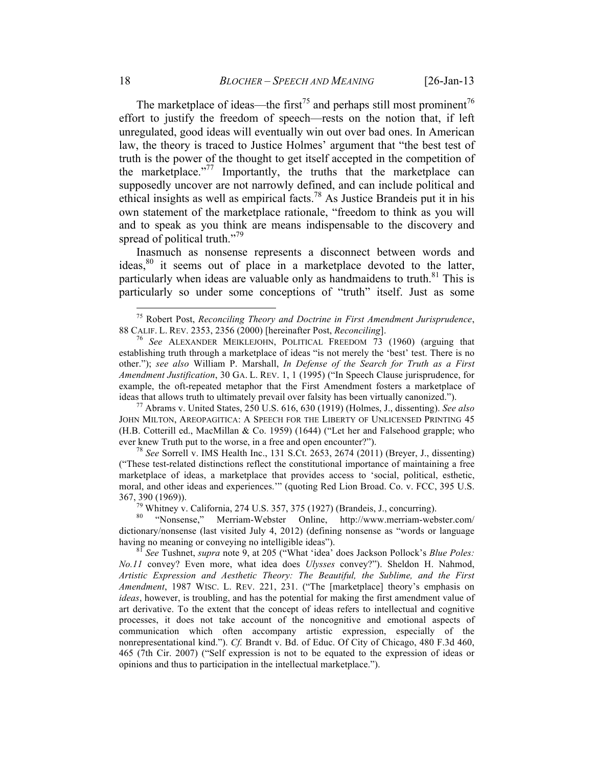The marketplace of ideas—the first<sup>75</sup> and perhaps still most prominent<sup>76</sup> effort to justify the freedom of speech—rests on the notion that, if left unregulated, good ideas will eventually win out over bad ones. In American law, the theory is traced to Justice Holmes' argument that "the best test of truth is the power of the thought to get itself accepted in the competition of the marketplace."77 Importantly, the truths that the marketplace can supposedly uncover are not narrowly defined, and can include political and ethical insights as well as empirical facts.<sup>78</sup> As Justice Brandeis put it in his own statement of the marketplace rationale, "freedom to think as you will and to speak as you think are means indispensable to the discovery and spread of political truth."<sup>79</sup>

Inasmuch as nonsense represents a disconnect between words and ideas, <sup>80</sup> it seems out of place in a marketplace devoted to the latter, particularly when ideas are valuable only as handmaidens to truth.<sup>81</sup> This is particularly so under some conceptions of "truth" itself. Just as some

JOHN MILTON, AREOPAGITICA: A SPEECH FOR THE LIBERTY OF UNLICENSED PRINTING 45 (H.B. Cotterill ed., MacMillan & Co. 1959) (1644) ("Let her and Falsehood grapple; who ever knew Truth put to the worse, in a free and open encounter?"). <sup>78</sup> *See* Sorrell v. IMS Health Inc., 131 S.Ct. 2653, 2674 (2011) (Breyer, J., dissenting)

("These test-related distinctions reflect the constitutional importance of maintaining a free marketplace of ideas, a marketplace that provides access to 'social, political, esthetic, moral, and other ideas and experiences.'" (quoting Red Lion Broad. Co. v. FCC, 395 U.S. 367, 390 (1969)).<br><sup>79</sup> Whitney v. California, 274 U.S. 357, 375 (1927) (Brandeis, J., concurring).<br><sup>80</sup> "Nonsense," Merriam-Webster Online, http://www.merriam-webster.com/

dictionary/nonsense (last visited July 4, 2012) (defining nonsense as "words or language having no meaning or conveying no intelligible ideas"). <sup>81</sup> *See* Tushnet, *supra* note 9, at 205 ("What 'idea' does Jackson Pollock's *Blue Poles:* 

*No.11* convey? Even more, what idea does *Ulysses* convey?"). Sheldon H. Nahmod, *Artistic Expression and Aesthetic Theory: The Beautiful, the Sublime, and the First Amendment*, 1987 WISC. L. REV. 221, 231. ("The [marketplace] theory's emphasis on *ideas*, however, is troubling, and has the potential for making the first amendment value of art derivative. To the extent that the concept of ideas refers to intellectual and cognitive processes, it does not take account of the noncognitive and emotional aspects of communication which often accompany artistic expression, especially of the nonrepresentational kind."). *Cf.* Brandt v. Bd. of Educ. Of City of Chicago, 480 F.3d 460, 465 (7th Cir. 2007) ("Self expression is not to be equated to the expression of ideas or opinions and thus to participation in the intellectual marketplace.").

<sup>&</sup>lt;sup>75</sup> Robert Post, *Reconciling Theory and Doctrine in First Amendment Jurisprudence*, 88 CALIF. L. REV. 2353, 2356 (2000) [hereinafter Post, *Reconciling*].

<sup>&</sup>lt;sup>76</sup> See ALEXANDER MEIKLEJOHN, POLITICAL FREEDOM 73 (1960) (arguing that establishing truth through a marketplace of ideas "is not merely the 'best' test. There is no other."); *see also* William P. Marshall, *In Defense of the Search for Truth as a First Amendment Justification*, 30 GA. L. REV. 1, 1 (1995) ("In Speech Clause jurisprudence, for example, the oft-repeated metaphor that the First Amendment fosters a marketplace of ideas that allows truth to ultimately prevail over falsity has been virtually canonized."). <sup>77</sup> Abrams v. United States, 250 U.S. 616, 630 (1919) (Holmes, J., dissenting). *See also*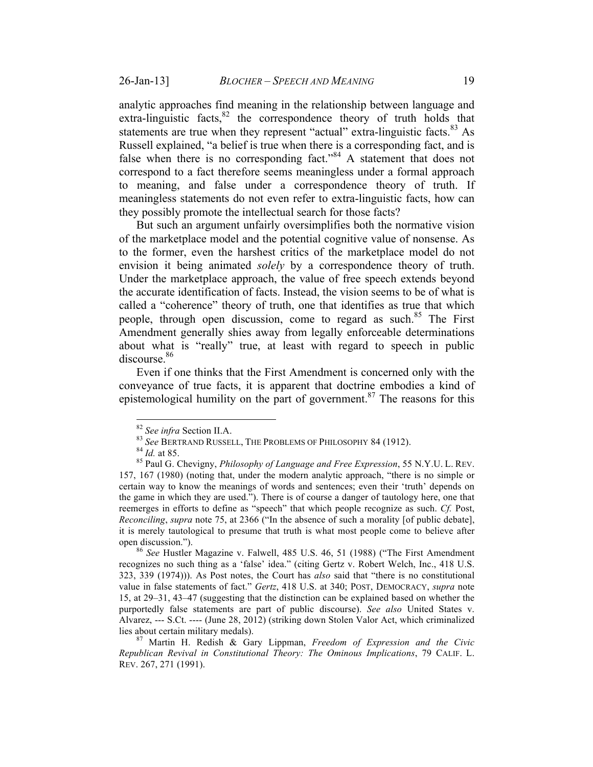analytic approaches find meaning in the relationship between language and extra-linguistic facts, ${}^{82}$  the correspondence theory of truth holds that statements are true when they represent "actual" extra-linguistic facts.<sup>83</sup> As Russell explained, "a belief is true when there is a corresponding fact, and is false when there is no corresponding fact."<sup>84</sup> A statement that does not correspond to a fact therefore seems meaningless under a formal approach to meaning, and false under a correspondence theory of truth. If meaningless statements do not even refer to extra-linguistic facts, how can they possibly promote the intellectual search for those facts?

But such an argument unfairly oversimplifies both the normative vision of the marketplace model and the potential cognitive value of nonsense. As to the former, even the harshest critics of the marketplace model do not envision it being animated *solely* by a correspondence theory of truth. Under the marketplace approach, the value of free speech extends beyond the accurate identification of facts. Instead, the vision seems to be of what is called a "coherence" theory of truth, one that identifies as true that which people, through open discussion, come to regard as such.<sup>85</sup> The First Amendment generally shies away from legally enforceable determinations about what is "really" true, at least with regard to speech in public discourse.<sup>86</sup>

Even if one thinks that the First Amendment is concerned only with the conveyance of true facts, it is apparent that doctrine embodies a kind of epistemological humility on the part of government. $87$  The reasons for this

<sup>&</sup>lt;sup>82</sup> *See infra* Section II.A.<br><sup>83</sup> *See BERTRAND RUSSELL*, THE PROBLEMS OF PHILOSOPHY 84 (1912).<br><sup>84</sup> *Id.* at 85. 85 Paul G. Chevigny, *Philosophy of Language and Free Expression*, 55 N.Y.U. L. REV. 157, 167 (1980) (noting that, under the modern analytic approach, "there is no simple or certain way to know the meanings of words and sentences; even their 'truth' depends on the game in which they are used."). There is of course a danger of tautology here, one that reemerges in efforts to define as "speech" that which people recognize as such. *Cf.* Post, *Reconciling*, *supra* note 75, at 2366 ("In the absence of such a morality [of public debate], it is merely tautological to presume that truth is what most people come to believe after open discussion."). <sup>86</sup> *See* Hustler Magazine v. Falwell, 485 U.S. 46, 51 (1988) ("The First Amendment

recognizes no such thing as a 'false' idea." (citing Gertz v. Robert Welch, Inc., 418 U.S. 323, 339 (1974))). As Post notes, the Court has *also* said that "there is no constitutional value in false statements of fact." *Gertz*, 418 U.S. at 340; POST, DEMOCRACY, *supra* note 15, at 29–31, 43–47 (suggesting that the distinction can be explained based on whether the purportedly false statements are part of public discourse). *See also* United States v. Alvarez, --- S.Ct. ---- (June 28, 2012) (striking down Stolen Valor Act, which criminalized

<sup>&</sup>lt;sup>87</sup> Martin H. Redish & Gary Lippman, *Freedom of Expression and the Civic Republican Revival in Constitutional Theory: The Ominous Implications*, 79 CALIF. L. REV. 267, 271 (1991).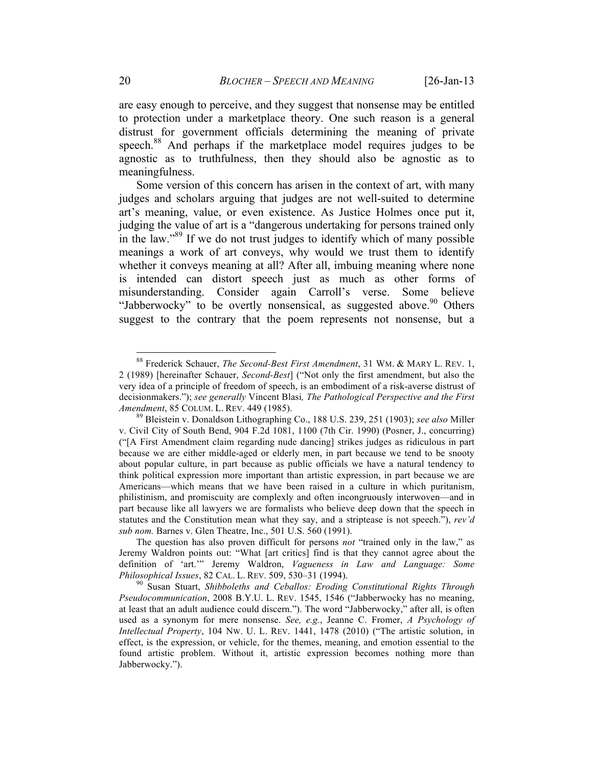are easy enough to perceive, and they suggest that nonsense may be entitled to protection under a marketplace theory. One such reason is a general distrust for government officials determining the meaning of private speech.<sup>88</sup> And perhaps if the marketplace model requires judges to be agnostic as to truthfulness, then they should also be agnostic as to meaningfulness.

Some version of this concern has arisen in the context of art, with many judges and scholars arguing that judges are not well-suited to determine art's meaning, value, or even existence. As Justice Holmes once put it, judging the value of art is a "dangerous undertaking for persons trained only in the law."<sup>89</sup> If we do not trust judges to identify which of many possible meanings a work of art conveys, why would we trust them to identify whether it conveys meaning at all? After all, imbuing meaning where none is intended can distort speech just as much as other forms of misunderstanding. Consider again Carroll's verse. Some believe "Jabberwocky" to be overtly nonsensical, as suggested above. <sup>90</sup> Others suggest to the contrary that the poem represents not nonsense, but a

 <sup>88</sup> Frederick Schauer, *The Second-Best First Amendment*, 31 WM. & MARY L. REV. 1, 2 (1989) [hereinafter Schauer, *Second-Best*] ("Not only the first amendment, but also the very idea of a principle of freedom of speech, is an embodiment of a risk-averse distrust of decisionmakers."); *see generally* Vincent Blasi*, The Pathological Perspective and the First Amendment*, 85 COLUM. L. REV. 449 (1985). <sup>89</sup> Bleistein v. Donaldson Lithographing Co., 188 U.S. 239, 251 (1903); *see also* Miller

v. Civil City of South Bend, 904 F.2d 1081, 1100 (7th Cir. 1990) (Posner, J., concurring) ("[A First Amendment claim regarding nude dancing] strikes judges as ridiculous in part because we are either middle-aged or elderly men, in part because we tend to be snooty about popular culture, in part because as public officials we have a natural tendency to think political expression more important than artistic expression, in part because we are Americans—which means that we have been raised in a culture in which puritanism, philistinism, and promiscuity are complexly and often incongruously interwoven—and in part because like all lawyers we are formalists who believe deep down that the speech in statutes and the Constitution mean what they say, and a striptease is not speech."), *rev'd sub nom.* Barnes v. Glen Theatre, Inc., 501 U.S. 560 (1991).

The question has also proven difficult for persons *not* "trained only in the law," as Jeremy Waldron points out: "What [art critics] find is that they cannot agree about the definition of 'art.'" Jeremy Waldron, *Vagueness in Law and Language: Some Philosophical Issues*, 82 CAL. L. REV. 509, 530–31 (1994).<br><sup>90</sup> Susan Stuart, *Shibboleths and Ceballos: Eroding Constitutional Rights Through* 

*Pseudocommunication*, 2008 B.Y.U. L. REV. 1545, 1546 ("Jabberwocky has no meaning, at least that an adult audience could discern."). The word "Jabberwocky," after all, is often used as a synonym for mere nonsense. *See, e.g.*, Jeanne C. Fromer, *A Psychology of Intellectual Property*, 104 NW. U. L. REV. 1441, 1478 (2010) ("The artistic solution, in effect, is the expression, or vehicle, for the themes, meaning, and emotion essential to the found artistic problem. Without it, artistic expression becomes nothing more than Jabberwocky.").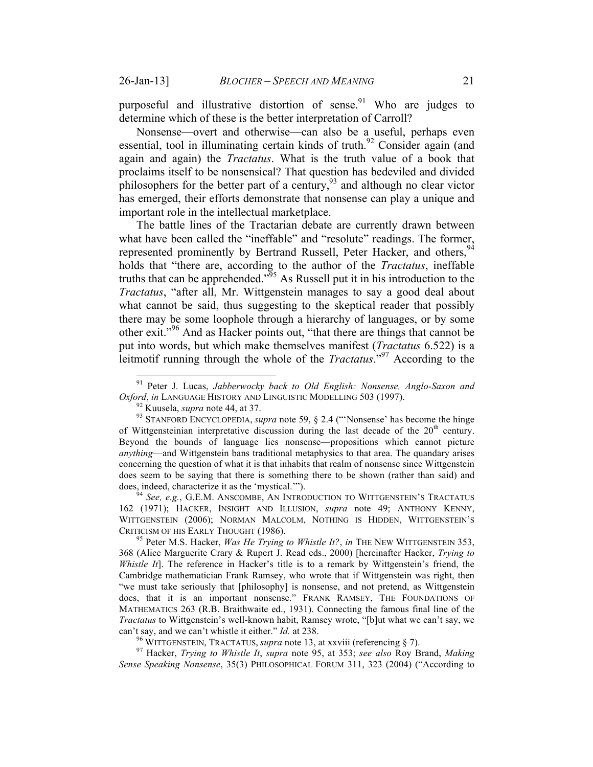purposeful and illustrative distortion of sense.<sup>91</sup> Who are judges to determine which of these is the better interpretation of Carroll?

Nonsense—overt and otherwise—can also be a useful, perhaps even essential, tool in illuminating certain kinds of truth.<sup>92</sup> Consider again (and again and again) the *Tractatus*. What is the truth value of a book that proclaims itself to be nonsensical? That question has bedeviled and divided philosophers for the better part of a century,<sup>93</sup> and although no clear victor has emerged, their efforts demonstrate that nonsense can play a unique and important role in the intellectual marketplace.

The battle lines of the Tractarian debate are currently drawn between what have been called the "ineffable" and "resolute" readings. The former, represented prominently by Bertrand Russell, Peter Hacker, and others, <sup>94</sup> holds that "there are, according to the author of the *Tractatus*, ineffable truths that can be apprehended.<sup> $.55$ </sup> As Russell put it in his introduction to the *Tractatus*, "after all, Mr. Wittgenstein manages to say a good deal about what cannot be said, thus suggesting to the skeptical reader that possibly there may be some loophole through a hierarchy of languages, or by some other exit."96 And as Hacker points out, "that there are things that cannot be put into words, but which make themselves manifest (*Tractatus* 6.522) is a leitmotif running through the whole of the *Tractatus*."<sup>97</sup> According to the

368 (Alice Marguerite Crary & Rupert J. Read eds., 2000) [hereinafter Hacker, *Trying to Whistle It*]. The reference in Hacker's title is to a remark by Wittgenstein's friend, the Cambridge mathematician Frank Ramsey, who wrote that if Wittgenstein was right, then "we must take seriously that [philosophy] is nonsense, and not pretend, as Wittgenstein does, that it is an important nonsense." FRANK RAMSEY, THE FOUNDATIONS OF MATHEMATICS 263 (R.B. Braithwaite ed., 1931). Connecting the famous final line of the *Tractatus* to Wittgenstein's well-known habit, Ramsey wrote, "[b]ut what we can't say, we can't say, and we can't whistle it either." *Id.* at 238.

<sup>96</sup> WITTGENSTEIN, TRACTATUS, *supra* note 13, at xxviii (referencing  $\S$  7).<br><sup>97</sup> Hacker, *Trying to Whistle It*, *supra* note 95, at 353; *see also* Roy Brand, *Making Sense Speaking Nonsense*, 35(3) PHILOSOPHICAL FORUM 311, 323 (2004) ("According to

<sup>&</sup>lt;sup>91</sup> Peter J. Lucas, *Jabberwocky back to Old English: Nonsense, Anglo-Saxon and Oxford, in LANGUAGE HISTORY AND LINGUISTIC MODELLING 503 (1997).* 

<sup>&</sup>lt;sup>92</sup> Kuusela, *supra* note 44, at 37.<br><sup>93</sup> STANFORD ENCYCLOPEDIA, *supra* note 59, § 2.4 ("'Nonsense' has become the hinge of Wittgensteinian interpretative discussion during the last decade of the  $20<sup>th</sup>$  century. Beyond the bounds of language lies nonsense—propositions which cannot picture *anything*—and Wittgenstein bans traditional metaphysics to that area. The quandary arises concerning the question of what it is that inhabits that realm of nonsense since Wittgenstein does seem to be saying that there is something there to be shown (rather than said) and does, indeed, characterize it as the 'mystical.'").<br><sup>94</sup> *See, e.g.*, G.E.M. ANSCOMBE, AN INTRODUCTION TO WITTGENSTEIN'S TRACTATUS

<sup>162 (1971);</sup> HACKER, INSIGHT AND ILLUSION, *supra* note 49; ANTHONY KENNY, WITTGENSTEIN (2006); NORMAN MALCOLM, NOTHING IS HIDDEN, WITTGENSTEIN'S CRITICISM OF HIS EARLY THOUGHT (1986). <sup>95</sup> Peter M.S. Hacker, *Was He Trying to Whistle It?*, *in* THE NEW WITTGENSTEIN 353,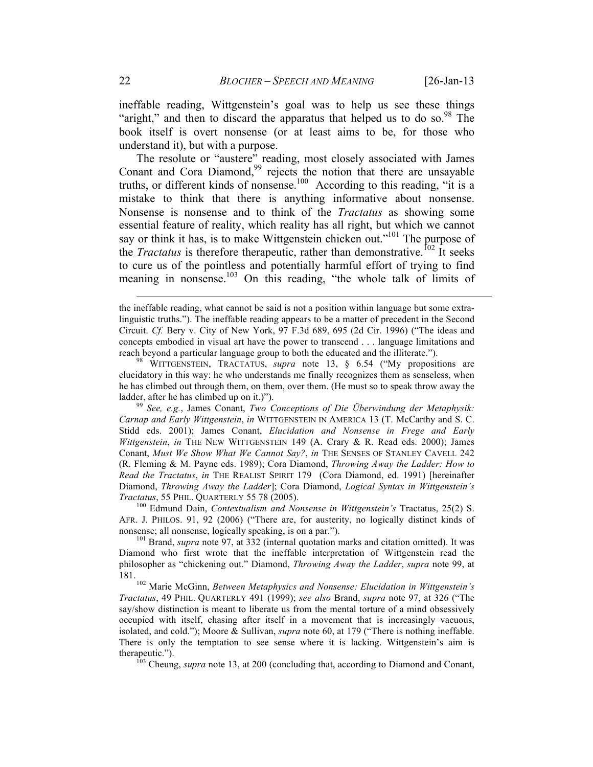ineffable reading, Wittgenstein's goal was to help us see these things "aright," and then to discard the apparatus that helped us to do so. $98$  The book itself is overt nonsense (or at least aims to be, for those who understand it), but with a purpose.

The resolute or "austere" reading, most closely associated with James Conant and Cora Diamond,<sup>99</sup> rejects the notion that there are unsayable truths, or different kinds of nonsense.<sup>100</sup> According to this reading, "it is a mistake to think that there is anything informative about nonsense. Nonsense is nonsense and to think of the *Tractatus* as showing some essential feature of reality, which reality has all right, but which we cannot say or think it has, is to make Wittgenstein chicken out."<sup>101</sup> The purpose of the *Tractatus* is therefore therapeutic, rather than demonstrative.<sup>102</sup> It seeks to cure us of the pointless and potentially harmful effort of trying to find meaning in nonsense.<sup>103</sup> On this reading, "the whole talk of limits of

*Carnap and Early Wittgenstein*, *in* WITTGENSTEIN IN AMERICA 13 (T. McCarthy and S. C. Stidd eds. 2001); James Conant, *Elucidation and Nonsense in Frege and Early Wittgenstein*, *in* THE NEW WITTGENSTEIN 149 (A. Crary & R. Read eds. 2000); James Conant, *Must We Show What We Cannot Say?*, *in* THE SENSES OF STANLEY CAVELL 242 (R. Fleming & M. Payne eds. 1989); Cora Diamond, *Throwing Away the Ladder: How to Read the Tractatus*, *in* THE REALIST SPIRIT 179 (Cora Diamond, ed. 1991) [hereinafter Diamond, *Throwing Away the Ladder*]; Cora Diamond, *Logical Syntax in Wittgenstein's Tractatus*, 55 PHIL. QUARTERLY 55 78 (2005). <sup>100</sup> Edmund Dain, *Contextualism and Nonsense in Wittgenstein's* Tractatus, 25(2) S.

AFR. J. PHILOS. 91, 92 (2006) ("There are, for austerity, no logically distinct kinds of nonsense; all nonsense, logically speaking, is on a par.").<br><sup>101</sup> Brand, *supra* note 97, at 332 (internal quotation marks and citation omitted). It was

Diamond who first wrote that the ineffable interpretation of Wittgenstein read the philosopher as "chickening out." Diamond, *Throwing Away the Ladder*, *supra* note 99, at

181.<br><sup>102</sup> Marie McGinn, *Between Metaphysics and Nonsense: Elucidation in Wittgenstein's Tractatus*, 49 PHIL. QUARTERLY 491 (1999); *see also* Brand, *supra* note 97, at 326 ("The say/show distinction is meant to liberate us from the mental torture of a mind obsessively occupied with itself, chasing after itself in a movement that is increasingly vacuous, isolated, and cold."); Moore & Sullivan, *supra* note 60, at 179 ("There is nothing ineffable. There is only the temptation to see sense where it is lacking. Wittgenstein's aim is therapeutic.").<br><sup>103</sup> Cheung, *supra* note 13, at 200 (concluding that, according to Diamond and Conant,

 $\overline{a}$ 

the ineffable reading, what cannot be said is not a position within language but some extralinguistic truths."). The ineffable reading appears to be a matter of precedent in the Second Circuit. *Cf.* Bery v. City of New York, 97 F.3d 689, 695 (2d Cir. 1996) ("The ideas and concepts embodied in visual art have the power to transcend . . . language limitations and reach beyond a particular language group to both the educated and the illiterate."). <sup>98</sup> WITTGENSTEIN, TRACTATUS, *supra* note 13, § 6.54 ("My propositions are

elucidatory in this way: he who understands me finally recognizes them as senseless, when he has climbed out through them, on them, over them. (He must so to speak throw away the ladder, after he has climbed up on it.)"). 99 *See, e.g.*, James Conant, *Two Conceptions of Die Überwindung der Metaphysik:*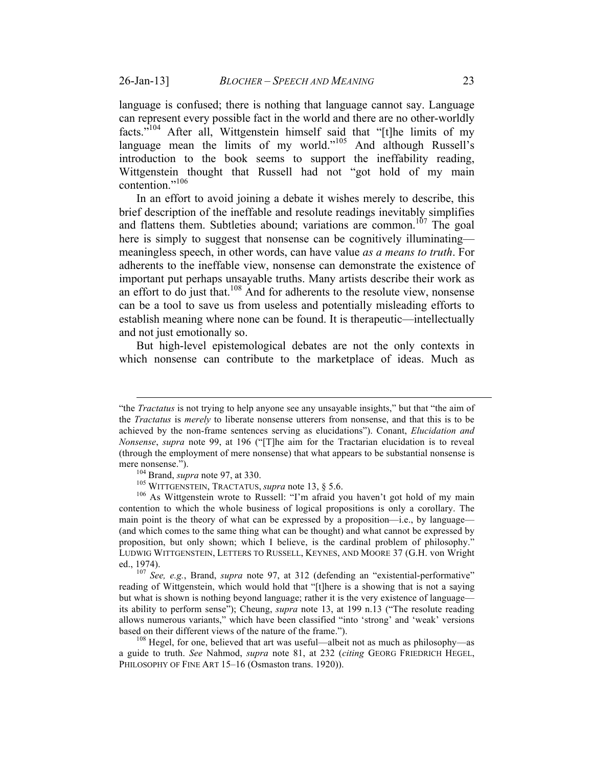language is confused; there is nothing that language cannot say. Language can represent every possible fact in the world and there are no other-worldly facts."104 After all, Wittgenstein himself said that "[t]he limits of my language mean the limits of my world."<sup>105</sup> And although Russell's introduction to the book seems to support the ineffability reading, Wittgenstein thought that Russell had not "got hold of my main contention." 106

In an effort to avoid joining a debate it wishes merely to describe, this brief description of the ineffable and resolute readings inevitably simplifies and flattens them. Subtleties abound; variations are common.<sup>107</sup> The goal here is simply to suggest that nonsense can be cognitively illuminating meaningless speech, in other words, can have value *as a means to truth*. For adherents to the ineffable view, nonsense can demonstrate the existence of important put perhaps unsayable truths. Many artists describe their work as an effort to do just that. $108$  And for adherents to the resolute view, nonsense can be a tool to save us from useless and potentially misleading efforts to establish meaning where none can be found. It is therapeutic—intellectually and not just emotionally so.

But high-level epistemological debates are not the only contexts in which nonsense can contribute to the marketplace of ideas. Much as

 <sup>&</sup>quot;the *Tractatus* is not trying to help anyone see any unsayable insights," but that "the aim of the *Tractatus* is *merely* to liberate nonsense utterers from nonsense, and that this is to be achieved by the non-frame sentences serving as elucidations"). Conant, *Elucidation and Nonsense*, *supra* note 99, at 196 ("[T]he aim for the Tractarian elucidation is to reveal (through the employment of mere nonsense) that what appears to be substantial nonsense is

mere nonsense.").<br><sup>104</sup> Brand, *supra* note 97, at 330.<br><sup>105</sup> WITTGENSTEIN, TRACTATUS, *supra* note 13, § 5.6.<br><sup>106</sup> As Wittgenstein wrote to Russell: "I'm afraid you haven't got hold of my main contention to which the whole business of logical propositions is only a corollary. The main point is the theory of what can be expressed by a proposition—i.e., by language— (and which comes to the same thing what can be thought) and what cannot be expressed by proposition, but only shown; which I believe, is the cardinal problem of philosophy." LUDWIG WITTGENSTEIN, LETTERS TO RUSSELL, KEYNES, AND MOORE 37 (G.H. von Wright ed., 1974). <sup>107</sup> *See, e.g.*, Brand, *supra* note 97, at 312 (defending an "existential-performative"

reading of Wittgenstein, which would hold that "[t]here is a showing that is not a saying but what is shown is nothing beyond language; rather it is the very existence of language its ability to perform sense"); Cheung, *supra* note 13, at 199 n.13 ("The resolute reading allows numerous variants," which have been classified "into 'strong' and 'weak' versions based on their different views of the nature of the frame.").<br><sup>108</sup> Hegel, for one, believed that art was useful—albeit not as much as philosophy—as

a guide to truth. *See* Nahmod, *supra* note 81, at 232 (*citing* GEORG FRIEDRICH HEGEL, PHILOSOPHY OF FINE ART 15-16 (Osmaston trans. 1920)).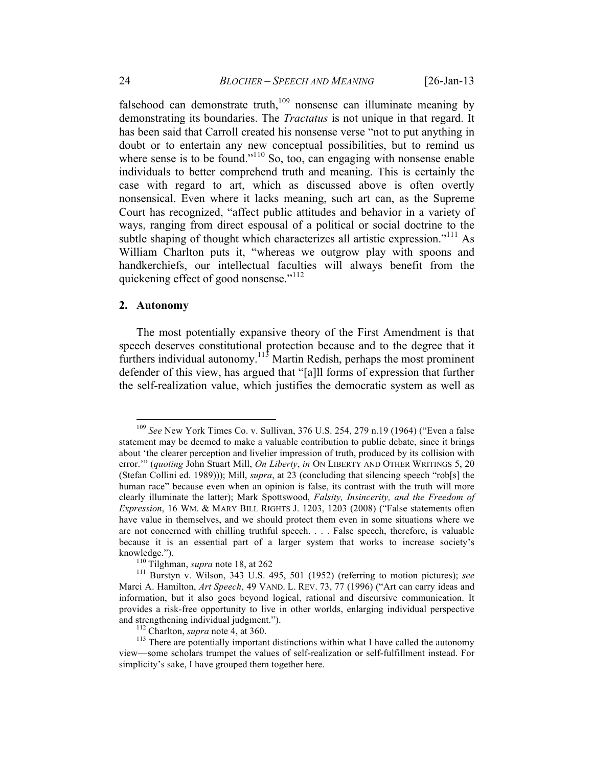falsehood can demonstrate truth, $109$  nonsense can illuminate meaning by demonstrating its boundaries. The *Tractatus* is not unique in that regard. It has been said that Carroll created his nonsense verse "not to put anything in doubt or to entertain any new conceptual possibilities, but to remind us where sense is to be found."<sup>110</sup> So, too, can engaging with nonsense enable individuals to better comprehend truth and meaning. This is certainly the case with regard to art, which as discussed above is often overtly nonsensical. Even where it lacks meaning, such art can, as the Supreme Court has recognized, "affect public attitudes and behavior in a variety of ways, ranging from direct espousal of a political or social doctrine to the subtle shaping of thought which characterizes all artistic expression."<sup>111</sup> As William Charlton puts it, "whereas we outgrow play with spoons and handkerchiefs, our intellectual faculties will always benefit from the quickening effect of good nonsense."<sup>112</sup>

#### **2. Autonomy**

The most potentially expansive theory of the First Amendment is that speech deserves constitutional protection because and to the degree that it furthers individual autonomy.<sup>113</sup> Martin Redish, perhaps the most prominent defender of this view, has argued that "[a]ll forms of expression that further the self-realization value, which justifies the democratic system as well as

 <sup>109</sup> *See* New York Times Co. v. Sullivan, 376 U.S. 254, 279 n.19 (1964) ("Even a false statement may be deemed to make a valuable contribution to public debate, since it brings about 'the clearer perception and livelier impression of truth, produced by its collision with error.'" (*quoting* John Stuart Mill, *On Liberty*, *in* ON LIBERTY AND OTHER WRITINGS 5, 20 (Stefan Collini ed. 1989))); Mill, *supra*, at 23 (concluding that silencing speech "rob[s] the human race" because even when an opinion is false, its contrast with the truth will more clearly illuminate the latter); Mark Spottswood, *Falsity, Insincerity, and the Freedom of Expression*, 16 WM. & MARY BILL RIGHTS J. 1203, 1203 (2008) ("False statements often have value in themselves, and we should protect them even in some situations where we are not concerned with chilling truthful speech. . . . False speech, therefore, is valuable because it is an essential part of a larger system that works to increase society's knowledge.").<br><sup>110</sup> Tilghman, *supra* note 18, at 262<br><sup>111</sup> Burstyn v. Wilson, 343 U.S. 495, 501 (1952) (referring to motion pictures); *see* 

Marci A. Hamilton, *Art Speech*, 49 VAND. L. REV. 73, 77 (1996) ("Art can carry ideas and information, but it also goes beyond logical, rational and discursive communication. It provides a risk-free opportunity to live in other worlds, enlarging individual perspective and strengthening individual judgment.").<br><sup>112</sup> Charlton, *supra* note 4, at 360.<br><sup>113</sup> There are potentially important distinctions within what I have called the autonomy

view—some scholars trumpet the values of self-realization or self-fulfillment instead. For simplicity's sake, I have grouped them together here.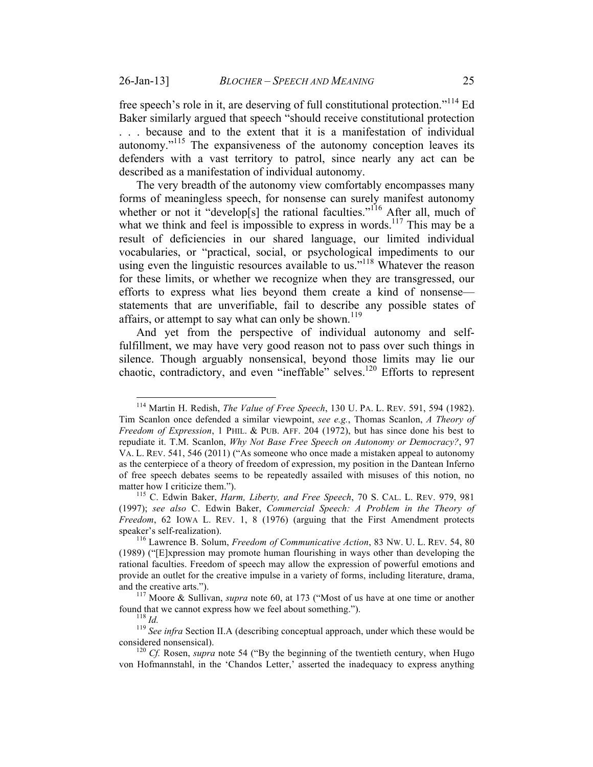free speech's role in it, are deserving of full constitutional protection."<sup>114</sup> Ed Baker similarly argued that speech "should receive constitutional protection . . . because and to the extent that it is a manifestation of individual autonomy."<sup>115</sup> The expansiveness of the autonomy conception leaves its defenders with a vast territory to patrol, since nearly any act can be described as a manifestation of individual autonomy.

The very breadth of the autonomy view comfortably encompasses many forms of meaningless speech, for nonsense can surely manifest autonomy whether or not it "develop[s] the rational faculties."<sup>116</sup> After all, much of what we think and feel is impossible to express in words.<sup>117</sup> This may be a result of deficiencies in our shared language, our limited individual vocabularies, or "practical, social, or psychological impediments to our using even the linguistic resources available to us."<sup>118</sup> Whatever the reason for these limits, or whether we recognize when they are transgressed, our efforts to express what lies beyond them create a kind of nonsense statements that are unverifiable, fail to describe any possible states of affairs, or attempt to say what can only be shown.<sup>119</sup>

And yet from the perspective of individual autonomy and selffulfillment, we may have very good reason not to pass over such things in silence. Though arguably nonsensical, beyond those limits may lie our chaotic, contradictory, and even "ineffable" selves.<sup>120</sup> Efforts to represent

 <sup>114</sup> Martin H. Redish, *The Value of Free Speech*, 130 U. PA. L. REV. 591, 594 (1982). Tim Scanlon once defended a similar viewpoint, *see e.g.*, Thomas Scanlon, *A Theory of Freedom of Expression*, 1 PHIL. & PUB. AFF. 204 (1972), but has since done his best to repudiate it. T.M. Scanlon, *Why Not Base Free Speech on Autonomy or Democracy?*, 97 VA. L. REV. 541, 546 (2011) ("As someone who once made a mistaken appeal to autonomy as the centerpiece of a theory of freedom of expression, my position in the Dantean Inferno of free speech debates seems to be repeatedly assailed with misuses of this notion, no matter how I criticize them.").<br><sup>115</sup> C. Edwin Baker, *Harm, Liberty, and Free Speech*, 70 S. CAL. L. REV. 979, 981

<sup>(1997);</sup> *see also* C. Edwin Baker, *Commercial Speech: A Problem in the Theory of Freedom*, 62 IOWA L. REV. 1, 8 (1976) (arguing that the First Amendment protects speaker's self-realization). <sup>116</sup> Lawrence B. Solum, *Freedom of Communicative Action*, 83 NW. U. L. REV. 54, <sup>80</sup>

<sup>(1989) (&</sup>quot;[E]xpression may promote human flourishing in ways other than developing the rational faculties. Freedom of speech may allow the expression of powerful emotions and provide an outlet for the creative impulse in a variety of forms, including literature, drama, and the creative arts."). <sup>117</sup> Moore & Sullivan, *supra* note 60, at 173 ("Most of us have at one time or another

found that we cannot express how we feel about something.").<br><sup>118</sup> *Id.* <sup>119</sup> *See infra* Section II.A (describing conceptual approach, under which these would be

considered nonsensical). <sup>120</sup> *Cf.* Rosen, *supra* note 54 ("By the beginning of the twentieth century, when Hugo

von Hofmannstahl, in the 'Chandos Letter,' asserted the inadequacy to express anything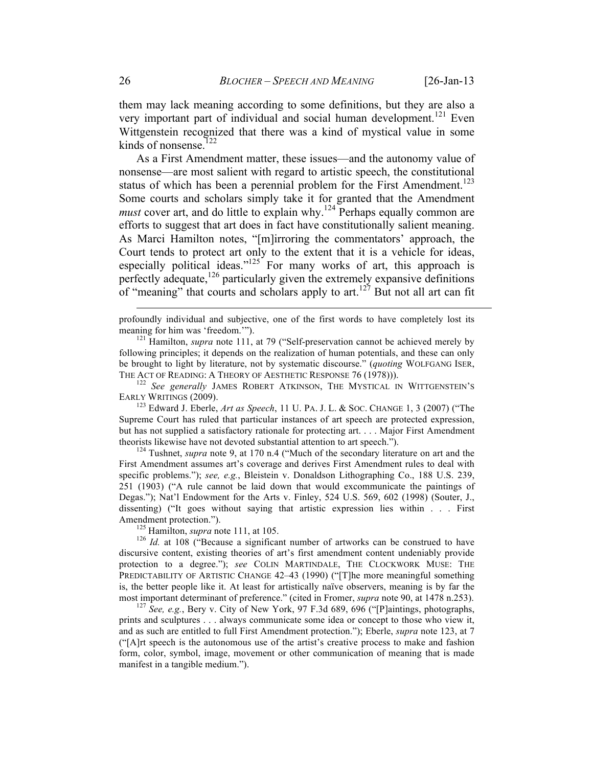them may lack meaning according to some definitions, but they are also a very important part of individual and social human development.<sup>121</sup> Even Wittgenstein recognized that there was a kind of mystical value in some kinds of nonsense.<sup>122</sup>

As a First Amendment matter, these issues—and the autonomy value of nonsense—are most salient with regard to artistic speech, the constitutional status of which has been a perennial problem for the First Amendment.<sup>123</sup> Some courts and scholars simply take it for granted that the Amendment must cover art, and do little to explain why.<sup>124</sup> Perhaps equally common are efforts to suggest that art does in fact have constitutionally salient meaning. As Marci Hamilton notes, "[m]irroring the commentators' approach, the Court tends to protect art only to the extent that it is a vehicle for ideas, especially political ideas." $125$  For many works of art, this approach is perfectly adequate,<sup>126</sup> particularly given the extremely expansive definitions of "meaning" that courts and scholars apply to art.<sup>127</sup> But not all art can fit

profoundly individual and subjective, one of the first words to have completely lost its meaning for him was 'freedom.'").<br><sup>121</sup> Hamilton, *supra* note 111, at 79 ("Self-preservation cannot be achieved merely by

following principles; it depends on the realization of human potentials, and these can only be brought to light by literature, not by systematic discourse." (*quoting* WOLFGANG ISER,

THE ACT OF READING: A THEORY OF AESTHETIC RESPONSE 76 (1978))).<br><sup>122</sup> *See generally* JAMES ROBERT ATKINSON, THE MYSTICAL IN WITTGENSTEIN'S EARLY WRITINGS (2009).

<sup>123</sup> Edward J. Eberle, *Art as Speech*, 11 U. PA. J. L. & SOC. CHANGE 1, 3 (2007) ("The Supreme Court has ruled that particular instances of art speech are protected expression, but has not supplied a satisfactory rationale for protecting art. . . . Major First Amendment theorists likewise have not devoted substantial attention to art speech."). <sup>124</sup> Tushnet, *supra* note 9, at 170 n.4 ("Much of the secondary literature on art and the

First Amendment assumes art's coverage and derives First Amendment rules to deal with specific problems."); *see, e.g.*, Bleistein v. Donaldson Lithographing Co., 188 U.S. 239, 251 (1903) ("A rule cannot be laid down that would excommunicate the paintings of Degas."); Nat'l Endowment for the Arts v. Finley, 524 U.S. 569, 602 (1998) (Souter, J., dissenting) ("It goes without saying that artistic expression lies within . . . First

Amendment protection.").<br><sup>125</sup> Hamilton, *supra* note 111, at 105.<br><sup>126</sup> *Id.* at 108 ("Because a significant number of artworks can be construed to have discursive content, existing theories of art's first amendment content undeniably provide protection to a degree."); *see* COLIN MARTINDALE, THE CLOCKWORK MUSE: THE PREDICTABILITY OF ARTISTIC CHANGE 42–43 (1990) ("[T]he more meaningful something is, the better people like it. At least for artistically naïve observers, meaning is by far the most important determinant of preference." (cited in Fromer, *supra* note 90, at 1478 n.253).<br><sup>127</sup> *See, e.g.*, Bery v. City of New York, 97 F.3d 689, 696 ("[P]aintings, photographs,

prints and sculptures . . . always communicate some idea or concept to those who view it, and as such are entitled to full First Amendment protection."); Eberle, *supra* note 123, at 7 ("[A]rt speech is the autonomous use of the artist's creative process to make and fashion form, color, symbol, image, movement or other communication of meaning that is made manifest in a tangible medium.").

 $\overline{a}$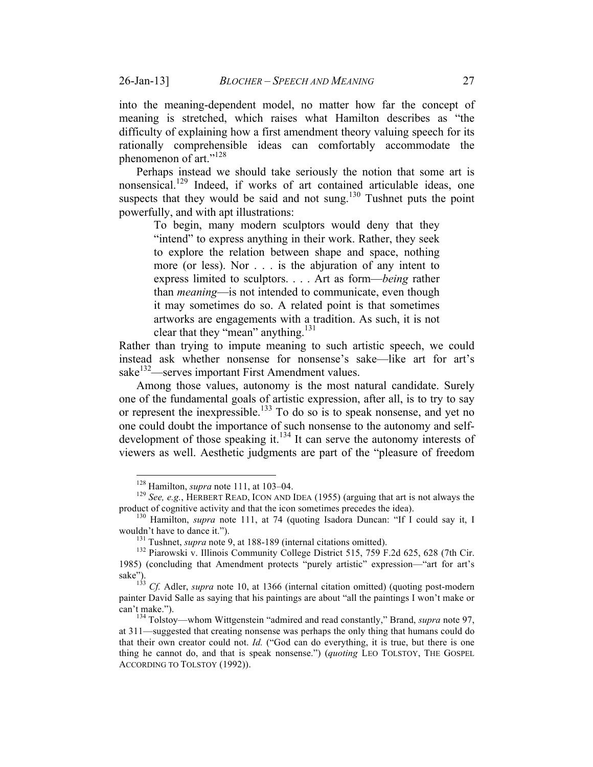into the meaning-dependent model, no matter how far the concept of meaning is stretched, which raises what Hamilton describes as "the difficulty of explaining how a first amendment theory valuing speech for its rationally comprehensible ideas can comfortably accommodate the phenomenon of art."<sup>128</sup>

Perhaps instead we should take seriously the notion that some art is nonsensical. <sup>129</sup> Indeed, if works of art contained articulable ideas, one suspects that they would be said and not sung. $130$  Tushnet puts the point powerfully, and with apt illustrations:

To begin, many modern sculptors would deny that they "intend" to express anything in their work. Rather, they seek to explore the relation between shape and space, nothing more (or less). Nor . . . is the abjuration of any intent to express limited to sculptors. . . . Art as form—*being* rather than *meaning*—is not intended to communicate, even though it may sometimes do so. A related point is that sometimes artworks are engagements with a tradition. As such, it is not clear that they "mean" anything.<sup>131</sup>

Rather than trying to impute meaning to such artistic speech, we could instead ask whether nonsense for nonsense's sake—like art for art's sake<sup>132</sup>—serves important First Amendment values.

Among those values, autonomy is the most natural candidate. Surely one of the fundamental goals of artistic expression, after all, is to try to say or represent the inexpressible.<sup>133</sup> To do so is to speak nonsense, and yet no one could doubt the importance of such nonsense to the autonomy and selfdevelopment of those speaking it. $134$  It can serve the autonomy interests of viewers as well. Aesthetic judgments are part of the "pleasure of freedom

<sup>&</sup>lt;sup>128</sup> Hamilton, *supra* note 111, at 103–04.<br><sup>129</sup> *See, e.g.*, HERBERT READ, ICON AND IDEA (1955) (arguing that art is not always the product of cognitive activity and that the icon sometimes precedes the idea).

<sup>&</sup>lt;sup>130</sup> Hamilton, *supra* note 111, at 74 (quoting Isadora Duncan: "If I could say it, I wouldn't have to dance it.").

<sup>&</sup>lt;sup>131</sup> Tushnet, *supra* note 9, at 188-189 (internal citations omitted). <sup>132</sup> Piarowski v. Illinois Community College District 515, 759 F.2d 625, 628 (7th Cir. 1985) (concluding that Amendment protects "purely artistic" expression—"art for art's sake").<br><sup>133</sup> *Cf.* Adler, *supra* note 10, at 1366 (internal citation omitted) (quoting post-modern

painter David Salle as saying that his paintings are about "all the paintings I won't make or can't make."). <sup>134</sup> Tolstoy—whom Wittgenstein "admired and read constantly," Brand, *supra* note 97,

at 311—suggested that creating nonsense was perhaps the only thing that humans could do that their own creator could not. *Id.* ("God can do everything, it is true, but there is one thing he cannot do, and that is speak nonsense.") (*quoting* LEO TOLSTOY, THE GOSPEL ACCORDING TO TOLSTOY (1992)).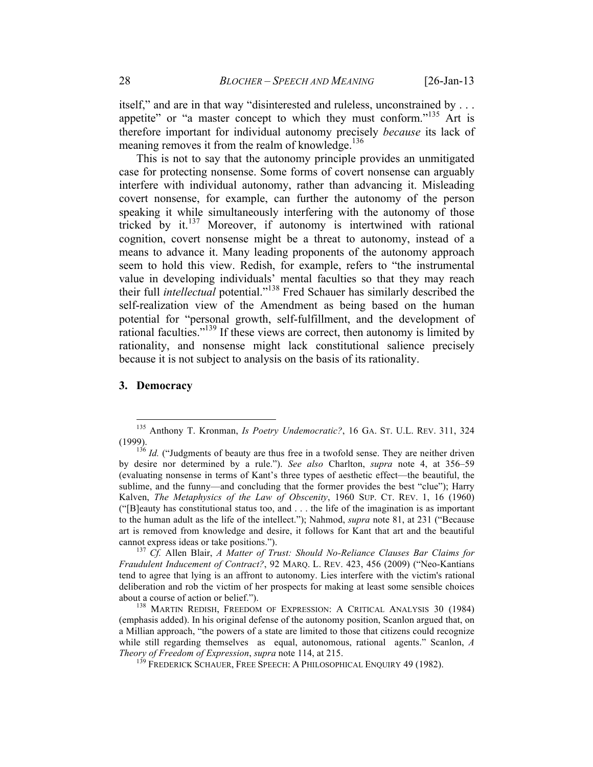itself," and are in that way "disinterested and ruleless, unconstrained by . . . appetite" or "a master concept to which they must conform."<sup>135</sup> Art is therefore important for individual autonomy precisely *because* its lack of meaning removes it from the realm of knowledge.<sup>136</sup>

This is not to say that the autonomy principle provides an unmitigated case for protecting nonsense. Some forms of covert nonsense can arguably interfere with individual autonomy, rather than advancing it. Misleading covert nonsense, for example, can further the autonomy of the person speaking it while simultaneously interfering with the autonomy of those tricked by it.<sup>137</sup> Moreover, if autonomy is intertwined with rational cognition, covert nonsense might be a threat to autonomy, instead of a means to advance it. Many leading proponents of the autonomy approach seem to hold this view. Redish, for example, refers to "the instrumental value in developing individuals' mental faculties so that they may reach their full *intellectual* potential."<sup>138</sup> Fred Schauer has similarly described the self-realization view of the Amendment as being based on the human potential for "personal growth, self-fulfillment, and the development of rational faculties."139 If these views are correct, then autonomy is limited by rationality, and nonsense might lack constitutional salience precisely because it is not subject to analysis on the basis of its rationality.

### **3. Democracy**

*Fraudulent Inducement of Contract?*, 92 MARQ. L. REV. 423, 456 (2009) ("Neo-Kantians tend to agree that lying is an affront to autonomy. Lies interfere with the victim's rational deliberation and rob the victim of her prospects for making at least some sensible choices about a course of action or belief.").

 <sup>135</sup> Anthony T. Kronman, *Is Poetry Undemocratic?*, 16 GA. ST. U.L. REV. 311, 324

<sup>(1999).&</sup>lt;br><sup>136</sup> *Id.* ("Judgments of beauty are thus free in a twofold sense. They are neither driven  $Id$ . ("bordton" sunra note 4, at 356–59") by desire nor determined by a rule."). *See also* Charlton, *supra* note 4, at 356–59 (evaluating nonsense in terms of Kant's three types of aesthetic effect—the beautiful, the sublime, and the funny—and concluding that the former provides the best "clue"); Harry Kalven, *The Metaphysics of the Law of Obscenity*, 1960 SUP. CT. REV. 1, 16 (1960) ("[B]eauty has constitutional status too, and . . . the life of the imagination is as important to the human adult as the life of the intellect."); Nahmod, *supra* note 81, at 231 ("Because art is removed from knowledge and desire, it follows for Kant that art and the beautiful cannot express ideas or take positions."). <sup>137</sup> *Cf.* Allen Blair, *A Matter of Trust: Should No-Reliance Clauses Bar Claims for* 

<sup>&</sup>lt;sup>138</sup> MARTIN REDISH, FREEDOM OF EXPRESSION: A CRITICAL ANALYSIS 30 (1984) (emphasis added). In his original defense of the autonomy position, Scanlon argued that, on a Millian approach, "the powers of a state are limited to those that citizens could recognize while still regarding themselves as equal, autonomous, rational agents." Scanlon, *A Theory of Freedom of Expression, supra* note 114, at 215.

<sup>&</sup>lt;sup>139</sup> FREDERICK SCHAUER, FREE SPEECH: A PHILOSOPHICAL ENQUIRY 49 (1982).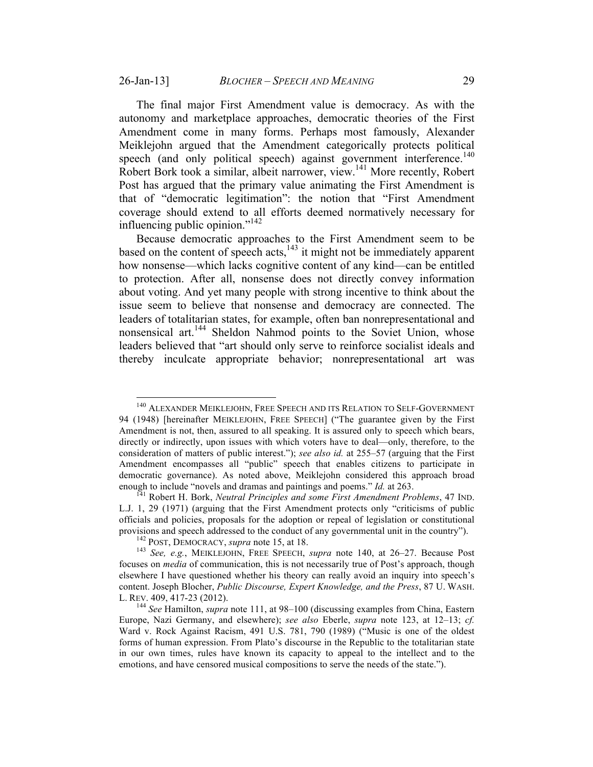The final major First Amendment value is democracy. As with the autonomy and marketplace approaches, democratic theories of the First Amendment come in many forms. Perhaps most famously, Alexander Meiklejohn argued that the Amendment categorically protects political speech (and only political speech) against government interference.<sup>140</sup> Robert Bork took a similar, albeit narrower, view.<sup>141</sup> More recently, Robert Post has argued that the primary value animating the First Amendment is that of "democratic legitimation": the notion that "First Amendment coverage should extend to all efforts deemed normatively necessary for influencing public opinion."142

Because democratic approaches to the First Amendment seem to be based on the content of speech acts, $143$  it might not be immediately apparent how nonsense—which lacks cognitive content of any kind—can be entitled to protection. After all, nonsense does not directly convey information about voting. And yet many people with strong incentive to think about the issue seem to believe that nonsense and democracy are connected. The leaders of totalitarian states, for example, often ban nonrepresentational and nonsensical art.<sup>144</sup> Sheldon Nahmod points to the Soviet Union, whose leaders believed that "art should only serve to reinforce socialist ideals and thereby inculcate appropriate behavior; nonrepresentational art was

 <sup>140</sup> ALEXANDER MEIKLEJOHN, FREE SPEECH AND ITS RELATION TO SELF-GOVERNMENT 94 (1948) [hereinafter MEIKLEJOHN, FREE SPEECH] ("The guarantee given by the First Amendment is not, then, assured to all speaking. It is assured only to speech which bears, directly or indirectly, upon issues with which voters have to deal—only, therefore, to the consideration of matters of public interest."); *see also id.* at 255–57 (arguing that the First Amendment encompasses all "public" speech that enables citizens to participate in democratic governance). As noted above, Meiklejohn considered this approach broad enough to include "novels and dramas and paintings and poems." *Id.* at 263.<br><sup>141</sup> Robert H. Bork, *Neutral Principles and some First Amendment Problems*, 47 IND.

L.J. 1, 29 (1971) (arguing that the First Amendment protects only "criticisms of public officials and policies, proposals for the adoption or repeal of legislation or constitutional provisions and speech addressed to the conduct of any governmental unit in the country").<br><sup>142</sup> POST, DEMOCRACY, *supra* note 15, at 18.

<sup>&</sup>lt;sup>143</sup> See, e.g., MEIKLEJOHN, FREE SPEECH, *supra* note 140, at 26–27. Because Post focuses on *media* of communication, this is not necessarily true of Post's approach, though elsewhere I have questioned whether his theory can really avoid an inquiry into speech's content. Joseph Blocher, *Public Discourse, Expert Knowledge, and the Press*, 87 U. WASH. L. REV. 409, 417-23 (2012). <sup>144</sup> *See* Hamilton, *supra* note 111, at 98–100 (discussing examples from China, Eastern

Europe, Nazi Germany, and elsewhere); *see also* Eberle, *supra* note 123, at 12–13; *cf.* Ward v. Rock Against Racism, 491 U.S. 781, 790 (1989) ("Music is one of the oldest forms of human expression. From Plato's discourse in the Republic to the totalitarian state in our own times, rules have known its capacity to appeal to the intellect and to the emotions, and have censored musical compositions to serve the needs of the state.").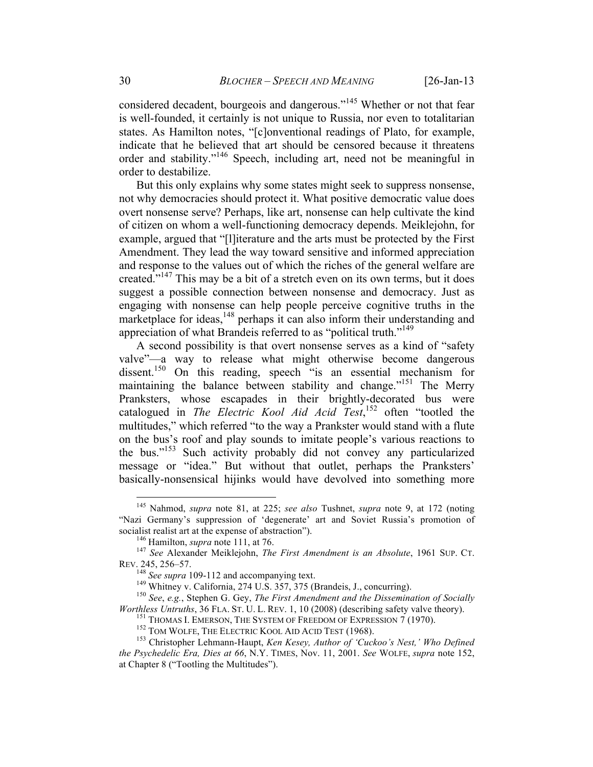considered decadent, bourgeois and dangerous."<sup>145</sup> Whether or not that fear is well-founded, it certainly is not unique to Russia, nor even to totalitarian states. As Hamilton notes, "[c]onventional readings of Plato, for example, indicate that he believed that art should be censored because it threatens order and stability."<sup>146</sup> Speech, including art, need not be meaningful in order to destabilize.

But this only explains why some states might seek to suppress nonsense, not why democracies should protect it. What positive democratic value does overt nonsense serve? Perhaps, like art, nonsense can help cultivate the kind of citizen on whom a well-functioning democracy depends. Meiklejohn, for example, argued that "[l]iterature and the arts must be protected by the First Amendment. They lead the way toward sensitive and informed appreciation and response to the values out of which the riches of the general welfare are created."<sup>147</sup> This may be a bit of a stretch even on its own terms, but it does suggest a possible connection between nonsense and democracy. Just as engaging with nonsense can help people perceive cognitive truths in the marketplace for ideas, <sup>148</sup> perhaps it can also inform their understanding and appreciation of what Brandeis referred to as "political truth."<sup>149</sup>

A second possibility is that overt nonsense serves as a kind of "safety valve"—a way to release what might otherwise become dangerous dissent.<sup>150</sup> On this reading, speech "is an essential mechanism for maintaining the balance between stability and change."<sup>151</sup> The Merry Pranksters, whose escapades in their brightly-decorated bus were catalogued in *The Electric Kool Aid Acid Test*, <sup>152</sup> often "tootled the multitudes," which referred "to the way a Prankster would stand with a flute on the bus's roof and play sounds to imitate people's various reactions to the bus."153 Such activity probably did not convey any particularized message or "idea." But without that outlet, perhaps the Pranksters' basically-nonsensical hijinks would have devolved into something more

 <sup>145</sup> Nahmod, *supra* note 81, at 225; *see also* Tushnet, *supra* note 9, at 172 (noting "Nazi Germany's suppression of 'degenerate' art and Soviet Russia's promotion of socialist realist art at the expense of abstraction").<br><sup>146</sup> Hamilton, *supra* note 111, at 76.<br><sup>147</sup> *See* Alexander Meiklejohn, *The First Amendment is an Absolute*, 1961 SUP. CT.

REV. 245, 256–57.<br><sup>148</sup> See supra 109-112 and accompanying text.<br><sup>149</sup> Whitney v. California, 274 U.S. 357, 375 (Brandeis, J., concurring).<br><sup>150</sup> See, e.g., Stephen G. Gey, *The First Amendment and the Dissemination of Soc* 

*Worthless Untruths,* 36 FLA. ST. U. L. REV. 1, 10 (2008) (describing safety valve theory).<br><sup>151</sup> THOMAS I. EMERSON, THE SYSTEM OF FREEDOM OF EXPRESSION 7 (1970).<br><sup>152</sup> TOM WOLFE, THE ELECTRIC KOOL AID ACID TEST (1968).<br><sup>1</sup>

*the Psychedelic Era, Dies at 66*, N.Y. TIMES, Nov. 11, 2001. *See* WOLFE, *supra* note 152, at Chapter 8 ("Tootling the Multitudes").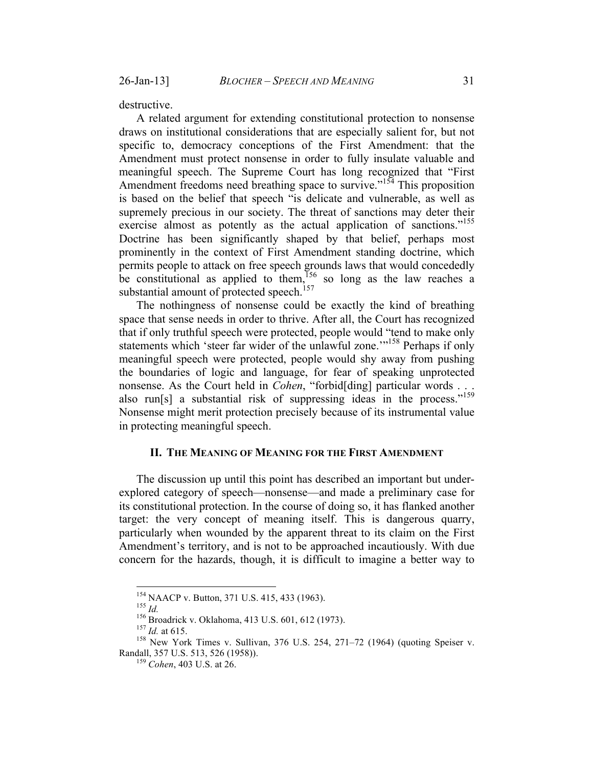destructive.

A related argument for extending constitutional protection to nonsense draws on institutional considerations that are especially salient for, but not specific to, democracy conceptions of the First Amendment: that the Amendment must protect nonsense in order to fully insulate valuable and meaningful speech. The Supreme Court has long recognized that "First Amendment freedoms need breathing space to survive."<sup>154</sup> This proposition is based on the belief that speech "is delicate and vulnerable, as well as supremely precious in our society. The threat of sanctions may deter their exercise almost as potently as the actual application of sanctions."<sup>155</sup> Doctrine has been significantly shaped by that belief, perhaps most prominently in the context of First Amendment standing doctrine, which permits people to attack on free speech grounds laws that would concededly be constitutional as applied to them,  $156$  so long as the law reaches a substantial amount of protected speech.<sup>157</sup>

The nothingness of nonsense could be exactly the kind of breathing space that sense needs in order to thrive. After all, the Court has recognized that if only truthful speech were protected, people would "tend to make only statements which 'steer far wider of the unlawful zone.'"<sup>158</sup> Perhaps if only meaningful speech were protected, people would shy away from pushing the boundaries of logic and language, for fear of speaking unprotected nonsense. As the Court held in *Cohen*, "forbid[ding] particular words . . . also run[s] a substantial risk of suppressing ideas in the process."<sup>159</sup> Nonsense might merit protection precisely because of its instrumental value in protecting meaningful speech.

#### **II. THE MEANING OF MEANING FOR THE FIRST AMENDMENT**

The discussion up until this point has described an important but underexplored category of speech—nonsense—and made a preliminary case for its constitutional protection. In the course of doing so, it has flanked another target: the very concept of meaning itself. This is dangerous quarry, particularly when wounded by the apparent threat to its claim on the First Amendment's territory, and is not to be approached incautiously. With due concern for the hazards, though, it is difficult to imagine a better way to

<sup>&</sup>lt;sup>154</sup> NAACP v. Button, 371 U.S. 415, 433 (1963).<br><sup>155</sup> *Id.* 156 Broadrick v. Oklahoma, 413 U.S. 601, 612 (1973).<br><sup>157</sup> *Id.* at 615.<br><sup>158</sup> New York Times v. Sullivan, 376 U.S. 254, 271–72 (1964) (quoting Speiser v. Randall, 357 U.S. 513, 526 (1958)).

<sup>159</sup> *Cohen*, 403 U.S. at 26.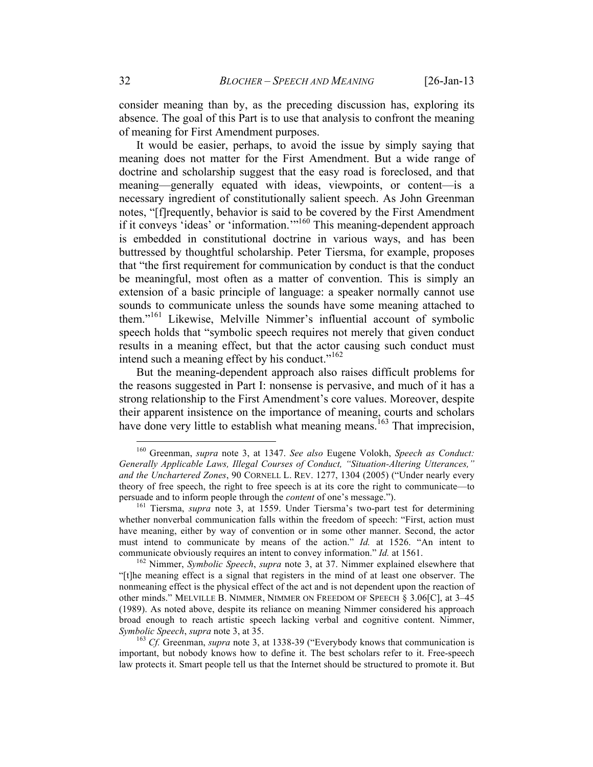consider meaning than by, as the preceding discussion has, exploring its absence. The goal of this Part is to use that analysis to confront the meaning of meaning for First Amendment purposes.

It would be easier, perhaps, to avoid the issue by simply saying that meaning does not matter for the First Amendment. But a wide range of doctrine and scholarship suggest that the easy road is foreclosed, and that meaning—generally equated with ideas, viewpoints, or content—is a necessary ingredient of constitutionally salient speech. As John Greenman notes, "[f]requently, behavior is said to be covered by the First Amendment if it conveys 'ideas' or 'information.'"160 This meaning-dependent approach is embedded in constitutional doctrine in various ways, and has been buttressed by thoughtful scholarship. Peter Tiersma, for example, proposes that "the first requirement for communication by conduct is that the conduct be meaningful, most often as a matter of convention. This is simply an extension of a basic principle of language: a speaker normally cannot use sounds to communicate unless the sounds have some meaning attached to them."<sup>161</sup> Likewise, Melville Nimmer's influential account of symbolic speech holds that "symbolic speech requires not merely that given conduct results in a meaning effect, but that the actor causing such conduct must intend such a meaning effect by his conduct."<sup>162</sup>

But the meaning-dependent approach also raises difficult problems for the reasons suggested in Part I: nonsense is pervasive, and much of it has a strong relationship to the First Amendment's core values. Moreover, despite their apparent insistence on the importance of meaning, courts and scholars have done very little to establish what meaning means.<sup>163</sup> That imprecision,

 <sup>160</sup> Greenman, *supra* note 3, at 1347. *See also* Eugene Volokh, *Speech as Conduct: Generally Applicable Laws, Illegal Courses of Conduct, "Situation-Altering Utterances," and the Unchartered Zones*, 90 CORNELL L. REV. 1277, 1304 (2005) ("Under nearly every theory of free speech, the right to free speech is at its core the right to communicate—to persuade and to inform people through the *content* of one's message."). <sup>161</sup> Tiersma, *supra* note 3, at 1559. Under Tiersma's two-part test for determining

whether nonverbal communication falls within the freedom of speech: "First, action must have meaning, either by way of convention or in some other manner. Second, the actor must intend to communicate by means of the action." *Id.* at 1526. "An intent to communicate obviously requires an intent to convey information." *Id.* at 1561.<br><sup>162</sup> Nimmer, *Symbolic Speech*, *supra* note 3, at 37. Nimmer explained elsewhere that

<sup>&</sup>quot;[t]he meaning effect is a signal that registers in the mind of at least one observer. The nonmeaning effect is the physical effect of the act and is not dependent upon the reaction of other minds." MELVILLE B. NIMMER, NIMMER ON FREEDOM OF SPEECH § 3.06[C], at 3–45 (1989). As noted above, despite its reliance on meaning Nimmer considered his approach broad enough to reach artistic speech lacking verbal and cognitive content. Nimmer, *Symbolic Speech, supra* note 3, at 35. 163 *Cf.* Greenman, *supra* note 3, at 1338-39 ("Everybody knows that communication is

important, but nobody knows how to define it. The best scholars refer to it. Free-speech law protects it. Smart people tell us that the Internet should be structured to promote it. But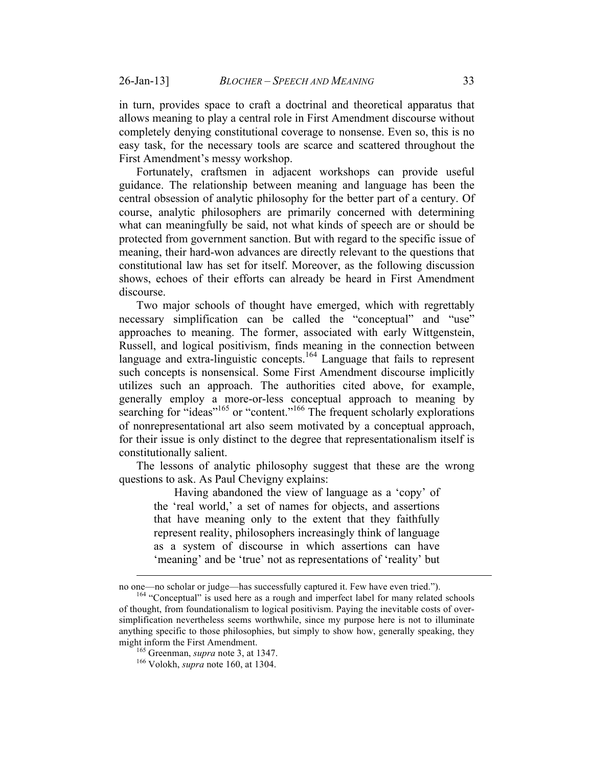in turn, provides space to craft a doctrinal and theoretical apparatus that allows meaning to play a central role in First Amendment discourse without completely denying constitutional coverage to nonsense. Even so, this is no easy task, for the necessary tools are scarce and scattered throughout the First Amendment's messy workshop.

Fortunately, craftsmen in adjacent workshops can provide useful guidance. The relationship between meaning and language has been the central obsession of analytic philosophy for the better part of a century. Of course, analytic philosophers are primarily concerned with determining what can meaningfully be said, not what kinds of speech are or should be protected from government sanction. But with regard to the specific issue of meaning, their hard-won advances are directly relevant to the questions that constitutional law has set for itself. Moreover, as the following discussion shows, echoes of their efforts can already be heard in First Amendment discourse.

Two major schools of thought have emerged, which with regrettably necessary simplification can be called the "conceptual" and "use" approaches to meaning. The former, associated with early Wittgenstein, Russell, and logical positivism, finds meaning in the connection between language and extra-linguistic concepts.<sup>164</sup> Language that fails to represent such concepts is nonsensical. Some First Amendment discourse implicitly utilizes such an approach. The authorities cited above, for example, generally employ a more-or-less conceptual approach to meaning by searching for "ideas"<sup>165</sup> or "content."<sup>166</sup> The frequent scholarly explorations of nonrepresentational art also seem motivated by a conceptual approach, for their issue is only distinct to the degree that representationalism itself is constitutionally salient.

The lessons of analytic philosophy suggest that these are the wrong questions to ask. As Paul Chevigny explains:

Having abandoned the view of language as a 'copy' of the 'real world,' a set of names for objects, and assertions that have meaning only to the extent that they faithfully represent reality, philosophers increasingly think of language as a system of discourse in which assertions can have 'meaning' and be 'true' not as representations of 'reality' but

 $\overline{a}$ 

no one—no scholar or judge—has successfully captured it. Few have even tried."). <sup>164</sup> "Conceptual" is used here as a rough and imperfect label for many related schools of thought, from foundationalism to logical positivism. Paying the inevitable costs of oversimplification nevertheless seems worthwhile, since my purpose here is not to illuminate anything specific to those philosophies, but simply to show how, generally speaking, they might inform the First Amendment.<br><sup>165</sup> Greenman, *supra* note 3, at 1347.<br><sup>166</sup> Volokh, *supra* note 160, at 1304.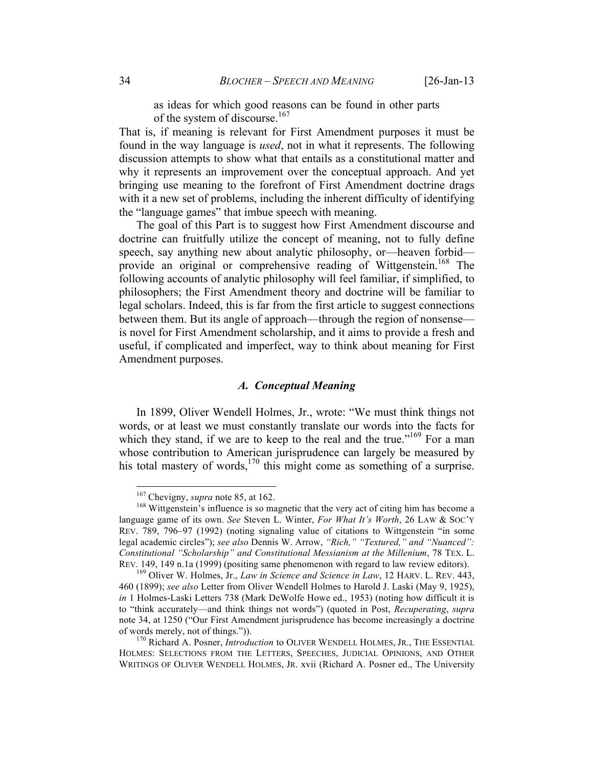as ideas for which good reasons can be found in other parts of the system of discourse.<sup>167</sup>

That is, if meaning is relevant for First Amendment purposes it must be found in the way language is *used*, not in what it represents. The following discussion attempts to show what that entails as a constitutional matter and why it represents an improvement over the conceptual approach. And yet bringing use meaning to the forefront of First Amendment doctrine drags with it a new set of problems, including the inherent difficulty of identifying the "language games" that imbue speech with meaning.

The goal of this Part is to suggest how First Amendment discourse and doctrine can fruitfully utilize the concept of meaning, not to fully define speech, say anything new about analytic philosophy, or—heaven forbid provide an original or comprehensive reading of Wittgenstein.<sup>168</sup> The following accounts of analytic philosophy will feel familiar, if simplified, to philosophers; the First Amendment theory and doctrine will be familiar to legal scholars. Indeed, this is far from the first article to suggest connections between them. But its angle of approach—through the region of nonsense is novel for First Amendment scholarship, and it aims to provide a fresh and useful, if complicated and imperfect, way to think about meaning for First Amendment purposes.

#### *A. Conceptual Meaning*

In 1899, Oliver Wendell Holmes, Jr., wrote: "We must think things not words, or at least we must constantly translate our words into the facts for which they stand, if we are to keep to the real and the true."<sup>169</sup> For a man whose contribution to American jurisprudence can largely be measured by his total mastery of words, $170$  this might come as something of a surprise.

<sup>&</sup>lt;sup>167</sup> Chevigny, *supra* note 85, at 162.<br><sup>168</sup> Wittgenstein's influence is so magnetic that the very act of citing him has become a language game of its own. *See* Steven L. Winter, *For What It's Worth*, 26 LAW & SOC'Y REV. 789, 796–97 (1992) (noting signaling value of citations to Wittgenstein "in some legal academic circles"); *see also* Dennis W. Arrow, *"Rich," "Textured," and "Nuanced": Constitutional "Scholarship" and Constitutional Messianism at the Millenium*, 78 TEX. L. REV. 149, 149 n.1a (1999) (positing same phenomenon with regard to law review editors). <sup>169</sup> Oliver W. Holmes, Jr., *Law in Science and Science in Law*, 12 HARV. L. REV. 443,

<sup>460 (1899);</sup> *see also* Letter from Oliver Wendell Holmes to Harold J. Laski (May 9, 1925), *in* 1 Holmes-Laski Letters 738 (Mark DeWolfe Howe ed., 1953) (noting how difficult it is to "think accurately—and think things not words") (quoted in Post, *Recuperating*, *supra*  note 34, at 1250 ("Our First Amendment jurisprudence has become increasingly a doctrine of words merely, not of things.")).

<sup>&</sup>lt;sup>170</sup> Richard A. Posner, *Introduction* to OLIVER WENDELL HOLMES, JR., THE ESSENTIAL HOLMES: SELECTIONS FROM THE LETTERS, SPEECHES, JUDICIAL OPINIONS, AND OTHER WRITINGS OF OLIVER WENDELL HOLMES, JR. xvii (Richard A. Posner ed., The University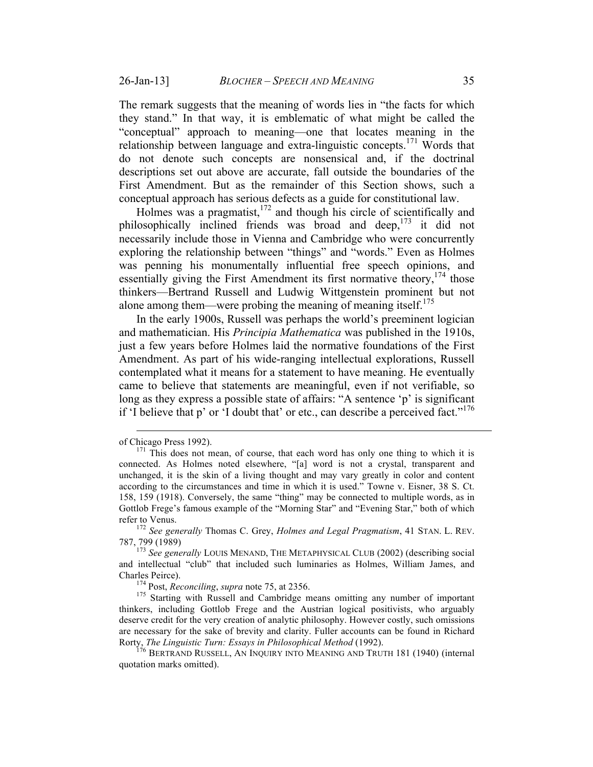The remark suggests that the meaning of words lies in "the facts for which they stand." In that way, it is emblematic of what might be called the "conceptual" approach to meaning—one that locates meaning in the relationship between language and extra-linguistic concepts.<sup>171</sup> Words that do not denote such concepts are nonsensical and, if the doctrinal descriptions set out above are accurate, fall outside the boundaries of the First Amendment. But as the remainder of this Section shows, such a conceptual approach has serious defects as a guide for constitutional law.

Holmes was a pragmatist,<sup>172</sup> and though his circle of scientifically and philosophically inclined friends was broad and deep,<sup>173</sup> it did not necessarily include those in Vienna and Cambridge who were concurrently exploring the relationship between "things" and "words." Even as Holmes was penning his monumentally influential free speech opinions, and essentially giving the First Amendment its first normative theory,  $174$  those thinkers—Bertrand Russell and Ludwig Wittgenstein prominent but not alone among them—were probing the meaning of meaning itself.<sup>175</sup>

In the early 1900s, Russell was perhaps the world's preeminent logician and mathematician. His *Principia Mathematica* was published in the 1910s, just a few years before Holmes laid the normative foundations of the First Amendment. As part of his wide-ranging intellectual explorations, Russell contemplated what it means for a statement to have meaning. He eventually came to believe that statements are meaningful, even if not verifiable, so long as they express a possible state of affairs: "A sentence 'p' is significant if 'I believe that p' or 'I doubt that' or etc., can describe a perceived fact."<sup>176</sup>

 $\overline{a}$ 

of Chicago Press 1992).  $171$  This does not mean, of course, that each word has only one thing to which it is connected. As Holmes noted elsewhere, "[a] word is not a crystal, transparent and unchanged, it is the skin of a living thought and may vary greatly in color and content according to the circumstances and time in which it is used." Towne v. Eisner, 38 S. Ct. 158, 159 (1918). Conversely, the same "thing" may be connected to multiple words, as in Gottlob Frege's famous example of the "Morning Star" and "Evening Star," both of which

refer to Venus.<br><sup>172</sup> *See generally Thomas C. Grey, Holmes and Legal Pragmatism*, 41 STAN. L. REV.<br>787, 799 (1989)

<sup>&</sup>lt;sup>173</sup> See generally LOUIS MENAND, THE METAPHYSICAL CLUB (2002) (describing social and intellectual "club" that included such luminaries as Holmes, William James, and Charles Peirce). <sup>174</sup> Post, *Reconciling*, *supra* note 75, at 2356. <sup>175</sup> Starting with Russell and Cambridge means omitting any number of important

thinkers, including Gottlob Frege and the Austrian logical positivists, who arguably deserve credit for the very creation of analytic philosophy. However costly, such omissions are necessary for the sake of brevity and clarity. Fuller accounts can be found in Richard Rorty, *The Linguistic Turn: Essays in Philosophical Method* (1992).<br><sup>176</sup> BERTRAND RUSSELL, AN INQUIRY INTO MEANING AND TRUTH 181 (1940) (internal

quotation marks omitted).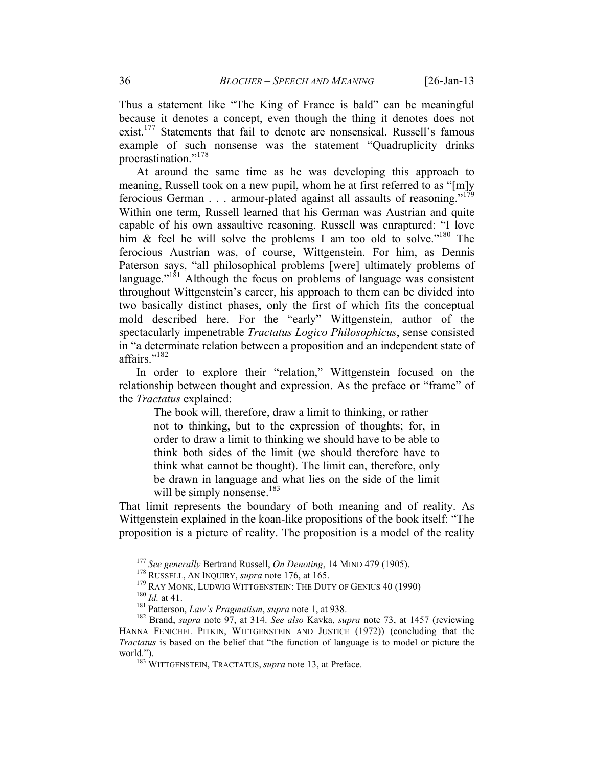Thus a statement like "The King of France is bald" can be meaningful because it denotes a concept, even though the thing it denotes does not exist.<sup>177</sup> Statements that fail to denote are nonsensical. Russell's famous example of such nonsense was the statement "Quadruplicity drinks procrastination."<sup>178</sup>

At around the same time as he was developing this approach to meaning, Russell took on a new pupil, whom he at first referred to as "[m]y ferocious German . . . armour-plated against all assaults of reasoning."<sup>179</sup> Within one term, Russell learned that his German was Austrian and quite capable of his own assaultive reasoning. Russell was enraptured: "I love him & feel he will solve the problems I am too old to solve."<sup>180</sup> The ferocious Austrian was, of course, Wittgenstein. For him, as Dennis Paterson says, "all philosophical problems [were] ultimately problems of language." $181$  Although the focus on problems of language was consistent throughout Wittgenstein's career, his approach to them can be divided into two basically distinct phases, only the first of which fits the conceptual mold described here. For the "early" Wittgenstein, author of the spectacularly impenetrable *Tractatus Logico Philosophicus*, sense consisted in "a determinate relation between a proposition and an independent state of affairs $^{182}$ 

In order to explore their "relation," Wittgenstein focused on the relationship between thought and expression. As the preface or "frame" of the *Tractatus* explained:

The book will, therefore, draw a limit to thinking, or rather not to thinking, but to the expression of thoughts; for, in order to draw a limit to thinking we should have to be able to think both sides of the limit (we should therefore have to think what cannot be thought). The limit can, therefore, only be drawn in language and what lies on the side of the limit will be simply nonsense.<sup>183</sup>

That limit represents the boundary of both meaning and of reality. As Wittgenstein explained in the koan-like propositions of the book itself: "The proposition is a picture of reality. The proposition is a model of the reality

<sup>&</sup>lt;sup>177</sup> See generally Bertrand Russell, *On Denoting*, 14 MIND 479 (1905).<br><sup>178</sup> RUSSELL, AN INQUIRY, *supra* note 176, at 165.<br><sup>179</sup> RAY MONK, LUDWIG WITTGENSTEIN: THE DUTY OF GENIUS 40 (1990)<br><sup>180</sup> *Id.* at 41.<br><sup>181</sup> Patt

HANNA FENICHEL PITKIN, WITTGENSTEIN AND JUSTICE (1972)) (concluding that the *Tractatus* is based on the belief that "the function of language is to model or picture the world."). <sup>183</sup> WITTGENSTEIN, TRACTATUS, *supra* note 13, at Preface.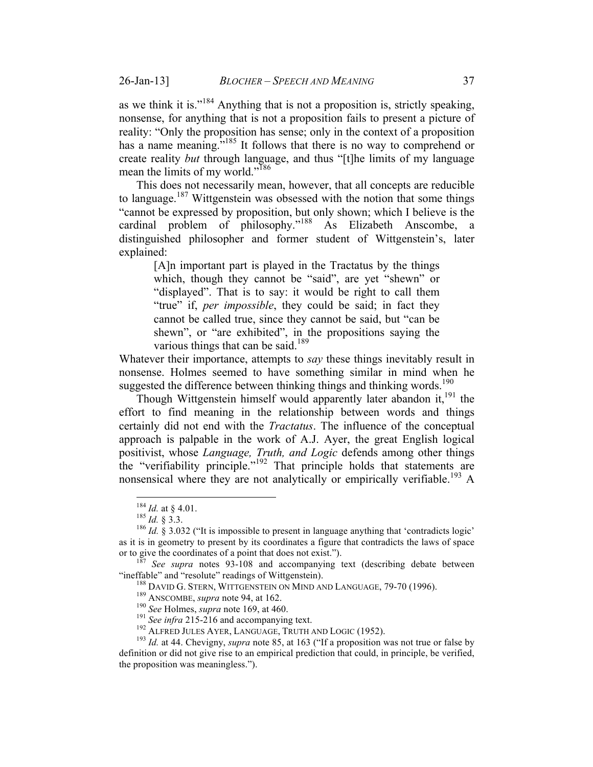as we think it is."<sup>184</sup> Anything that is not a proposition is, strictly speaking, nonsense, for anything that is not a proposition fails to present a picture of reality: "Only the proposition has sense; only in the context of a proposition has a name meaning.<sup>"185</sup> It follows that there is no way to comprehend or create reality *but* through language, and thus "[t]he limits of my language mean the limits of my world."<sup>186</sup>

This does not necessarily mean, however, that all concepts are reducible to language.<sup>187</sup> Wittgenstein was obsessed with the notion that some things "cannot be expressed by proposition, but only shown; which I believe is the cardinal problem of philosophy."<sup>188</sup> As Elizabeth Anscombe, a distinguished philosopher and former student of Wittgenstein's, later explained:

[A]n important part is played in the Tractatus by the things which, though they cannot be "said", are yet "shewn" or "displayed". That is to say: it would be right to call them "true" if, *per impossible*, they could be said; in fact they cannot be called true, since they cannot be said, but "can be shewn", or "are exhibited", in the propositions saying the various things that can be said.<sup>189</sup>

Whatever their importance, attempts to *say* these things inevitably result in nonsense. Holmes seemed to have something similar in mind when he suggested the difference between thinking things and thinking words.<sup>190</sup>

Though Wittgenstein himself would apparently later abandon it,  $191$  the effort to find meaning in the relationship between words and things certainly did not end with the *Tractatus*. The influence of the conceptual approach is palpable in the work of A.J. Ayer, the great English logical positivist, whose *Language, Truth, and Logic* defends among other things the "verifiability principle."<sup>192</sup> That principle holds that statements are nonsensical where they are not analytically or empirically verifiable.<sup>193</sup> A

<sup>&</sup>lt;sup>184</sup> *Id.* at § 4.01.<br><sup>185</sup> *Id.* § 3.3.<br><sup>186</sup> *Id.* § 3.032 ("It is impossible to present in language anything that 'contradicts logic' as it is in geometry to present by its coordinates a figure that contradicts the laws of space or to give the coordinates of a point that does not exist.").

<sup>&</sup>lt;sup>7</sup> See supra notes 93-108 and accompanying text (describing debate between "ineffable" and "resolute" readings of Wittgenstein).<br>
<sup>188</sup> DAVID G. STERN, WITTGENSTEIN ON MIND AND LANGUAGE, 79-70 (1996).<br>
<sup>189</sup> ANSCOMBE, *supra* note 94, at 162.<br>
<sup>190</sup> See Holmes, *supra* note 169, at 460.<br>
<sup>191</sup> S

definition or did not give rise to an empirical prediction that could, in principle, be verified, the proposition was meaningless.").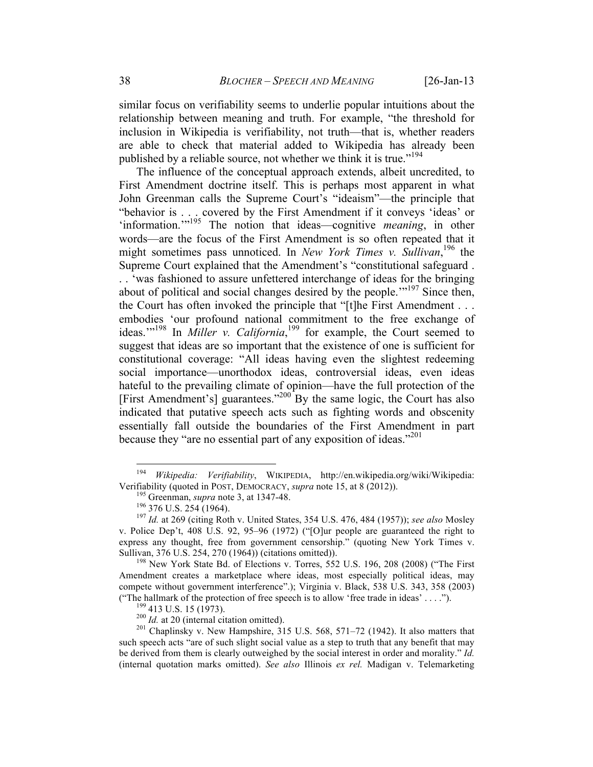similar focus on verifiability seems to underlie popular intuitions about the relationship between meaning and truth. For example, "the threshold for inclusion in Wikipedia is verifiability, not truth—that is, whether readers are able to check that material added to Wikipedia has already been published by a reliable source, not whether we think it is true."<sup>194</sup>

The influence of the conceptual approach extends, albeit uncredited, to First Amendment doctrine itself. This is perhaps most apparent in what John Greenman calls the Supreme Court's "ideaism"—the principle that "behavior is . . . covered by the First Amendment if it conveys 'ideas' or 'information.'"<sup>195</sup> The notion that ideas—cognitive *meaning*, in other words—are the focus of the First Amendment is so often repeated that it might sometimes pass unnoticed. In *New York Times v. Sullivan*, <sup>196</sup> the Supreme Court explained that the Amendment's "constitutional safeguard . . . 'was fashioned to assure unfettered interchange of ideas for the bringing about of political and social changes desired by the people.'"<sup>197</sup> Since then, the Court has often invoked the principle that "[t]he First Amendment . . . embodies 'our profound national commitment to the free exchange of ideas."<sup>198</sup> In *Miller v. California*,<sup>199</sup> for example, the Court seemed to suggest that ideas are so important that the existence of one is sufficient for constitutional coverage: "All ideas having even the slightest redeeming social importance—unorthodox ideas, controversial ideas, even ideas hateful to the prevailing climate of opinion—have the full protection of the [First Amendment's] guarantees."<sup>200</sup> By the same logic, the Court has also indicated that putative speech acts such as fighting words and obscenity essentially fall outside the boundaries of the First Amendment in part because they "are no essential part of any exposition of ideas."<sup>201</sup>

 <sup>194</sup> *Wikipedia: Verifiability*, WIKIPEDIA, http://en.wikipedia.org/wiki/Wikipedia: Verifiability (quoted in POST, DEMOCRACY, *supra* note 15, at 8 (2012)).<br><sup>195</sup> Greenman, *supra* note 3, at 1347-48.<br><sup>196</sup> 376 U.S. 254 (1964).<br><sup>197</sup> Id. at 269 (citing Roth v. United States, 354 U.S. 476, 484 (1957)); *s* 

v. Police Dep't, 408 U.S. 92, 95–96 (1972) ("[O]ur people are guaranteed the right to express any thought, free from government censorship." (quoting New York Times v. Sullivan, 376 U.S. 254, 270 (1964)) (citations omitted)). 198 New York State Bd. of Elections v. Torres, 552 U.S. 196, 208 (2008) ("The First

Amendment creates a marketplace where ideas, most especially political ideas, may compete without government interference".); Virginia v. Black, 538 U.S. 343, 358 (2003)

<sup>(&</sup>quot;The hallmark of the protection of free speech is to allow 'free trade in ideas' . . . .").<br><sup>199</sup> 413 U.S. 15 (1973).<br><sup>200</sup> *Id.* at 20 (internal citation omitted).<br><sup>201</sup> Chaplinsky v. New Hampshire, 315 U.S. 568, 571–72 such speech acts "are of such slight social value as a step to truth that any benefit that may be derived from them is clearly outweighed by the social interest in order and morality." *Id.*  (internal quotation marks omitted). *See also* Illinois *ex rel.* Madigan v. Telemarketing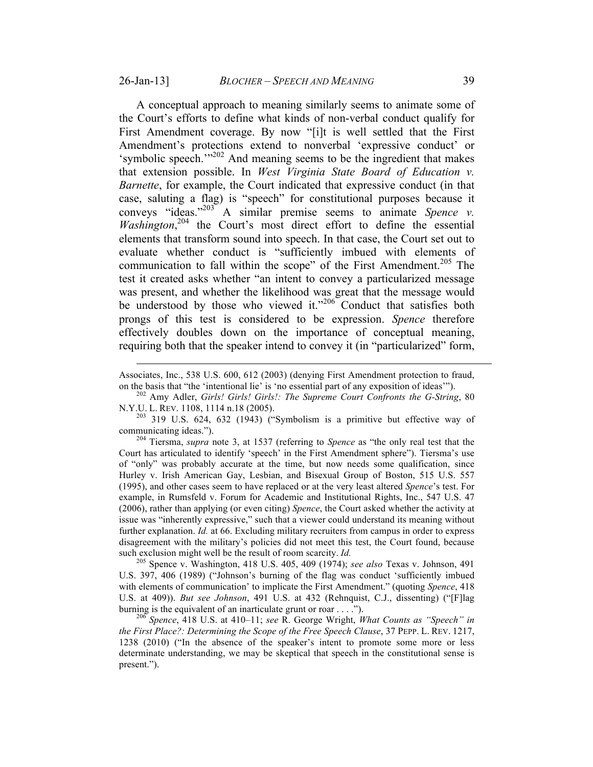A conceptual approach to meaning similarly seems to animate some of the Court's efforts to define what kinds of non-verbal conduct qualify for First Amendment coverage. By now "[i]t is well settled that the First Amendment's protections extend to nonverbal 'expressive conduct' or 'symbolic speech.'<sup>202</sup> And meaning seems to be the ingredient that makes that extension possible. In *West Virginia State Board of Education v. Barnette*, for example, the Court indicated that expressive conduct (in that case, saluting a flag) is "speech" for constitutional purposes because it conveys "ideas."<sup>203</sup> A similar premise seems to animate *Spence v.*  Washington,<sup>204</sup> the Court's most direct effort to define the essential elements that transform sound into speech. In that case, the Court set out to evaluate whether conduct is "sufficiently imbued with elements of communication to fall within the scope" of the First Amendment.<sup>205</sup> The test it created asks whether "an intent to convey a particularized message was present, and whether the likelihood was great that the message would be understood by those who viewed it."<sup>206</sup> Conduct that satisfies both prongs of this test is considered to be expression. *Spence* therefore effectively doubles down on the importance of conceptual meaning, requiring both that the speaker intend to convey it (in "particularized" form,

N.Y.U. L. REV. 1108, 1114 n.18 (2005).<br><sup>203</sup> 319 U.S. 624, 632 (1943) ("Symbolism is a primitive but effective way of communicating ideas.").

<sup>204</sup> Tiersma, *supra* note 3, at 1537 (referring to *Spence* as "the only real test that the Court has articulated to identify 'speech' in the First Amendment sphere"). Tiersma's use of "only" was probably accurate at the time, but now needs some qualification, since Hurley v. Irish American Gay, Lesbian, and Bisexual Group of Boston, 515 U.S. 557 (1995), and other cases seem to have replaced or at the very least altered *Spence*'s test. For example, in Rumsfeld v. Forum for Academic and Institutional Rights, Inc., 547 U.S. 47 (2006), rather than applying (or even citing) *Spence*, the Court asked whether the activity at issue was "inherently expressive," such that a viewer could understand its meaning without further explanation. *Id.* at 66. Excluding military recruiters from campus in order to express disagreement with the military's policies did not meet this test, the Court found, because such exclusion might well be the result of room scarcity. *Id.* <sup>205</sup> Spence v. Washington, 418 U.S. 405, 409 (1974); *see also* Texas v. Johnson, 491

U.S. 397, 406 (1989) ("Johnson's burning of the flag was conduct 'sufficiently imbued with elements of communication' to implicate the First Amendment." (quoting *Spence*, 418 U.S. at 409)). *But see Johnson*, 491 U.S. at 432 (Rehnquist, C.J., dissenting) ("[F]lag burning is the equivalent of an inarticulate grunt or roar . . . ."). <sup>206</sup> *Spence*, 418 U.S. at 410–11; *see* R. George Wright, *What Counts as "Speech" in* 

*the First Place?: Determining the Scope of the Free Speech Clause*, 37 PEPP. L. REV. 1217, 1238 (2010) ("In the absence of the speaker's intent to promote some more or less determinate understanding, we may be skeptical that speech in the constitutional sense is present.").

Associates, Inc., 538 U.S. 600, 612 (2003) (denying First Amendment protection to fraud,

on the basis that "the 'intentional lie' is 'no essential part of any exposition of ideas'"). 202 Amy Adler, *Girls! Girls! Girls!: The Supreme Court Confronts the G-String*, 80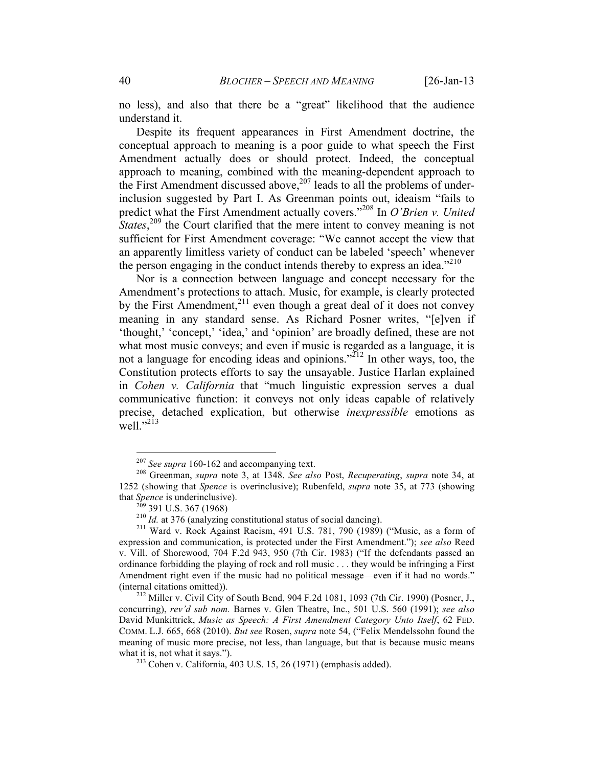no less), and also that there be a "great" likelihood that the audience understand it.

Despite its frequent appearances in First Amendment doctrine, the conceptual approach to meaning is a poor guide to what speech the First Amendment actually does or should protect. Indeed, the conceptual approach to meaning, combined with the meaning-dependent approach to the First Amendment discussed above, <sup>207</sup> leads to all the problems of underinclusion suggested by Part I. As Greenman points out, ideaism "fails to predict what the First Amendment actually covers."<sup>208</sup> In *O'Brien v. United States*,<sup>209</sup> the Court clarified that the mere intent to convey meaning is not sufficient for First Amendment coverage: "We cannot accept the view that an apparently limitless variety of conduct can be labeled 'speech' whenever the person engaging in the conduct intends thereby to express an idea. $^{210}$ 

Nor is a connection between language and concept necessary for the Amendment's protections to attach. Music, for example, is clearly protected by the First Amendment,<sup>211</sup> even though a great deal of it does not convey meaning in any standard sense. As Richard Posner writes, "[e]ven if 'thought,' 'concept,' 'idea,' and 'opinion' are broadly defined, these are not what most music conveys; and even if music is regarded as a language, it is not a language for encoding ideas and opinions."<sup> $212$ </sup> In other ways, too, the Constitution protects efforts to say the unsayable. Justice Harlan explained in *Cohen v. California* that "much linguistic expression serves a dual communicative function: it conveys not only ideas capable of relatively precise, detached explication, but otherwise *inexpressible* emotions as well." $^{213}$ 

<sup>207</sup> *See supra* 160-162 and accompanying text. <sup>208</sup> Greenman, *supra* note 3, at 1348. *See also* Post, *Recuperating*, *supra* note 34, at 1252 (showing that *Spence* is overinclusive); Rubenfeld, *supra* note 35, at 773 (showing that *Spence* is underinclusive).<br><sup>209</sup> 391 U.S. 367 (1968)<br><sup>210</sup> *Id.* at 376 (analyzing constitutional status of social dancing).<br><sup>211</sup> Ward v. Rock Against Racism, 491 U.S. 781, 790 (1989) ("Music, as a form of

expression and communication, is protected under the First Amendment."); *see also* Reed v. Vill. of Shorewood, 704 F.2d 943, 950 (7th Cir. 1983) ("If the defendants passed an ordinance forbidding the playing of rock and roll music . . . they would be infringing a First Amendment right even if the music had no political message—even if it had no words." (internal citations omitted)). 212 Miller v. Civil City of South Bend, 904 F.2d 1081, 1093 (7th Cir. 1990) (Posner, J.,

concurring), *rev'd sub nom.* Barnes v. Glen Theatre, Inc., 501 U.S. 560 (1991); *see also*  David Munkittrick, *Music as Speech: A First Amendment Category Unto Itself*, 62 FED. COMM. L.J. 665, 668 (2010). *But see* Rosen, *supra* note 54, ("Felix Mendelssohn found the meaning of music more precise, not less, than language, but that is because music means what it is, not what it says.").  $^{213}$  Cohen v. California, 403 U.S. 15, 26 (1971) (emphasis added).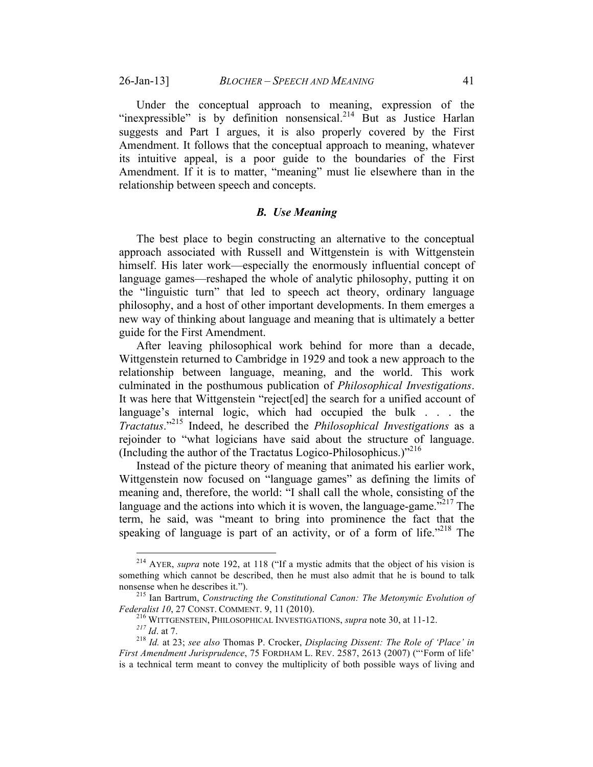Under the conceptual approach to meaning, expression of the "inexpressible" is by definition nonsensical.<sup>214</sup> But as Justice Harlan suggests and Part I argues, it is also properly covered by the First Amendment. It follows that the conceptual approach to meaning, whatever its intuitive appeal, is a poor guide to the boundaries of the First Amendment. If it is to matter, "meaning" must lie elsewhere than in the relationship between speech and concepts.

#### *B. Use Meaning*

The best place to begin constructing an alternative to the conceptual approach associated with Russell and Wittgenstein is with Wittgenstein himself. His later work—especially the enormously influential concept of language games—reshaped the whole of analytic philosophy, putting it on the "linguistic turn" that led to speech act theory, ordinary language philosophy, and a host of other important developments. In them emerges a new way of thinking about language and meaning that is ultimately a better guide for the First Amendment.

After leaving philosophical work behind for more than a decade, Wittgenstein returned to Cambridge in 1929 and took a new approach to the relationship between language, meaning, and the world. This work culminated in the posthumous publication of *Philosophical Investigations*. It was here that Wittgenstein "reject[ed] the search for a unified account of language's internal logic, which had occupied the bulk . . . the *Tractatus*."215 Indeed, he described the *Philosophical Investigations* as a rejoinder to "what logicians have said about the structure of language. (Including the author of the Tractatus Logico-Philosophicus.)"<sup>216</sup>

Instead of the picture theory of meaning that animated his earlier work, Wittgenstein now focused on "language games" as defining the limits of meaning and, therefore, the world: "I shall call the whole, consisting of the language and the actions into which it is woven, the language-game.<sup> $217$ </sup> The term, he said, was "meant to bring into prominence the fact that the speaking of language is part of an activity, or of a form of life."<sup>218</sup> The

 <sup>214</sup> AYER, *supra* note 192, at 118 ("If a mystic admits that the object of his vision is something which cannot be described, then he must also admit that he is bound to talk nonsense when he describes it.").<br><sup>215</sup> Ian Bartrum, *Constructing the Constitutional Canon: The Metonymic Evolution of* 

*Federalist 10, 27 CONST. COMMENT. 9, 11 (2010).*<br><sup>216</sup> WITTGENSTEIN, PHILOSOPHICAL INVESTIGATIONS, *supra* note 30, at 11-12.<br><sup>217</sup> Id. at 7.<br><sup>218</sup> Id. at 23: *see also* Thomas P. Crocker, *Displacing Dissent: The Role o* 

*First Amendment Jurisprudence*, 75 FORDHAM L. REV. 2587, 2613 (2007) ("'Form of life' is a technical term meant to convey the multiplicity of both possible ways of living and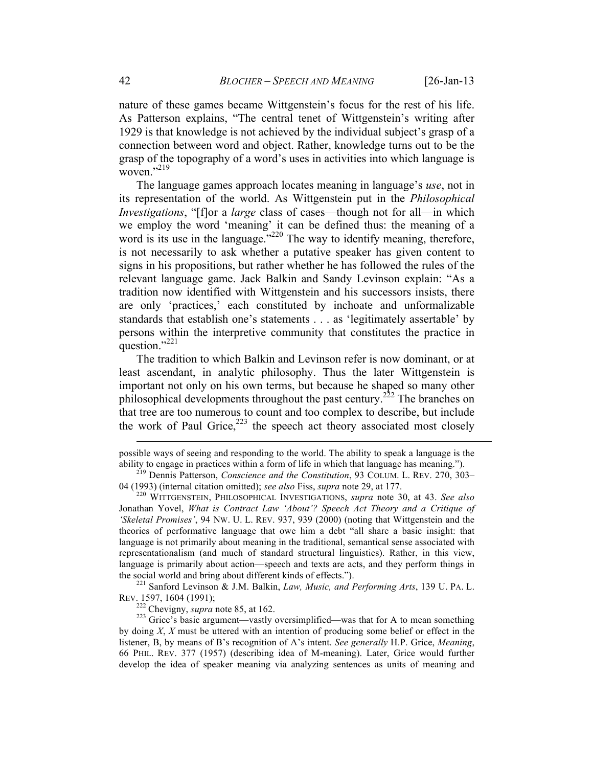nature of these games became Wittgenstein's focus for the rest of his life. As Patterson explains, "The central tenet of Wittgenstein's writing after 1929 is that knowledge is not achieved by the individual subject's grasp of a connection between word and object. Rather, knowledge turns out to be the grasp of the topography of a word's uses in activities into which language is  $\frac{1}{2}$ woven."<sup>219</sup>

The language games approach locates meaning in language's *use*, not in its representation of the world. As Wittgenstein put in the *Philosophical Investigations*, "[f]or a *large* class of cases—though not for all—in which we employ the word 'meaning' it can be defined thus: the meaning of a word is its use in the language."<sup>220</sup> The way to identify meaning, therefore, is not necessarily to ask whether a putative speaker has given content to signs in his propositions, but rather whether he has followed the rules of the relevant language game. Jack Balkin and Sandy Levinson explain: "As a tradition now identified with Wittgenstein and his successors insists, there are only 'practices,' each constituted by inchoate and unformalizable standards that establish one's statements . . . as 'legitimately assertable' by persons within the interpretive community that constitutes the practice in question."<sup>221</sup>

The tradition to which Balkin and Levinson refer is now dominant, or at least ascendant, in analytic philosophy. Thus the later Wittgenstein is important not only on his own terms, but because he shaped so many other philosophical developments throughout the past century.<sup>222</sup> The branches on that tree are too numerous to count and too complex to describe, but include the work of Paul Grice, $2^{23}$  the speech act theory associated most closely

the social world and bring about different kinds of effects.").<br><sup>221</sup> Sanford Levinson & J.M. Balkin, *Law, Music, and Performing Arts*, 139 U. PA. L.<br>REV. 1597, 1604 (1991);

 $\overline{a}$ 

possible ways of seeing and responding to the world. The ability to speak a language is the ability to engage in practices within a form of life in which that language has meaning."). <sup>219</sup> Dennis Patterson, *Conscience and the Constitution*, 93 COLUM. L. REV. 270, 303–

<sup>04 (1993) (</sup>internal citation omitted); *see also* Fiss, *supra* note 29, at 177. <sup>220</sup> WITTGENSTEIN, PHILOSOPHICAL INVESTIGATIONS, *supra* note 30, at 43. *See also*

Jonathan Yovel, *What is Contract Law 'About'? Speech Act Theory and a Critique of 'Skeletal Promises'*, 94 NW. U. L. REV. 937, 939 (2000) (noting that Wittgenstein and the theories of performative language that owe him a debt "all share a basic insight: that language is not primarily about meaning in the traditional, semantical sense associated with representationalism (and much of standard structural linguistics). Rather, in this view, language is primarily about action—speech and texts are acts, and they perform things in

REV. 1597, 1604 (1991); <sup>222</sup> Chevigny, *supra* note 85, at 162. <sup>223</sup> Grice's basic argument—vastly oversimplified—was that for A to mean something by doing *X*, *X* must be uttered with an intention of producing some belief or effect in the listener, B, by means of B's recognition of A's intent. *See generally* H.P. Grice, *Meaning*, 66 PHIL. REV. 377 (1957) (describing idea of M-meaning). Later, Grice would further develop the idea of speaker meaning via analyzing sentences as units of meaning and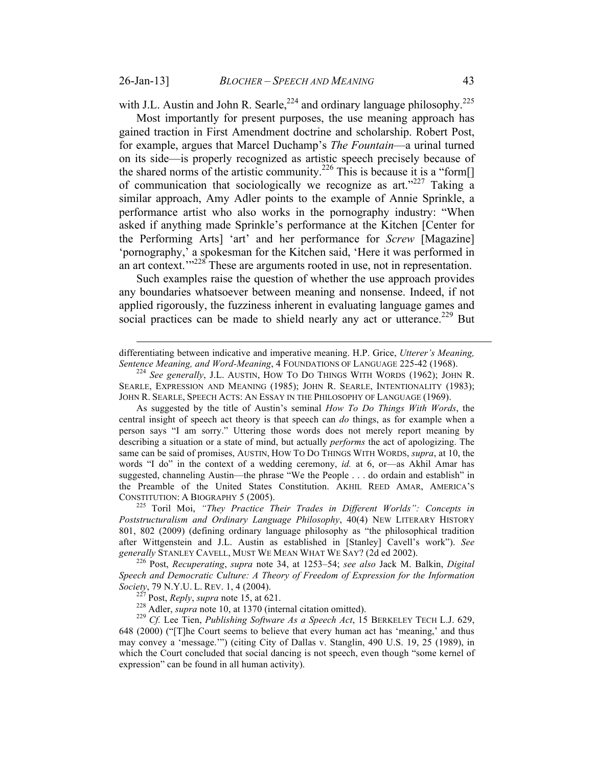with J.L. Austin and John R. Searle,  $2^{24}$  and ordinary language philosophy.<sup>225</sup>

Most importantly for present purposes, the use meaning approach has gained traction in First Amendment doctrine and scholarship. Robert Post, for example, argues that Marcel Duchamp's *The Fountain*—a urinal turned on its side—is properly recognized as artistic speech precisely because of the shared norms of the artistic community.<sup>226</sup> This is because it is a "form[] of communication that sociologically we recognize as art."<sup>227</sup> Taking a similar approach, Amy Adler points to the example of Annie Sprinkle, a performance artist who also works in the pornography industry: "When asked if anything made Sprinkle's performance at the Kitchen [Center for the Performing Arts] 'art' and her performance for *Screw* [Magazine] 'pornography,' a spokesman for the Kitchen said, 'Here it was performed in an art context."<sup>228</sup> These are arguments rooted in use, not in representation.

Such examples raise the question of whether the use approach provides any boundaries whatsoever between meaning and nonsense. Indeed, if not applied rigorously, the fuzziness inherent in evaluating language games and social practices can be made to shield nearly any act or utterance.<sup>229</sup> But

SEARLE, EXPRESSION AND MEANING (1985); JOHN R. SEARLE, INTENTIONALITY (1983); JOHN R. SEARLE, SPEECH ACTS: AN ESSAY IN THE PHILOSOPHY OF LANGUAGE (1969).

As suggested by the title of Austin's seminal *How To Do Things With Words*, the central insight of speech act theory is that speech can *do* things, as for example when a person says "I am sorry." Uttering those words does not merely report meaning by describing a situation or a state of mind, but actually *performs* the act of apologizing. The same can be said of promises, AUSTIN, HOW TO DO THINGS WITH WORDS, *supra*, at 10, the words "I do" in the context of a wedding ceremony, *id.* at 6, or—as Akhil Amar has suggested, channeling Austin—the phrase "We the People . . . do ordain and establish" in the Preamble of the United States Constitution. AKHIL REED AMAR, AMERICA'S

CONSTITUTION: <sup>A</sup> BIOGRAPHY 5 (2005). 225 Toril Moi, *"They Practice Their Trades in Different Worlds": Concepts in Poststructuralism and Ordinary Language Philosophy*, 40(4) NEW LITERARY HISTORY 801, 802 (2009) (defining ordinary language philosophy as "the philosophical tradition after Wittgenstein and J.L. Austin as established in [Stanley] Cavell's work"). *See* 

<sup>226</sup> Post, *Recuperating*, *supra* note 34, at 1253–54; *see also Jack M. Balkin, Digital Speech and Democratic Culture: A Theory of Freedom of Expression for the Information*  Society, 79 N.Y.U. L. REV. 1, 4 (2004).<br><sup>227</sup> Post, *Reply, supra* note 15, at 621.<br><sup>228</sup> Adler, *supra* note 10, at 1370 (internal citation omitted).<br><sup>229</sup> Cf. Lee Tien, *Publishing Software As a Speech Act*, 15 BERKELEY

 $\overline{a}$ 

648 (2000) ("[T]he Court seems to believe that every human act has 'meaning,' and thus may convey a 'message.'") (citing City of Dallas v. Stanglin, 490 U.S. 19, 25 (1989), in which the Court concluded that social dancing is not speech, even though "some kernel of expression" can be found in all human activity).

differentiating between indicative and imperative meaning. H.P. Grice, *Utterer's Meaning, Sentence Meaning, and Word-Meaning*, 4 FOUNDATIONS OF LANGUAGE 225-42 (1968). <sup>224</sup> *See generally*, J.L. AUSTIN, HOW TO DO THINGS WITH WORDS (1962); JOHN R.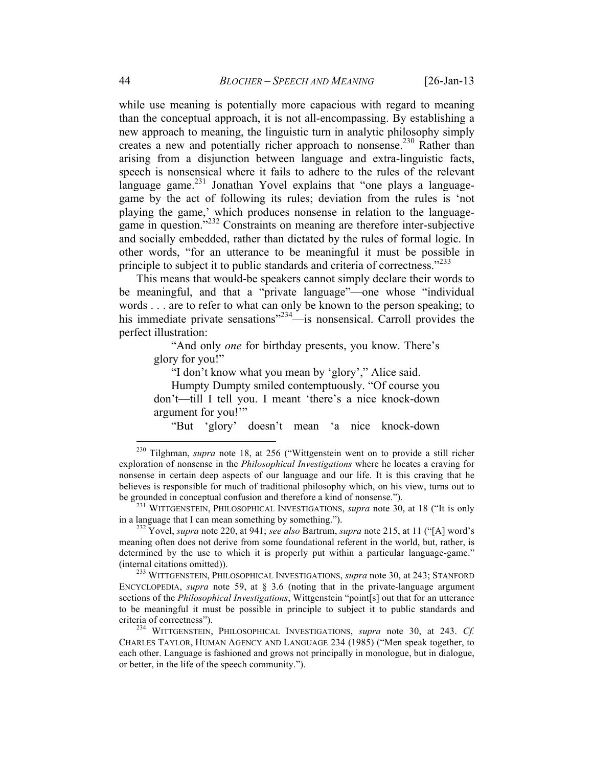while use meaning is potentially more capacious with regard to meaning than the conceptual approach, it is not all-encompassing. By establishing a new approach to meaning, the linguistic turn in analytic philosophy simply creates a new and potentially richer approach to nonsense.<sup>230</sup> Rather than arising from a disjunction between language and extra-linguistic facts, speech is nonsensical where it fails to adhere to the rules of the relevant language game.<sup>231</sup> Jonathan Yovel explains that "one plays a languagegame by the act of following its rules; deviation from the rules is 'not playing the game,' which produces nonsense in relation to the languagegame in question." <sup>232</sup> Constraints on meaning are therefore inter-subjective and socially embedded, rather than dictated by the rules of formal logic. In other words, "for an utterance to be meaningful it must be possible in principle to subject it to public standards and criteria of correctness."<sup>233</sup>

This means that would-be speakers cannot simply declare their words to be meaningful, and that a "private language"—one whose "individual words . . . are to refer to what can only be known to the person speaking; to his immediate private sensations<sup>"234</sup>—is nonsensical. Carroll provides the perfect illustration:

"And only *one* for birthday presents, you know. There's glory for you!"

"I don't know what you mean by 'glory'," Alice said.

Humpty Dumpty smiled contemptuously. "Of course you don't—till I tell you. I meant 'there's a nice knock-down argument for you!'"

"But 'glory' doesn't mean 'a nice knock-down

 <sup>230</sup> Tilghman, *supra* note 18, at 256 ("Wittgenstein went on to provide a still richer exploration of nonsense in the *Philosophical Investigations* where he locates a craving for nonsense in certain deep aspects of our language and our life. It is this craving that he believes is responsible for much of traditional philosophy which, on his view, turns out to

be grounded in conceptual confusion and therefore a kind of nonsense.").<br><sup>231</sup> WITTGENSTEIN, PHILOSOPHICAL INVESTIGATIONS, *supra* note 30, at 18 ("It is only in a language that I can mean something by something.").

<sup>&</sup>lt;sup>232</sup> Yovel, *supra* note 220, at 941; *see also* Bartrum, *supra* note 215, at 11 ("[A] word's meaning often does not derive from some foundational referent in the world, but, rather, is determined by the use to which it is properly put within a particular language-game." (internal citations omitted)). 233 WITTGENSTEIN, PHILOSOPHICAL INVESTIGATIONS, *supra* note 30, at 243; STANFORD

ENCYCLOPEDIA, *supra* note 59, at § 3.6 (noting that in the private-language argument sections of the *Philosophical Investigations*, Wittgenstein "point[s] out that for an utterance to be meaningful it must be possible in principle to subject it to public standards and criteria of correctness"). <sup>234</sup> WITTGENSTEIN, PHILOSOPHICAL INVESTIGATIONS, *supra* note 30, at 243. *Cf.* 

CHARLES TAYLOR, HUMAN AGENCY AND LANGUAGE 234 (1985) ("Men speak together, to each other. Language is fashioned and grows not principally in monologue, but in dialogue, or better, in the life of the speech community.").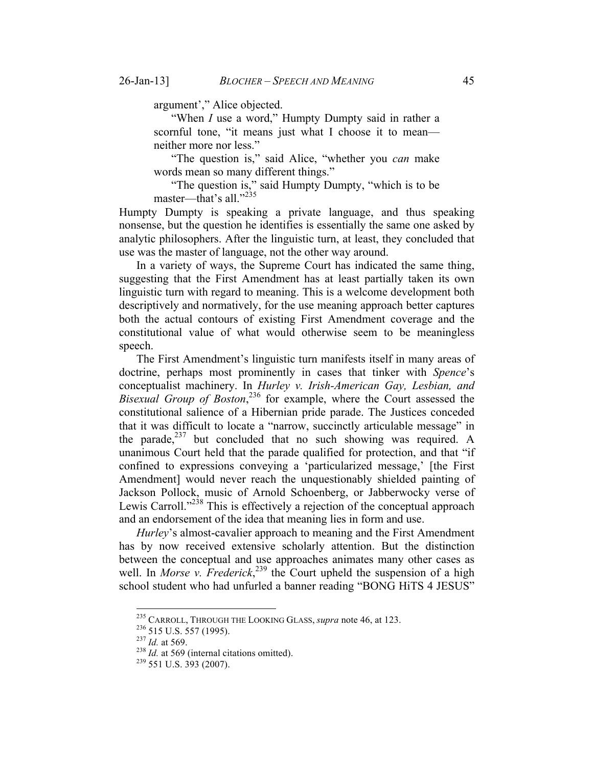argument'," Alice objected.

"When *I* use a word," Humpty Dumpty said in rather a scornful tone, "it means just what I choose it to mean neither more nor less."

"The question is," said Alice, "whether you *can* make words mean so many different things."

"The question is," said Humpty Dumpty, "which is to be master—that's all."<sup>235</sup>

Humpty Dumpty is speaking a private language, and thus speaking nonsense, but the question he identifies is essentially the same one asked by analytic philosophers. After the linguistic turn, at least, they concluded that use was the master of language, not the other way around.

In a variety of ways, the Supreme Court has indicated the same thing, suggesting that the First Amendment has at least partially taken its own linguistic turn with regard to meaning. This is a welcome development both descriptively and normatively, for the use meaning approach better captures both the actual contours of existing First Amendment coverage and the constitutional value of what would otherwise seem to be meaningless speech.

The First Amendment's linguistic turn manifests itself in many areas of doctrine, perhaps most prominently in cases that tinker with *Spence*'s conceptualist machinery. In *Hurley v. Irish-American Gay, Lesbian, and Bisexual Group of Boston*, <sup>236</sup> for example, where the Court assessed the constitutional salience of a Hibernian pride parade. The Justices conceded that it was difficult to locate a "narrow, succinctly articulable message" in the parade, $237$  but concluded that no such showing was required. A unanimous Court held that the parade qualified for protection, and that "if confined to expressions conveying a 'particularized message,' [the First Amendment] would never reach the unquestionably shielded painting of Jackson Pollock, music of Arnold Schoenberg, or Jabberwocky verse of Lewis Carroll.<sup>2238</sup> This is effectively a rejection of the conceptual approach and an endorsement of the idea that meaning lies in form and use.

*Hurley*'s almost-cavalier approach to meaning and the First Amendment has by now received extensive scholarly attention. But the distinction between the conceptual and use approaches animates many other cases as well. In *Morse v. Frederick*<sup>239</sup>, the Court upheld the suspension of a high school student who had unfurled a banner reading "BONG HiTS 4 JESUS"

<sup>&</sup>lt;sup>235</sup> CARROLL, THROUGH THE LOOKING GLASS, *supra* note 46, at 123.<br><sup>236</sup> 515 U.S. 557 (1995).<br><sup>237</sup> *Id.* at 569. (internal citations omitted). <sup>239</sup> 551 U.S. 393 (2007).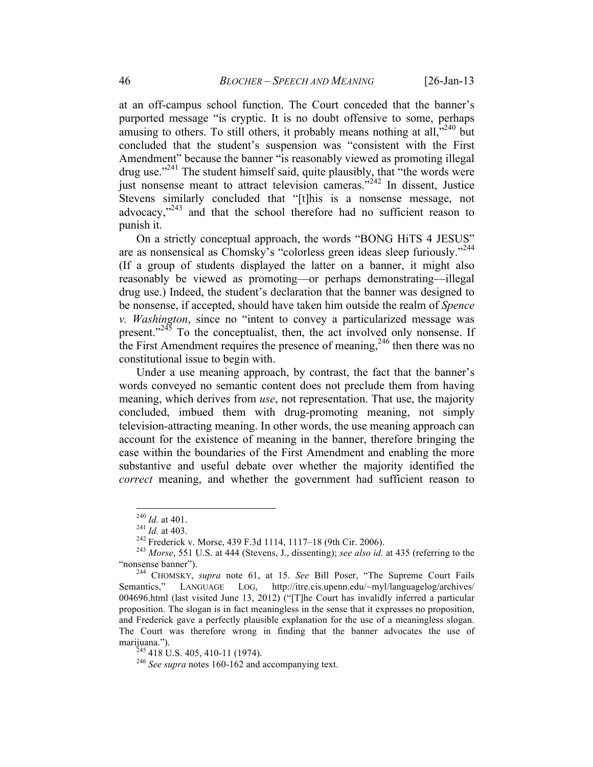at an off-campus school function. The Court conceded that the banner's purported message "is cryptic. It is no doubt offensive to some, perhaps amusing to others. To still others, it probably means nothing at all, $^{240}$  but concluded that the student's suspension was "consistent with the First Amendment" because the banner "is reasonably viewed as promoting illegal drug use."241 The student himself said, quite plausibly, that "the words were just nonsense meant to attract television cameras.<sup> $5242$ </sup> In dissent, Justice Stevens similarly concluded that "[t]his is a nonsense message, not advocacy,"<sup>243</sup> and that the school therefore had no sufficient reason to punish it.

On a strictly conceptual approach, the words "BONG HiTS 4 JESUS" are as nonsensical as Chomsky's "colorless green ideas sleep furiously."<sup>244</sup> (If a group of students displayed the latter on a banner, it might also reasonably be viewed as promoting—or perhaps demonstrating—illegal drug use.) Indeed, the student's declaration that the banner was designed to be nonsense, if accepted, should have taken him outside the realm of *Spence v. Washington*, since no "intent to convey a particularized message was present."<sup>245</sup> To the conceptualist, then, the act involved only nonsense. If the First Amendment requires the presence of meaning,  $246$  then there was no constitutional issue to begin with.

Under a use meaning approach, by contrast, the fact that the banner's words conveyed no semantic content does not preclude them from having meaning, which derives from *use*, not representation. That use, the majority concluded, imbued them with drug-promoting meaning, not simply television-attracting meaning. In other words, the use meaning approach can account for the existence of meaning in the banner, therefore bringing the case within the boundaries of the First Amendment and enabling the more substantive and useful debate over whether the majority identified the *correct* meaning, and whether the government had sufficient reason to

<sup>&</sup>lt;sup>240</sup> *Id.* at 401.<br><sup>241</sup> *Id.* at 403.<br><sup>242</sup> Frederick v. Morse, 439 F.3d 1114, 1117–18 (9th Cir. 2006).<br><sup>243</sup> *Morse*, 551 U.S. at 444 (Stevens, J., dissenting); *see also id.* at 435 (referring to the "nonsense banner"). 244 CHOMSKY, *supra* note 61, at 15. *See* Bill Poser, "The Supreme Court Fails

Semantics," LANGUAGE LOG, http://itre.cis.upenn.edu/~myl/languagelog/archives/ 004696.html (last visited June 13, 2012) ("[T]he Court has invalidly inferred a particular proposition. The slogan is in fact meaningless in the sense that it expresses no proposition, and Frederick gave a perfectly plausible explanation for the use of a meaningless slogan. The Court was therefore wrong in finding that the banner advocates the use of marijuana.").<br><sup>245</sup> 418 U.S. 405, 410-11 (1974).<br><sup>246</sup> *See supra* notes 160-162 and accompanying text.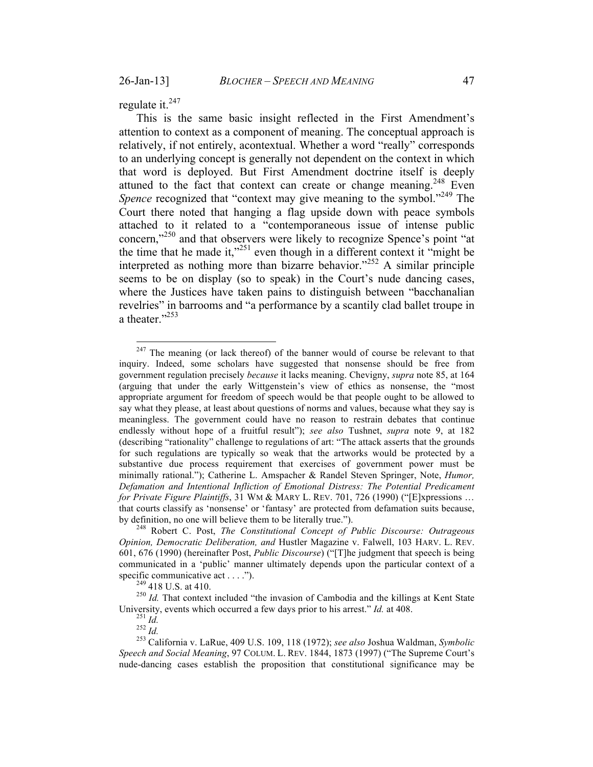regulate it. $247$ 

This is the same basic insight reflected in the First Amendment's attention to context as a component of meaning. The conceptual approach is relatively, if not entirely, acontextual. Whether a word "really" corresponds to an underlying concept is generally not dependent on the context in which that word is deployed. But First Amendment doctrine itself is deeply attuned to the fact that context can create or change meaning.<sup>248</sup> Even *Spence* recognized that "context may give meaning to the symbol."<sup>249</sup> The Court there noted that hanging a flag upside down with peace symbols attached to it related to a "contemporaneous issue of intense public concern,"<sup>250</sup> and that observers were likely to recognize Spence's point "at the time that he made it," $251$  even though in a different context it "might be interpreted as nothing more than bizarre behavior."<sup>252</sup> A similar principle seems to be on display (so to speak) in the Court's nude dancing cases, where the Justices have taken pains to distinguish between "bacchanalian revelries" in barrooms and "a performance by a scantily clad ballet troupe in a theater $^{3253}$ 

<sup>&</sup>lt;sup>247</sup> The meaning (or lack thereof) of the banner would of course be relevant to that inquiry. Indeed, some scholars have suggested that nonsense should be free from government regulation precisely *because* it lacks meaning. Chevigny, *supra* note 85, at 164 (arguing that under the early Wittgenstein's view of ethics as nonsense, the "most appropriate argument for freedom of speech would be that people ought to be allowed to say what they please, at least about questions of norms and values, because what they say is meaningless. The government could have no reason to restrain debates that continue endlessly without hope of a fruitful result"); *see also* Tushnet, *supra* note 9, at 182 (describing "rationality" challenge to regulations of art: "The attack asserts that the grounds for such regulations are typically so weak that the artworks would be protected by a substantive due process requirement that exercises of government power must be minimally rational."); Catherine L. Amspacher & Randel Steven Springer, Note, *Humor, Defamation and Intentional Infliction of Emotional Distress: The Potential Predicament for Private Figure Plaintiffs*, 31 WM & MARY L. REV. 701, 726 (1990) ("[E]xpressions … that courts classify as 'nonsense' or 'fantasy' are protected from defamation suits because, by definition, no one will believe them to be literally true."). <sup>248</sup> Robert C. Post, *The Constitutional Concept of Public Discourse: Outrageous* 

*Opinion, Democratic Deliberation, and* Hustler Magazine v. Falwell, 103 HARV. L. REV. 601, 676 (1990) (hereinafter Post, *Public Discourse*) ("[T]he judgment that speech is being communicated in a 'public' manner ultimately depends upon the particular context of a

specific communicative act . . . .").<br><sup>249</sup> 418 U.S. at 410.<br><sup>250</sup> *Id*. That context included "the invasion of Cambodia and the killings at Kent State University, events which occurred a few days prior to his arrest." *Id.* at 408.<br><sup>251</sup> *Id.* <sup>252</sup> *Id.* <sup>253</sup> California v. LaRue, 409 U.S. 109, 118 (1972); *see also Joshua Waldman, Symbolic* 

*Speech and Social Meaning*, 97 COLUM. L. REV. 1844, 1873 (1997) ("The Supreme Court's nude-dancing cases establish the proposition that constitutional significance may be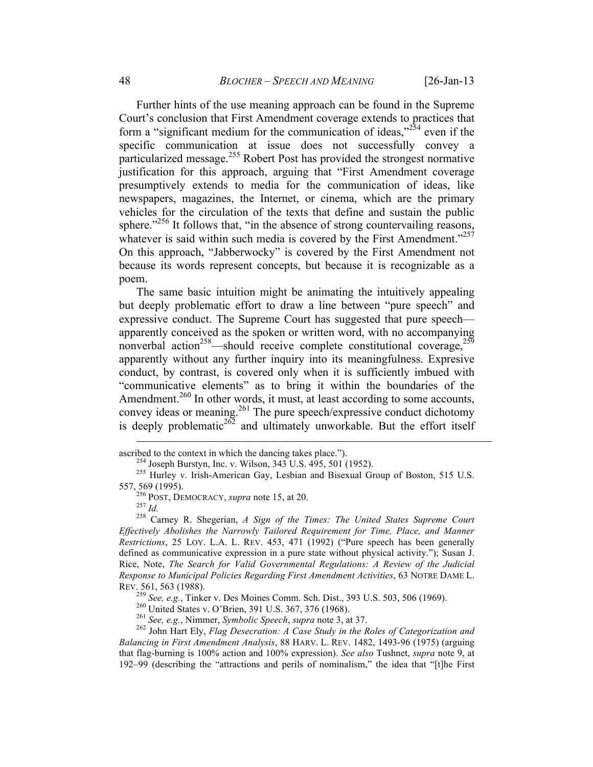Further hints of the use meaning approach can be found in the Supreme Court's conclusion that First Amendment coverage extends to practices that form a "significant medium for the communication of ideas," $254$  even if the specific communication at issue does not successfully convey a particularized message.<sup>255</sup> Robert Post has provided the strongest normative justification for this approach, arguing that "First Amendment coverage presumptively extends to media for the communication of ideas, like newspapers, magazines, the Internet, or cinema, which are the primary vehicles for the circulation of the texts that define and sustain the public sphere."<sup>256</sup> It follows that, "in the absence of strong countervailing reasons, whatever is said within such media is covered by the First Amendment."<sup>257</sup> On this approach, "Jabberwocky" is covered by the First Amendment not because its words represent concepts, but because it is recognizable as a poem.

The same basic intuition might be animating the intuitively appealing but deeply problematic effort to draw a line between "pure speech" and expressive conduct. The Supreme Court has suggested that pure speech apparently conceived as the spoken or written word, with no accompanying nonverbal action<sup>258</sup>—should receive complete constitutional coverage,  $259$ apparently without any further inquiry into its meaningfulness. Expresive conduct, by contrast, is covered only when it is sufficiently imbued with "communicative elements" as to bring it within the boundaries of the Amendment.<sup>260</sup> In other words, it must, at least according to some accounts, convey ideas or meaning.<sup>261</sup> The pure speech/expressive conduct dichotomy is deeply problematic<sup>262</sup> and ultimately unworkable. But the effort itself

 $\overline{a}$ 

<sup>257</sup> Id.<br><sup>258</sup> Carney R. Shegerian, *A Sign of the Times: The United States Supreme Court Effectively Abolishes the Narrowly Tailored Requirement for Time, Place, and Manner Restrictions*, 25 LOY. L.A. L. REV. 453, 471 (1992) ("Pure speech has been generally defined as communicative expression in a pure state without physical activity."); Susan J. Rice, Note, *The Search for Valid Governmental Regulations: A Review of the Judicial Response to Municipal Policies Regarding First Amendment Activities*, 63 NOTRE DAME L. REV. 561, 563 (1988).<br><sup>259</sup> See, e.g., Tinker v. Des Moines Comm. Sch. Dist., 393 U.S. 503, 506 (1969).

<sup>260</sup> United States v. O'Brien, 391 U.S. 367, 376 (1968).<br><sup>261</sup> See, e.g., Nimmer, Symbolic Speech, supra note 3, at 37.<br><sup>262</sup> John Hart Ely, *Flag Desecration: A Case Study in the Roles of Categorization and Balancing in First Amendment Analysis*, 88 HARV. L. REV. 1482, 1493-96 (1975) (arguing that flag-burning is 100% action and 100% expression). *See also* Tushnet, *supra* note 9, at 192–99 (describing the "attractions and perils of nominalism," the idea that "[t]he First

ascribed to the context in which the dancing takes place.").<br><sup>254</sup> Joseph Burstyn, Inc. v. Wilson, 343 U.S. 495, 501 (1952).

<sup>&</sup>lt;sup>255</sup> Hurley v. Irish-American Gay, Lesbian and Bisexual Group of Boston, 515 U.S. 557, 569 (1995).<br><sup>256</sup> POST, DEMOCRACY, *supra* note 15, at 20.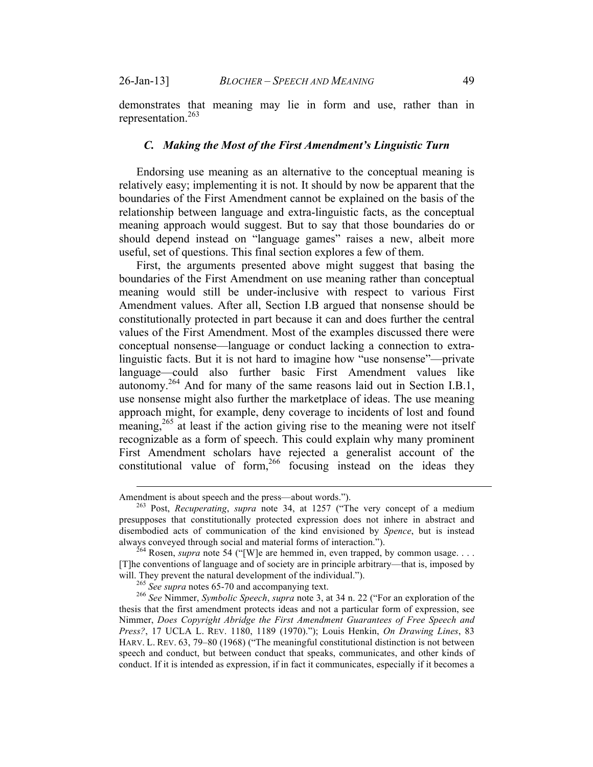demonstrates that meaning may lie in form and use, rather than in representation.<sup>263</sup>

#### *C. Making the Most of the First Amendment's Linguistic Turn*

Endorsing use meaning as an alternative to the conceptual meaning is relatively easy; implementing it is not. It should by now be apparent that the boundaries of the First Amendment cannot be explained on the basis of the relationship between language and extra-linguistic facts, as the conceptual meaning approach would suggest. But to say that those boundaries do or should depend instead on "language games" raises a new, albeit more useful, set of questions. This final section explores a few of them.

First, the arguments presented above might suggest that basing the boundaries of the First Amendment on use meaning rather than conceptual meaning would still be under-inclusive with respect to various First Amendment values. After all, Section I.B argued that nonsense should be constitutionally protected in part because it can and does further the central values of the First Amendment. Most of the examples discussed there were conceptual nonsense—language or conduct lacking a connection to extralinguistic facts. But it is not hard to imagine how "use nonsense"—private language—could also further basic First Amendment values like autonomy.264 And for many of the same reasons laid out in Section I.B.1, use nonsense might also further the marketplace of ideas. The use meaning approach might, for example, deny coverage to incidents of lost and found meaning,<sup>265</sup> at least if the action giving rise to the meaning were not itself recognizable as a form of speech. This could explain why many prominent First Amendment scholars have rejected a generalist account of the constitutional value of form,  $266$  focusing instead on the ideas they

Amendment is about speech and the press—about words.").<br><sup>263</sup> Post, *Recuperating*, *supra* note 34, at 1257 ("The very concept of a medium") presupposes that constitutionally protected expression does not inhere in abstract and disembodied acts of communication of the kind envisioned by *Spence*, but is instead always conveyed through social and material forms of interaction.").<br><sup>264</sup> Rosen, *supra* note 54 ("[W]e are hemmed in, even trapped, by common usage. . . .

<sup>[</sup>T]he conventions of language and of society are in principle arbitrary—that is, imposed by will. They prevent the natural development of the individual.").<br><sup>265</sup> See supra notes 65-70 and accompanying text.<br><sup>266</sup> See Nimmer, *Symbolic Speech*, *supra* note 3, at 34 n. 22 ("For an exploration of the

thesis that the first amendment protects ideas and not a particular form of expression, see Nimmer, *Does Copyright Abridge the First Amendment Guarantees of Free Speech and Press?*, 17 UCLA L. REV. 1180, 1189 (1970)."); Louis Henkin, *On Drawing Lines*, 83 HARV. L. REV. 63, 79–80 (1968) ("The meaningful constitutional distinction is not between speech and conduct, but between conduct that speaks, communicates, and other kinds of conduct. If it is intended as expression, if in fact it communicates, especially if it becomes a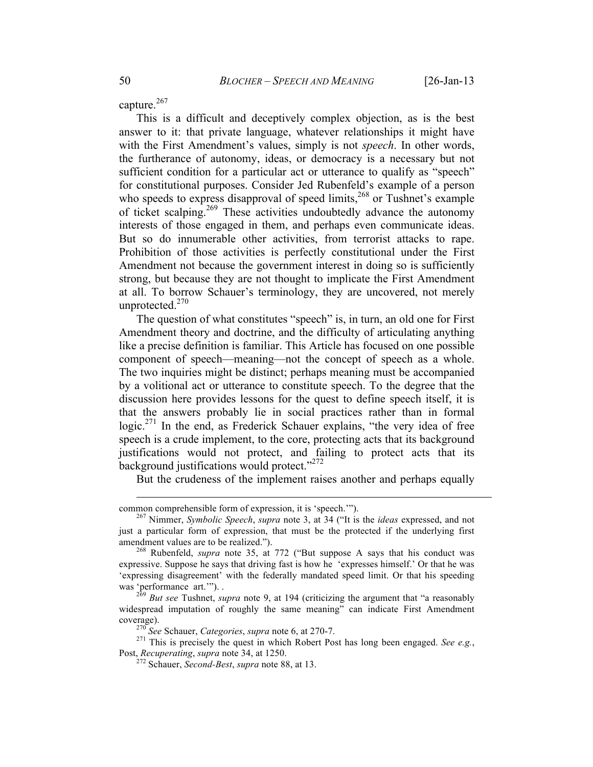capture. 267

This is a difficult and deceptively complex objection, as is the best answer to it: that private language, whatever relationships it might have with the First Amendment's values, simply is not *speech*. In other words, the furtherance of autonomy, ideas, or democracy is a necessary but not sufficient condition for a particular act or utterance to qualify as "speech" for constitutional purposes. Consider Jed Rubenfeld's example of a person who speeds to express disapproval of speed limits,<sup>268</sup> or Tushnet's example of ticket scalping.<sup>269</sup> These activities undoubtedly advance the autonomy interests of those engaged in them, and perhaps even communicate ideas. But so do innumerable other activities, from terrorist attacks to rape. Prohibition of those activities is perfectly constitutional under the First Amendment not because the government interest in doing so is sufficiently strong, but because they are not thought to implicate the First Amendment at all. To borrow Schauer's terminology, they are uncovered, not merely unprotected.<sup>270</sup>

The question of what constitutes "speech" is, in turn, an old one for First Amendment theory and doctrine, and the difficulty of articulating anything like a precise definition is familiar. This Article has focused on one possible component of speech—meaning—not the concept of speech as a whole. The two inquiries might be distinct; perhaps meaning must be accompanied by a volitional act or utterance to constitute speech. To the degree that the discussion here provides lessons for the quest to define speech itself, it is that the answers probably lie in social practices rather than in formal logic.<sup>271</sup> In the end, as Frederick Schauer explains, "the very idea of free speech is a crude implement, to the core, protecting acts that its background justifications would not protect, and failing to protect acts that its background justifications would protect."<sup>272</sup>

But the crudeness of the implement raises another and perhaps equally

common comprehensible form of expression, it is 'speech.'"). <sup>267</sup> Nimmer, *Symbolic Speech*, *supra* note 3, at 34 ("It is the *ideas* expressed, and not just a particular form of expression, that must be the protected if the underlying first amendment values are to be realized."). <sup>268</sup> Rubenfeld, *supra* note 35, at 772 ("But suppose A says that his conduct was

expressive. Suppose he says that driving fast is how he 'expresses himself.' Or that he was 'expressing disagreement' with the federally mandated speed limit. Or that his speeding was 'performance art.'"). .<br><sup>269</sup> *But see* Tushnet, *supra* note 9, at 194 (criticizing the argument that "a reasonably

widespread imputation of roughly the same meaning" can indicate First Amendment

coverage). <sup>270</sup> *See* Schauer, *Categories*, *supra* note 6, at 270-7. <sup>271</sup> This is precisely the quest in which Robert Post has long been engaged. *See e.g.*,

<sup>&</sup>lt;sup>272</sup> Schauer, *Second-Best*, *supra* note 88, at 13.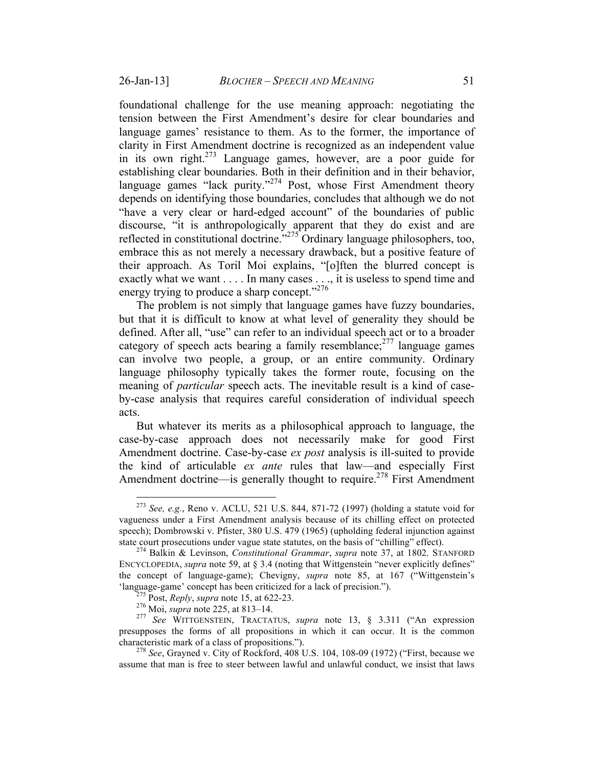foundational challenge for the use meaning approach: negotiating the tension between the First Amendment's desire for clear boundaries and language games' resistance to them. As to the former, the importance of clarity in First Amendment doctrine is recognized as an independent value in its own right. <sup>273</sup> Language games, however, are a poor guide for establishing clear boundaries. Both in their definition and in their behavior, language games "lack purity."<sup>274</sup> Post, whose First Amendment theory depends on identifying those boundaries, concludes that although we do not "have a very clear or hard-edged account" of the boundaries of public discourse, "it is anthropologically apparent that they do exist and are reflected in constitutional doctrine."275 Ordinary language philosophers, too, embrace this as not merely a necessary drawback, but a positive feature of their approach. As Toril Moi explains, "[o]ften the blurred concept is exactly what we want . . . . In many cases . . ., it is useless to spend time and energy trying to produce a sharp concept."<sup>276</sup>

The problem is not simply that language games have fuzzy boundaries, but that it is difficult to know at what level of generality they should be defined. After all, "use" can refer to an individual speech act or to a broader category of speech acts bearing a family resemblance; $277$  language games can involve two people, a group, or an entire community. Ordinary language philosophy typically takes the former route, focusing on the meaning of *particular* speech acts. The inevitable result is a kind of caseby-case analysis that requires careful consideration of individual speech acts.

But whatever its merits as a philosophical approach to language, the case-by-case approach does not necessarily make for good First Amendment doctrine. Case-by-case *ex post* analysis is ill-suited to provide the kind of articulable *ex ante* rules that law—and especially First Amendment doctrine—is generally thought to require.<sup>278</sup> First Amendment

 <sup>273</sup> *See, e.g.*, Reno v. ACLU, 521 U.S. 844, 871-72 (1997) (holding a statute void for vagueness under a First Amendment analysis because of its chilling effect on protected speech); Dombrowski v. Pfister, 380 U.S. 479 (1965) (upholding federal injunction against state court prosecutions under vague state statutes, on the basis of "chilling" effect). <sup>274</sup> Balkin & Levinson, *Constitutional Grammar*, *supra* note 37, at 1802. STANFORD

ENCYCLOPEDIA, *supra* note 59, at § 3.4 (noting that Wittgenstein "never explicitly defines" the concept of language-game); Chevigny, *supra* note 85, at 167 ("Wittgenstein's

<sup>&#</sup>x27;language-game' concept has been criticized for a lack of precision.").<br><sup>275</sup> Post, *Reply, supra* note 15, at 622-23.<br><sup>276</sup> Moi, *supra* note 225, at 813–14.<br><sup>277</sup> See WITTGENSTEIN, TRACTATUS, *supra* note 13, § 3.311 (" presupposes the forms of all propositions in which it can occur. It is the common characteristic mark of a class of propositions."). 278 *See*, Grayned v. City of Rockford, 408 U.S. 104, 108-09 (1972) ("First, because we

assume that man is free to steer between lawful and unlawful conduct, we insist that laws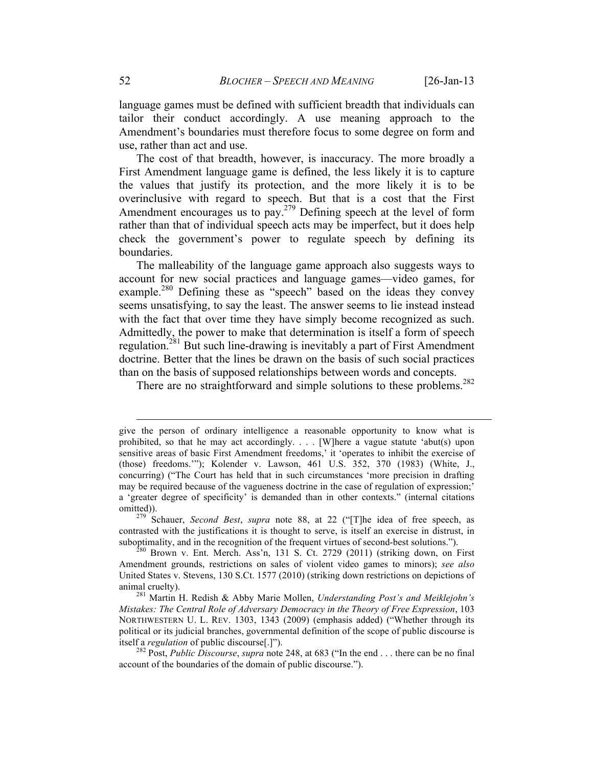language games must be defined with sufficient breadth that individuals can tailor their conduct accordingly. A use meaning approach to the Amendment's boundaries must therefore focus to some degree on form and use, rather than act and use.

The cost of that breadth, however, is inaccuracy. The more broadly a First Amendment language game is defined, the less likely it is to capture the values that justify its protection, and the more likely it is to be overinclusive with regard to speech. But that is a cost that the First Amendment encourages us to pay.<sup>279</sup> Defining speech at the level of form rather than that of individual speech acts may be imperfect, but it does help check the government's power to regulate speech by defining its boundaries.

The malleability of the language game approach also suggests ways to account for new social practices and language games—video games, for example.<sup>280</sup> Defining these as "speech" based on the ideas they convey seems unsatisfying, to say the least. The answer seems to lie instead instead with the fact that over time they have simply become recognized as such. Admittedly, the power to make that determination is itself a form of speech regulation.281 But such line-drawing is inevitably a part of First Amendment doctrine. Better that the lines be drawn on the basis of such social practices than on the basis of supposed relationships between words and concepts.

There are no straightforward and simple solutions to these problems.<sup>282</sup>

give the person of ordinary intelligence a reasonable opportunity to know what is prohibited, so that he may act accordingly.  $\ldots$  [W]here a vague statute 'abut(s) upon sensitive areas of basic First Amendment freedoms,' it 'operates to inhibit the exercise of (those) freedoms.'"); Kolender v. Lawson, 461 U.S. 352, 370 (1983) (White, J., concurring) ("The Court has held that in such circumstances 'more precision in drafting may be required because of the vagueness doctrine in the case of regulation of expression;' a 'greater degree of specificity' is demanded than in other contexts." (internal citations

omitted)). <sup>279</sup> Schauer, *Second Best*, *supra* note 88, at 22 ("[T]he idea of free speech, as contrasted with the justifications it is thought to serve, is itself an exercise in distrust, in suboptimality, and in the recognition of the frequent virtues of second-best solutions."). <sup>280</sup> Brown v. Ent. Merch. Ass'n, 131 S. Ct. 2729 (2011) (striking down, on First

Amendment grounds, restrictions on sales of violent video games to minors); *see also*  United States v. Stevens, 130 S.Ct. 1577 (2010) (striking down restrictions on depictions of animal cruelty). <sup>281</sup> Martin H. Redish & Abby Marie Mollen, *Understanding Post's and Meiklejohn's* 

*Mistakes: The Central Role of Adversary Democracy in the Theory of Free Expression*, 103 NORTHWESTERN U. L. REV. 1303, 1343 (2009) (emphasis added) ("Whether through its political or its judicial branches, governmental definition of the scope of public discourse is itself a *regulation* of public discourse[.]"). <sup>282</sup> Post, *Public Discourse*, *supra* note 248, at 683 ("In the end . . . there can be no final

account of the boundaries of the domain of public discourse.").